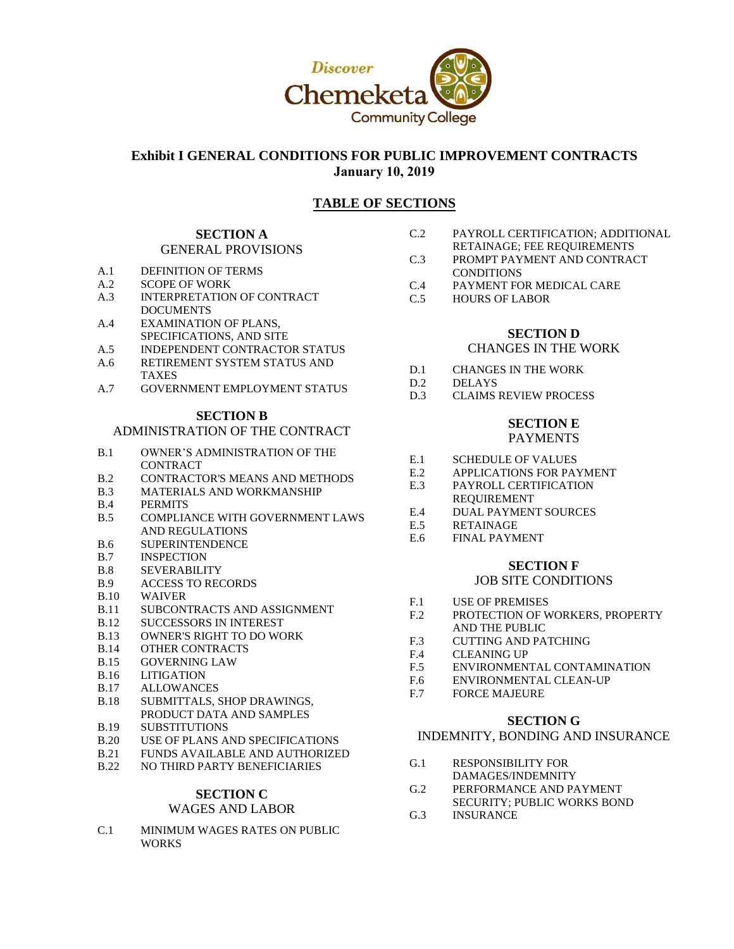

# **Exhibit I GENERAL CONDITIONS FOR PUBLIC IMPROVEMENT CONTRACTS January 10, 2019**

# **TABLE OF SECTIONS**

### **SECTION A** GENERAL PROVISIONS

- A.1 DEFINITION OF TERMS
- A.2 SCOPE OF WORK
- A.3 INTERPRETATION OF CONTRACT **DOCUMENTS**
- A.4 EXAMINATION OF PLANS, SPECIFICATIONS, AND SITE
- A.5 INDEPENDENT CONTRACTOR STATUS
- A.6 RETIREMENT SYSTEM STATUS AND TAXES
- A.7 GOVERNMENT EMPLOYMENT STATUS

# **SECTION B**

# ADMINISTRATION OF THE CONTRACT

- B.1 OWNER'S ADMINISTRATION OF THE **CONTRACT**
- B.2 CONTRACTOR'S MEANS AND METHODS
- B.3 MATERIALS AND WORKMANSHIP
- B.4 PERMITS
- B.5 COMPLIANCE WITH GOVERNMENT LAWS AND REGULATIONS
- B.6 SUPERINTENDENCE
- B.7 INSPECTION
- B.8 SEVERABILITY
- B.9 ACCESS TO RECORDS
- B.10 WAIVER
- B.11 SUBCONTRACTS AND ASSIGNMENT
- B.12 SUCCESSORS IN INTEREST
- B.13 OWNER'S RIGHT TO DO WORK
- B.14 OTHER CONTRACTS
- B.15 GOVERNING LAW
- B.16 LITIGATION
- B.17 ALLOWANCES
- B.18 SUBMITTALS, SHOP DRAWINGS, PRODUCT DATA AND SAMPLES
- B.19 SUBSTITUTIONS
- B.20 USE OF PLANS AND SPECIFICATIONS
- B.21 FUNDS AVAILABLE AND AUTHORIZED
- B.22 NO THIRD PARTY BENEFICIARIES

### **SECTION C** WAGES AND LABOR

C.1 MINIMUM WAGES RATES ON PUBLIC **WORKS** 

- C.2 PAYROLL CERTIFICATION; ADDITIONAL RETAINAGE; FEE REQUIREMENTS
- C.3 PROMPT PAYMENT AND CONTRACT CONDITIONS
- C.4 PAYMENT FOR MEDICAL CARE
- C.5 HOURS OF LABOR

# **SECTION D**

# CHANGES IN THE WORK

- D.1 CHANGES IN THE WORK
- D.2 DELAYS
- D.3 CLAIMS REVIEW PROCESS

## **SECTION E** PAYMENTS

- E.1 SCHEDULE OF VALUES
- E.2 APPLICATIONS FOR PAYMENT
- E.3 PAYROLL CERTIFICATION
- REQUIREMENT
- E.4 DUAL PAYMENT SOURCES
- E.5 RETAINAGE
- E.6 FINAL PAYMENT

# **SECTION F**

# JOB SITE CONDITIONS

- F.1 USE OF PREMISES
- F.2 PROTECTION OF WORKERS, PROPERTY AND THE PUBLIC
- F.3 CUTTING AND PATCHING<br>F.4 CLEANING UP
- **CLEANING UP**
- F.5 ENVIRONMENTAL CONTAMINATION
- F.6 ENVIRONMENTAL CLEAN-UP
- F.7 FORCE MAJEURE

# **SECTION G**

# INDEMNITY, BONDING AND INSURANCE

- G.1 RESPONSIBILITY FOR DAMAGES/INDEMNITY
- G.2 PERFORMANCE AND PAYMENT
- SECURITY; PUBLIC WORKS BOND G.3 INSURANCE
-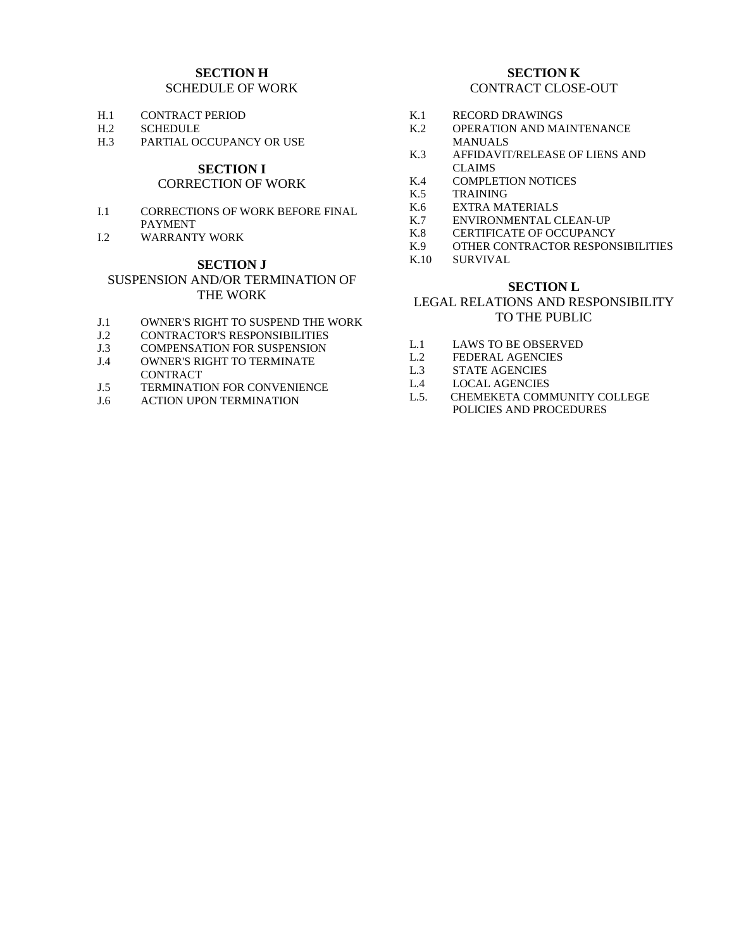## **SECTION H** SCHEDULE OF WORK

- H.1 CONTRACT PERIOD<br>H 2 SCHEDULE
- **SCHEDULE**
- H.3 PARTIAL OCCUPANCY OR USE

# **SECTION I**

# CORRECTION OF WORK

- I.1 CORRECTIONS OF WORK BEFORE FINAL PAYMENT
- I.2 WARRANTY WORK

# **SECTION J**

# SUSPENSION AND/OR TERMINATION OF THE WORK

- J.1 OWNER'S RIGHT TO SUSPEND THE WORK<br>J.2 CONTRACTOR'S RESPONSIBILITIES
- CONTRACTOR'S RESPONSIBILITIES
- J.3 COMPENSATION FOR SUSPENSION
- J.4 OWNER'S RIGHT TO TERMINATE CONTRACT
- J.5 TERMINATION FOR CONVENIENCE
- J.6 ACTION UPON TERMINATION

#### **SECTION K** CONTRACT CLOSE-OUT

- K.1 RECORD DRAWINGS<br>K2 OPERATION AND MA
- OPERATION AND MAINTENANCE MANUALS
- K.3 AFFIDAVIT/RELEASE OF LIENS AND CLAIMS
- K.4 COMPLETION NOTICES<br>K.5 TRAINING
- **TRAINING**
- K.6 EXTRA MATERIALS<br>K.7 ENVIRONMENTAL C
- ENVIRONMENTAL CLEAN-UP
- K.8 CERTIFICATE OF OCCUPANCY<br>K.9 OTHER CONTRACTOR RESPON
- OTHER CONTRACTOR RESPONSIBILITIES
- K.10 SURVIVAL

#### **SECTION L**

# LEGAL RELATIONS AND RESPONSIBILITY TO THE PUBLIC

- L.1 LAWS TO BE OBSERVED
- L.2 FEDERAL AGENCIES
- L.3 STATE AGENCIES
- L.4 LOCAL AGENCIES
- L.5. CHEMEKETA COMMUNITY COLLEGE POLICIES AND PROCEDURES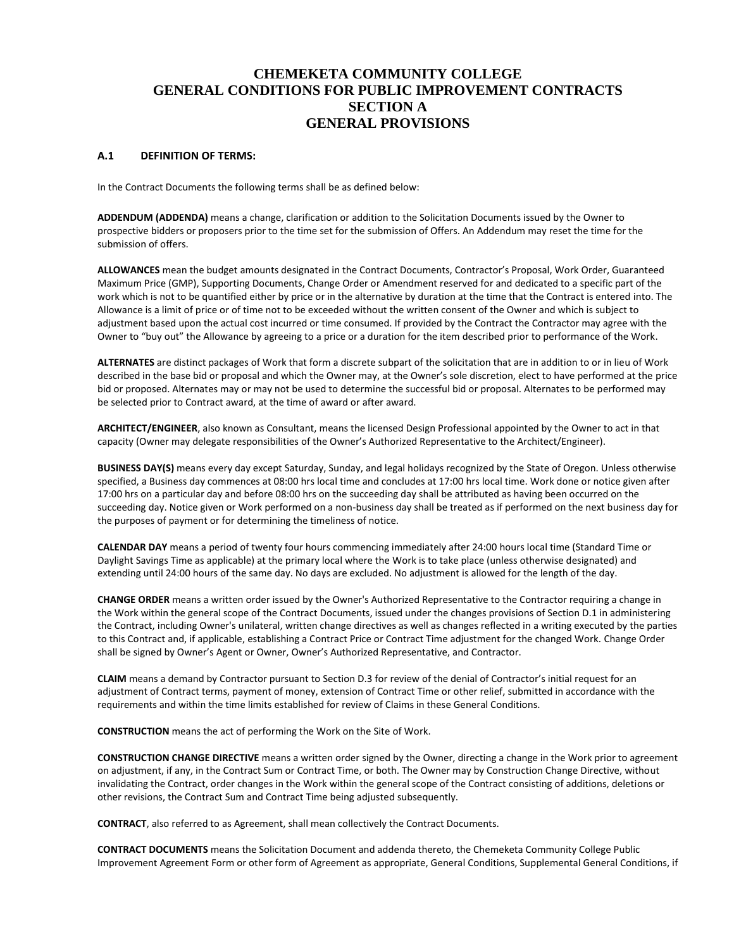# **CHEMEKETA COMMUNITY COLLEGE GENERAL CONDITIONS FOR PUBLIC IMPROVEMENT CONTRACTS SECTION A GENERAL PROVISIONS**

#### **A.1 DEFINITION OF TERMS:**

In the Contract Documents the following terms shall be as defined below:

**ADDENDUM (ADDENDA)** means a change, clarification or addition to the Solicitation Documents issued by the Owner to prospective bidders or proposers prior to the time set for the submission of Offers. An Addendum may reset the time for the submission of offers.

**ALLOWANCES** mean the budget amounts designated in the Contract Documents, Contractor's Proposal, Work Order, Guaranteed Maximum Price (GMP), Supporting Documents, Change Order or Amendment reserved for and dedicated to a specific part of the work which is not to be quantified either by price or in the alternative by duration at the time that the Contract is entered into. The Allowance is a limit of price or of time not to be exceeded without the written consent of the Owner and which is subject to adjustment based upon the actual cost incurred or time consumed. If provided by the Contract the Contractor may agree with the Owner to "buy out" the Allowance by agreeing to a price or a duration for the item described prior to performance of the Work.

**ALTERNATES** are distinct packages of Work that form a discrete subpart of the solicitation that are in addition to or in lieu of Work described in the base bid or proposal and which the Owner may, at the Owner's sole discretion, elect to have performed at the price bid or proposed. Alternates may or may not be used to determine the successful bid or proposal. Alternates to be performed may be selected prior to Contract award, at the time of award or after award.

**ARCHITECT/ENGINEER**, also known as Consultant, means the licensed Design Professional appointed by the Owner to act in that capacity (Owner may delegate responsibilities of the Owner's Authorized Representative to the Architect/Engineer).

**BUSINESS DAY(S)** means every day except Saturday, Sunday, and legal holidays recognized by the State of Oregon. Unless otherwise specified, a Business day commences at 08:00 hrs local time and concludes at 17:00 hrs local time. Work done or notice given after 17:00 hrs on a particular day and before 08:00 hrs on the succeeding day shall be attributed as having been occurred on the succeeding day. Notice given or Work performed on a non-business day shall be treated as if performed on the next business day for the purposes of payment or for determining the timeliness of notice.

**CALENDAR DAY** means a period of twenty four hours commencing immediately after 24:00 hours local time (Standard Time or Daylight Savings Time as applicable) at the primary local where the Work is to take place (unless otherwise designated) and extending until 24:00 hours of the same day. No days are excluded. No adjustment is allowed for the length of the day.

**CHANGE ORDER** means a written order issued by the Owner's Authorized Representative to the Contractor requiring a change in the Work within the general scope of the Contract Documents, issued under the changes provisions of Section D.1 in administering the Contract, including Owner's unilateral, written change directives as well as changes reflected in a writing executed by the parties to this Contract and, if applicable, establishing a Contract Price or Contract Time adjustment for the changed Work. Change Order shall be signed by Owner's Agent or Owner, Owner's Authorized Representative, and Contractor.

**CLAIM** means a demand by Contractor pursuant to Section D.3 for review of the denial of Contractor's initial request for an adjustment of Contract terms, payment of money, extension of Contract Time or other relief, submitted in accordance with the requirements and within the time limits established for review of Claims in these General Conditions.

**CONSTRUCTION** means the act of performing the Work on the Site of Work.

**CONSTRUCTION CHANGE DIRECTIVE** means a written order signed by the Owner, directing a change in the Work prior to agreement on adjustment, if any, in the Contract Sum or Contract Time, or both. The Owner may by Construction Change Directive, without invalidating the Contract, order changes in the Work within the general scope of the Contract consisting of additions, deletions or other revisions, the Contract Sum and Contract Time being adjusted subsequently.

**CONTRACT**, also referred to as Agreement, shall mean collectively the Contract Documents.

**CONTRACT DOCUMENTS** means the Solicitation Document and addenda thereto, the Chemeketa Community College Public Improvement Agreement Form or other form of Agreement as appropriate, General Conditions, Supplemental General Conditions, if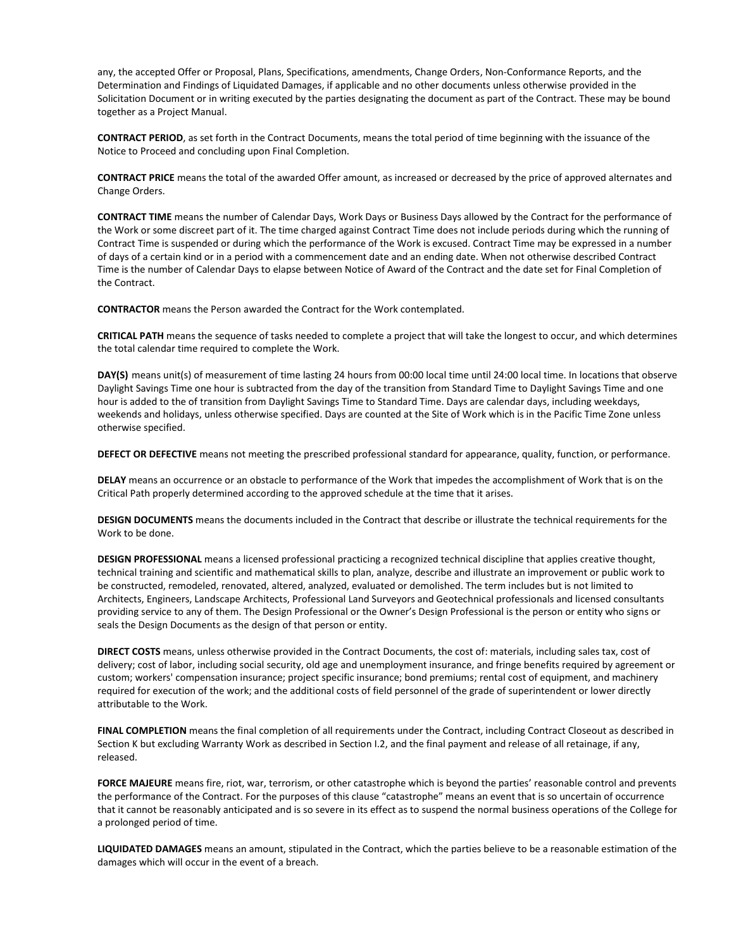any, the accepted Offer or Proposal, Plans, Specifications, amendments, Change Orders, Non-Conformance Reports, and the Determination and Findings of Liquidated Damages, if applicable and no other documents unless otherwise provided in the Solicitation Document or in writing executed by the parties designating the document as part of the Contract. These may be bound together as a Project Manual.

**CONTRACT PERIOD**, as set forth in the Contract Documents, means the total period of time beginning with the issuance of the Notice to Proceed and concluding upon Final Completion.

**CONTRACT PRICE** means the total of the awarded Offer amount, as increased or decreased by the price of approved alternates and Change Orders.

**CONTRACT TIME** means the number of Calendar Days, Work Days or Business Days allowed by the Contract for the performance of the Work or some discreet part of it. The time charged against Contract Time does not include periods during which the running of Contract Time is suspended or during which the performance of the Work is excused. Contract Time may be expressed in a number of days of a certain kind or in a period with a commencement date and an ending date. When not otherwise described Contract Time is the number of Calendar Days to elapse between Notice of Award of the Contract and the date set for Final Completion of the Contract.

**CONTRACTOR** means the Person awarded the Contract for the Work contemplated.

**CRITICAL PATH** means the sequence of tasks needed to complete a project that will take the longest to occur, and which determines the total calendar time required to complete the Work.

**DAY(S)** means unit(s) of measurement of time lasting 24 hours from 00:00 local time until 24:00 local time. In locations that observe Daylight Savings Time one hour is subtracted from the day of the transition from Standard Time to Daylight Savings Time and one hour is added to the of transition from Daylight Savings Time to Standard Time. Days are calendar days, including weekdays, weekends and holidays, unless otherwise specified. Days are counted at the Site of Work which is in the Pacific Time Zone unless otherwise specified.

**DEFECT OR DEFECTIVE** means not meeting the prescribed professional standard for appearance, quality, function, or performance.

**DELAY** means an occurrence or an obstacle to performance of the Work that impedes the accomplishment of Work that is on the Critical Path properly determined according to the approved schedule at the time that it arises.

**DESIGN DOCUMENTS** means the documents included in the Contract that describe or illustrate the technical requirements for the Work to be done.

**DESIGN PROFESSIONAL** means a licensed professional practicing a recognized technical discipline that applies creative thought, technical training and scientific and mathematical skills to plan, analyze, describe and illustrate an improvement or public work to be constructed, remodeled, renovated, altered, analyzed, evaluated or demolished. The term includes but is not limited to Architects, Engineers, Landscape Architects, Professional Land Surveyors and Geotechnical professionals and licensed consultants providing service to any of them. The Design Professional or the Owner's Design Professional is the person or entity who signs or seals the Design Documents as the design of that person or entity.

**DIRECT COSTS** means, unless otherwise provided in the Contract Documents, the cost of: materials, including sales tax, cost of delivery; cost of labor, including social security, old age and unemployment insurance, and fringe benefits required by agreement or custom; workers' compensation insurance; project specific insurance; bond premiums; rental cost of equipment, and machinery required for execution of the work; and the additional costs of field personnel of the grade of superintendent or lower directly attributable to the Work.

**FINAL COMPLETION** means the final completion of all requirements under the Contract, including Contract Closeout as described in Section K but excluding Warranty Work as described in Section I.2, and the final payment and release of all retainage, if any, released.

**FORCE MAJEURE** means fire, riot, war, terrorism, or other catastrophe which is beyond the parties' reasonable control and prevents the performance of the Contract. For the purposes of this clause "catastrophe" means an event that is so uncertain of occurrence that it cannot be reasonably anticipated and is so severe in its effect as to suspend the normal business operations of the College for a prolonged period of time.

**LIQUIDATED DAMAGES** means an amount, stipulated in the Contract, which the parties believe to be a reasonable estimation of the damages which will occur in the event of a breach.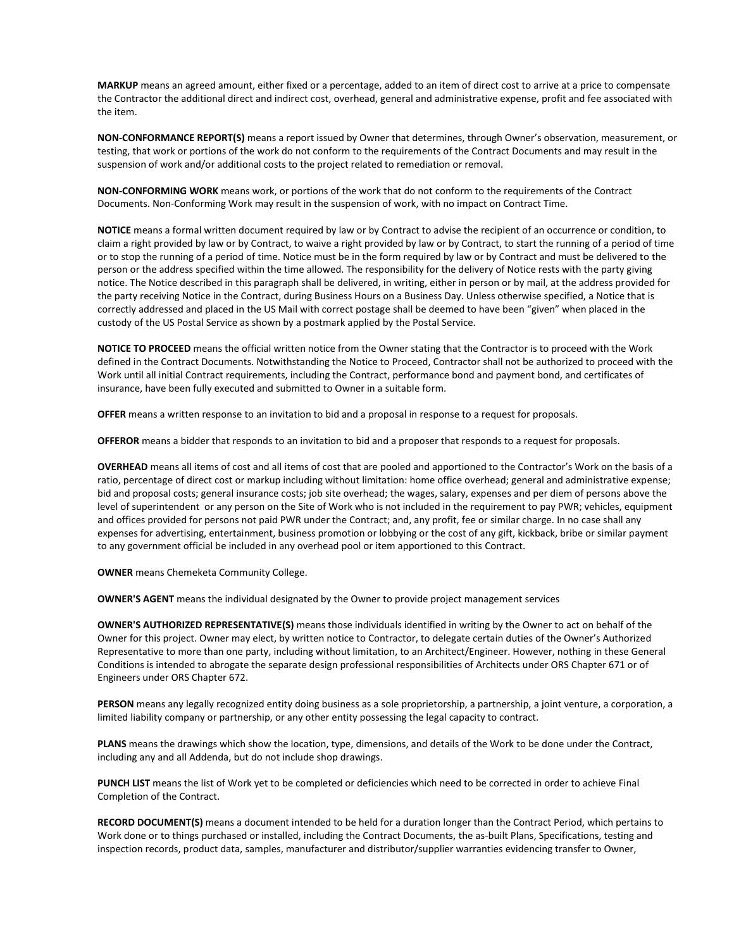**MARKUP** means an agreed amount, either fixed or a percentage, added to an item of direct cost to arrive at a price to compensate the Contractor the additional direct and indirect cost, overhead, general and administrative expense, profit and fee associated with the item.

**NON-CONFORMANCE REPORT(S)** means a report issued by Owner that determines, through Owner's observation, measurement, or testing, that work or portions of the work do not conform to the requirements of the Contract Documents and may result in the suspension of work and/or additional costs to the project related to remediation or removal.

**NON-CONFORMING WORK** means work, or portions of the work that do not conform to the requirements of the Contract Documents. Non-Conforming Work may result in the suspension of work, with no impact on Contract Time.

**NOTICE** means a formal written document required by law or by Contract to advise the recipient of an occurrence or condition, to claim a right provided by law or by Contract, to waive a right provided by law or by Contract, to start the running of a period of time or to stop the running of a period of time. Notice must be in the form required by law or by Contract and must be delivered to the person or the address specified within the time allowed. The responsibility for the delivery of Notice rests with the party giving notice. The Notice described in this paragraph shall be delivered, in writing, either in person or by mail, at the address provided for the party receiving Notice in the Contract, during Business Hours on a Business Day. Unless otherwise specified, a Notice that is correctly addressed and placed in the US Mail with correct postage shall be deemed to have been "given" when placed in the custody of the US Postal Service as shown by a postmark applied by the Postal Service.

**NOTICE TO PROCEED** means the official written notice from the Owner stating that the Contractor is to proceed with the Work defined in the Contract Documents. Notwithstanding the Notice to Proceed, Contractor shall not be authorized to proceed with the Work until all initial Contract requirements, including the Contract, performance bond and payment bond, and certificates of insurance, have been fully executed and submitted to Owner in a suitable form.

**OFFER** means a written response to an invitation to bid and a proposal in response to a request for proposals.

**OFFEROR** means a bidder that responds to an invitation to bid and a proposer that responds to a request for proposals.

**OVERHEAD** means all items of cost and all items of cost that are pooled and apportioned to the Contractor's Work on the basis of a ratio, percentage of direct cost or markup including without limitation: home office overhead; general and administrative expense; bid and proposal costs; general insurance costs; job site overhead; the wages, salary, expenses and per diem of persons above the level of superintendent or any person on the Site of Work who is not included in the requirement to pay PWR; vehicles, equipment and offices provided for persons not paid PWR under the Contract; and, any profit, fee or similar charge. In no case shall any expenses for advertising, entertainment, business promotion or lobbying or the cost of any gift, kickback, bribe or similar payment to any government official be included in any overhead pool or item apportioned to this Contract.

**OWNER** means Chemeketa Community College.

**OWNER'S AGENT** means the individual designated by the Owner to provide project management services

**OWNER'S AUTHORIZED REPRESENTATIVE(S)** means those individuals identified in writing by the Owner to act on behalf of the Owner for this project. Owner may elect, by written notice to Contractor, to delegate certain duties of the Owner's Authorized Representative to more than one party, including without limitation, to an Architect/Engineer. However, nothing in these General Conditions is intended to abrogate the separate design professional responsibilities of Architects under ORS Chapter 671 or of Engineers under ORS Chapter 672.

**PERSON** means any legally recognized entity doing business as a sole proprietorship, a partnership, a joint venture, a corporation, a limited liability company or partnership, or any other entity possessing the legal capacity to contract.

**PLANS** means the drawings which show the location, type, dimensions, and details of the Work to be done under the Contract, including any and all Addenda, but do not include shop drawings.

**PUNCH LIST** means the list of Work yet to be completed or deficiencies which need to be corrected in order to achieve Final Completion of the Contract.

**RECORD DOCUMENT(S)** means a document intended to be held for a duration longer than the Contract Period, which pertains to Work done or to things purchased or installed, including the Contract Documents, the as-built Plans, Specifications, testing and inspection records, product data, samples, manufacturer and distributor/supplier warranties evidencing transfer to Owner,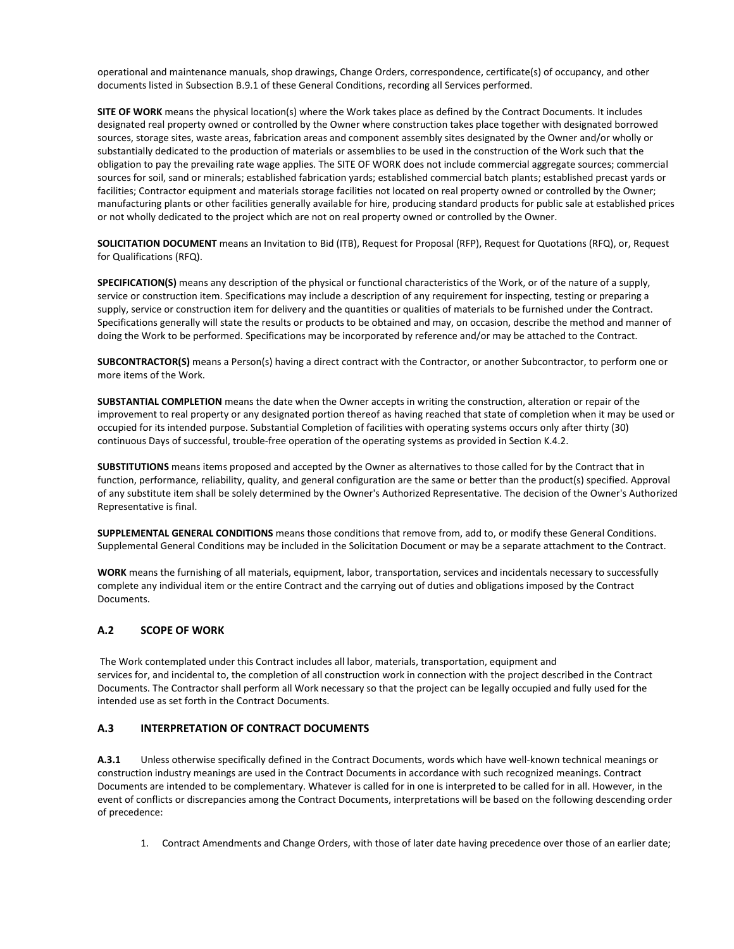operational and maintenance manuals, shop drawings, Change Orders, correspondence, certificate(s) of occupancy, and other documents listed in Subsection B.9.1 of these General Conditions, recording all Services performed.

**SITE OF WORK** means the physical location(s) where the Work takes place as defined by the Contract Documents. It includes designated real property owned or controlled by the Owner where construction takes place together with designated borrowed sources, storage sites, waste areas, fabrication areas and component assembly sites designated by the Owner and/or wholly or substantially dedicated to the production of materials or assemblies to be used in the construction of the Work such that the obligation to pay the prevailing rate wage applies. The SITE OF WORK does not include commercial aggregate sources; commercial sources for soil, sand or minerals; established fabrication yards; established commercial batch plants; established precast yards or facilities; Contractor equipment and materials storage facilities not located on real property owned or controlled by the Owner; manufacturing plants or other facilities generally available for hire, producing standard products for public sale at established prices or not wholly dedicated to the project which are not on real property owned or controlled by the Owner.

**SOLICITATION DOCUMENT** means an Invitation to Bid (ITB), Request for Proposal (RFP), Request for Quotations (RFQ), or, Request for Qualifications (RFQ).

**SPECIFICATION(S)** means any description of the physical or functional characteristics of the Work, or of the nature of a supply, service or construction item. Specifications may include a description of any requirement for inspecting, testing or preparing a supply, service or construction item for delivery and the quantities or qualities of materials to be furnished under the Contract. Specifications generally will state the results or products to be obtained and may, on occasion, describe the method and manner of doing the Work to be performed. Specifications may be incorporated by reference and/or may be attached to the Contract.

**SUBCONTRACTOR(S)** means a Person(s) having a direct contract with the Contractor, or another Subcontractor, to perform one or more items of the Work.

**SUBSTANTIAL COMPLETION** means the date when the Owner accepts in writing the construction, alteration or repair of the improvement to real property or any designated portion thereof as having reached that state of completion when it may be used or occupied for its intended purpose. Substantial Completion of facilities with operating systems occurs only after thirty (30) continuous Days of successful, trouble-free operation of the operating systems as provided in Section K.4.2.

**SUBSTITUTIONS** means items proposed and accepted by the Owner as alternatives to those called for by the Contract that in function, performance, reliability, quality, and general configuration are the same or better than the product(s) specified. Approval of any substitute item shall be solely determined by the Owner's Authorized Representative. The decision of the Owner's Authorized Representative is final.

**SUPPLEMENTAL GENERAL CONDITIONS** means those conditions that remove from, add to, or modify these General Conditions. Supplemental General Conditions may be included in the Solicitation Document or may be a separate attachment to the Contract.

**WORK** means the furnishing of all materials, equipment, labor, transportation, services and incidentals necessary to successfully complete any individual item or the entire Contract and the carrying out of duties and obligations imposed by the Contract Documents.

#### **A.2 SCOPE OF WORK**

The Work contemplated under this Contract includes all labor, materials, transportation, equipment and services for, and incidental to, the completion of all construction work in connection with the project described in the Contract Documents. The Contractor shall perform all Work necessary so that the project can be legally occupied and fully used for the intended use as set forth in the Contract Documents.

#### **A.3 INTERPRETATION OF CONTRACT DOCUMENTS**

**A.3.1** Unless otherwise specifically defined in the Contract Documents, words which have well-known technical meanings or construction industry meanings are used in the Contract Documents in accordance with such recognized meanings. Contract Documents are intended to be complementary. Whatever is called for in one is interpreted to be called for in all. However, in the event of conflicts or discrepancies among the Contract Documents, interpretations will be based on the following descending order of precedence:

1. Contract Amendments and Change Orders, with those of later date having precedence over those of an earlier date;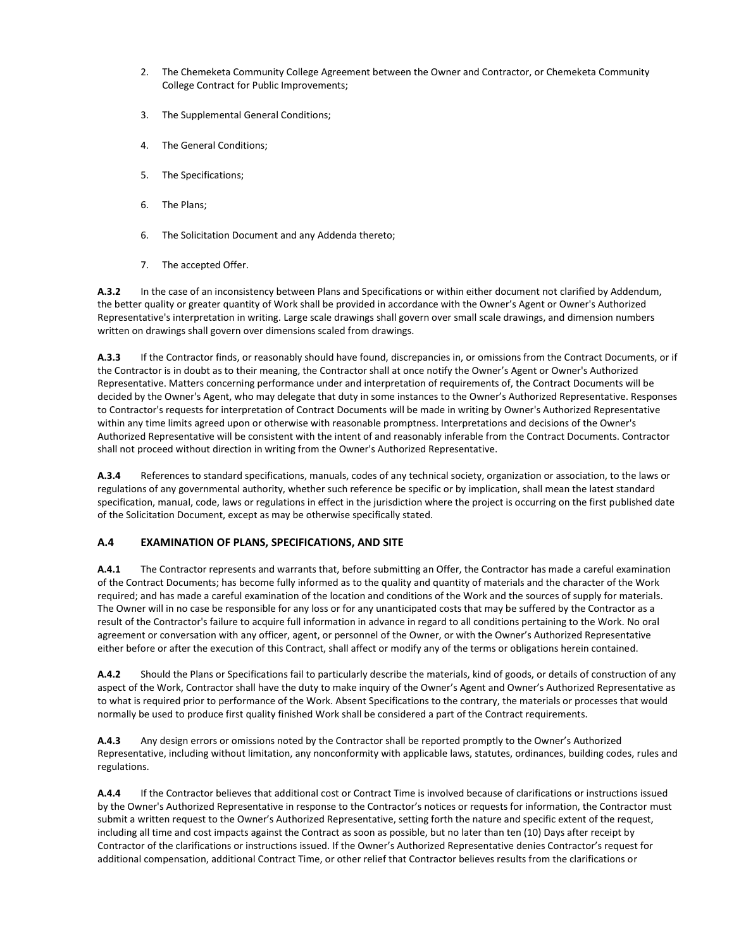- 2. The Chemeketa Community College Agreement between the Owner and Contractor, or Chemeketa Community College Contract for Public Improvements;
- 3. The Supplemental General Conditions;
- 4. The General Conditions;
- 5. The Specifications;
- 6. The Plans;
- 6. The Solicitation Document and any Addenda thereto;
- 7. The accepted Offer.

**A.3.2** In the case of an inconsistency between Plans and Specifications or within either document not clarified by Addendum, the better quality or greater quantity of Work shall be provided in accordance with the Owner's Agent or Owner's Authorized Representative's interpretation in writing. Large scale drawings shall govern over small scale drawings, and dimension numbers written on drawings shall govern over dimensions scaled from drawings.

**A.3.3** If the Contractor finds, or reasonably should have found, discrepancies in, or omissions from the Contract Documents, or if the Contractor is in doubt as to their meaning, the Contractor shall at once notify the Owner's Agent or Owner's Authorized Representative. Matters concerning performance under and interpretation of requirements of, the Contract Documents will be decided by the Owner's Agent, who may delegate that duty in some instances to the Owner's Authorized Representative. Responses to Contractor's requests for interpretation of Contract Documents will be made in writing by Owner's Authorized Representative within any time limits agreed upon or otherwise with reasonable promptness. Interpretations and decisions of the Owner's Authorized Representative will be consistent with the intent of and reasonably inferable from the Contract Documents. Contractor shall not proceed without direction in writing from the Owner's Authorized Representative.

**A.3.4** References to standard specifications, manuals, codes of any technical society, organization or association, to the laws or regulations of any governmental authority, whether such reference be specific or by implication, shall mean the latest standard specification, manual, code, laws or regulations in effect in the jurisdiction where the project is occurring on the first published date of the Solicitation Document, except as may be otherwise specifically stated.

# **A.4 EXAMINATION OF PLANS, SPECIFICATIONS, AND SITE**

**A.4.1** The Contractor represents and warrants that, before submitting an Offer, the Contractor has made a careful examination of the Contract Documents; has become fully informed as to the quality and quantity of materials and the character of the Work required; and has made a careful examination of the location and conditions of the Work and the sources of supply for materials. The Owner will in no case be responsible for any loss or for any unanticipated costs that may be suffered by the Contractor as a result of the Contractor's failure to acquire full information in advance in regard to all conditions pertaining to the Work. No oral agreement or conversation with any officer, agent, or personnel of the Owner, or with the Owner's Authorized Representative either before or after the execution of this Contract, shall affect or modify any of the terms or obligations herein contained.

**A.4.2** Should the Plans or Specifications fail to particularly describe the materials, kind of goods, or details of construction of any aspect of the Work, Contractor shall have the duty to make inquiry of the Owner's Agent and Owner's Authorized Representative as to what is required prior to performance of the Work. Absent Specifications to the contrary, the materials or processes that would normally be used to produce first quality finished Work shall be considered a part of the Contract requirements.

**A.4.3** Any design errors or omissions noted by the Contractor shall be reported promptly to the Owner's Authorized Representative, including without limitation, any nonconformity with applicable laws, statutes, ordinances, building codes, rules and regulations.

**A.4.4** If the Contractor believes that additional cost or Contract Time is involved because of clarifications or instructions issued by the Owner's Authorized Representative in response to the Contractor's notices or requests for information, the Contractor must submit a written request to the Owner's Authorized Representative, setting forth the nature and specific extent of the request, including all time and cost impacts against the Contract as soon as possible, but no later than ten (10) Days after receipt by Contractor of the clarifications or instructions issued. If the Owner's Authorized Representative denies Contractor's request for additional compensation, additional Contract Time, or other relief that Contractor believes results from the clarifications or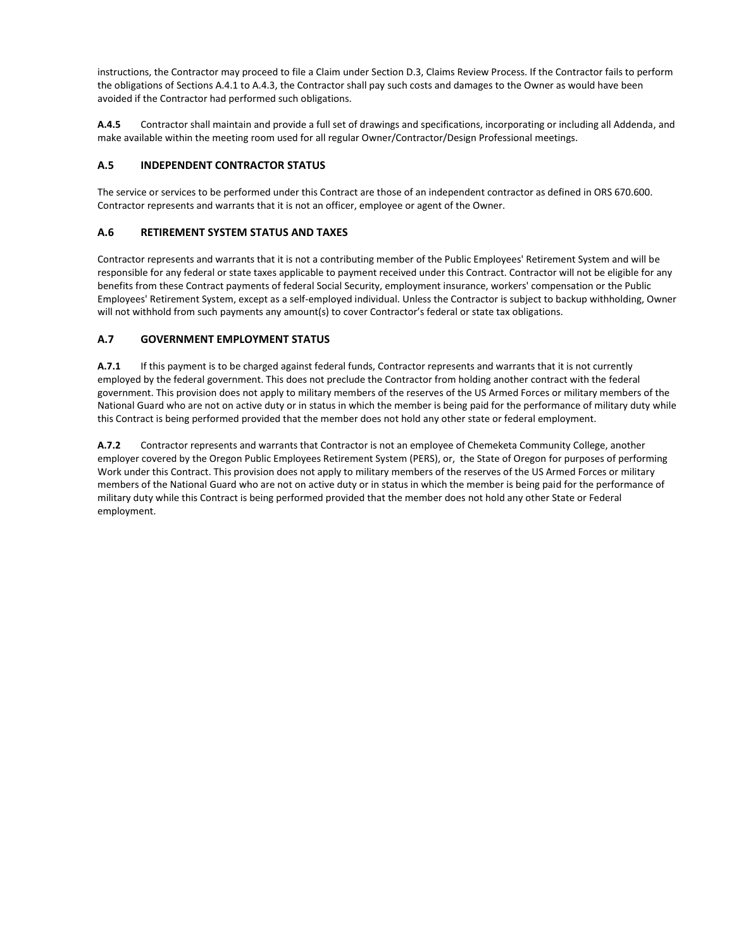instructions, the Contractor may proceed to file a Claim under Section D.3, Claims Review Process. If the Contractor fails to perform the obligations of Sections A.4.1 to A.4.3, the Contractor shall pay such costs and damages to the Owner as would have been avoided if the Contractor had performed such obligations.

**A.4.5** Contractor shall maintain and provide a full set of drawings and specifications, incorporating or including all Addenda, and make available within the meeting room used for all regular Owner/Contractor/Design Professional meetings.

## **A.5 INDEPENDENT CONTRACTOR STATUS**

The service or services to be performed under this Contract are those of an independent contractor as defined in ORS 670.600. Contractor represents and warrants that it is not an officer, employee or agent of the Owner.

## **A.6 RETIREMENT SYSTEM STATUS AND TAXES**

Contractor represents and warrants that it is not a contributing member of the Public Employees' Retirement System and will be responsible for any federal or state taxes applicable to payment received under this Contract. Contractor will not be eligible for any benefits from these Contract payments of federal Social Security, employment insurance, workers' compensation or the Public Employees' Retirement System, except as a self-employed individual. Unless the Contractor is subject to backup withholding, Owner will not withhold from such payments any amount(s) to cover Contractor's federal or state tax obligations.

## **A.7 GOVERNMENT EMPLOYMENT STATUS**

**A.7.1** If this payment is to be charged against federal funds, Contractor represents and warrants that it is not currently employed by the federal government. This does not preclude the Contractor from holding another contract with the federal government. This provision does not apply to military members of the reserves of the US Armed Forces or military members of the National Guard who are not on active duty or in status in which the member is being paid for the performance of military duty while this Contract is being performed provided that the member does not hold any other state or federal employment.

**A.7.2** Contractor represents and warrants that Contractor is not an employee of Chemeketa Community College, another employer covered by the Oregon Public Employees Retirement System (PERS), or, the State of Oregon for purposes of performing Work under this Contract. This provision does not apply to military members of the reserves of the US Armed Forces or military members of the National Guard who are not on active duty or in status in which the member is being paid for the performance of military duty while this Contract is being performed provided that the member does not hold any other State or Federal employment.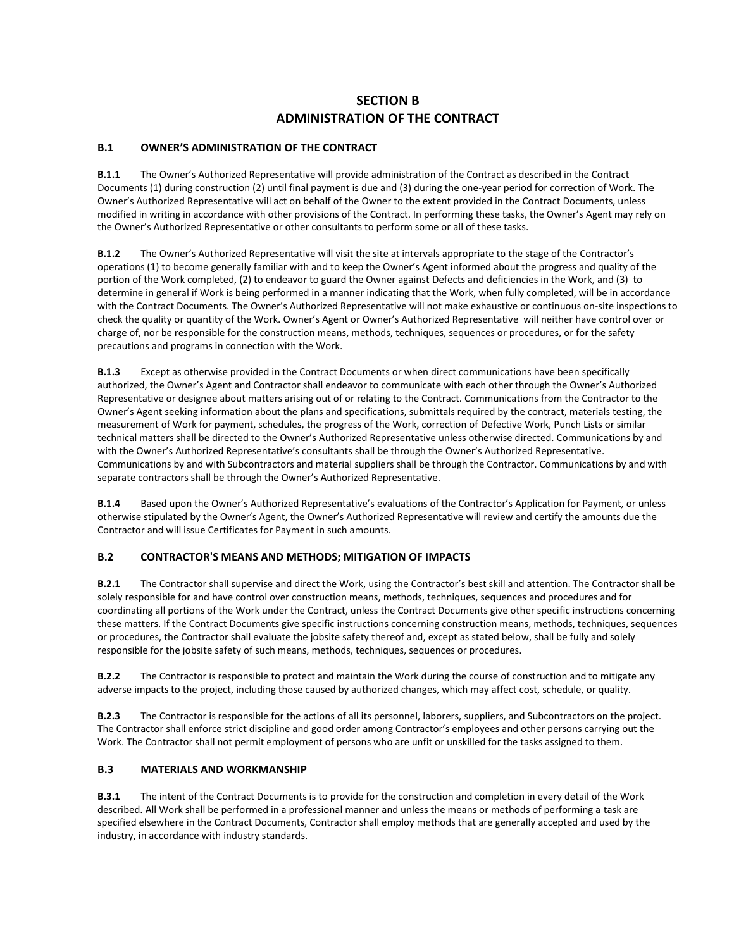# **SECTION B ADMINISTRATION OF THE CONTRACT**

# **B.1 OWNER'S ADMINISTRATION OF THE CONTRACT**

**B.1.1** The Owner's Authorized Representative will provide administration of the Contract as described in the Contract Documents (1) during construction (2) until final payment is due and (3) during the one-year period for correction of Work. The Owner's Authorized Representative will act on behalf of the Owner to the extent provided in the Contract Documents, unless modified in writing in accordance with other provisions of the Contract. In performing these tasks, the Owner's Agent may rely on the Owner's Authorized Representative or other consultants to perform some or all of these tasks.

**B.1.2** The Owner's Authorized Representative will visit the site at intervals appropriate to the stage of the Contractor's operations (1) to become generally familiar with and to keep the Owner's Agent informed about the progress and quality of the portion of the Work completed, (2) to endeavor to guard the Owner against Defects and deficiencies in the Work, and (3) to determine in general if Work is being performed in a manner indicating that the Work, when fully completed, will be in accordance with the Contract Documents. The Owner's Authorized Representative will not make exhaustive or continuous on-site inspections to check the quality or quantity of the Work. Owner's Agent or Owner's Authorized Representative will neither have control over or charge of, nor be responsible for the construction means, methods, techniques, sequences or procedures, or for the safety precautions and programs in connection with the Work.

**B.1.3** Except as otherwise provided in the Contract Documents or when direct communications have been specifically authorized, the Owner's Agent and Contractor shall endeavor to communicate with each other through the Owner's Authorized Representative or designee about matters arising out of or relating to the Contract. Communications from the Contractor to the Owner's Agent seeking information about the plans and specifications, submittals required by the contract, materials testing, the measurement of Work for payment, schedules, the progress of the Work, correction of Defective Work, Punch Lists or similar technical matters shall be directed to the Owner's Authorized Representative unless otherwise directed. Communications by and with the Owner's Authorized Representative's consultants shall be through the Owner's Authorized Representative. Communications by and with Subcontractors and material suppliers shall be through the Contractor. Communications by and with separate contractors shall be through the Owner's Authorized Representative.

**B.1.4** Based upon the Owner's Authorized Representative's evaluations of the Contractor's Application for Payment, or unless otherwise stipulated by the Owner's Agent, the Owner's Authorized Representative will review and certify the amounts due the Contractor and will issue Certificates for Payment in such amounts.

# **B.2 CONTRACTOR'S MEANS AND METHODS; MITIGATION OF IMPACTS**

**B.2.1** The Contractor shall supervise and direct the Work, using the Contractor's best skill and attention. The Contractor shall be solely responsible for and have control over construction means, methods, techniques, sequences and procedures and for coordinating all portions of the Work under the Contract, unless the Contract Documents give other specific instructions concerning these matters. If the Contract Documents give specific instructions concerning construction means, methods, techniques, sequences or procedures, the Contractor shall evaluate the jobsite safety thereof and, except as stated below, shall be fully and solely responsible for the jobsite safety of such means, methods, techniques, sequences or procedures.

**B.2.2** The Contractor is responsible to protect and maintain the Work during the course of construction and to mitigate any adverse impacts to the project, including those caused by authorized changes, which may affect cost, schedule, or quality.

**B.2.3** The Contractor is responsible for the actions of all its personnel, laborers, suppliers, and Subcontractors on the project. The Contractor shall enforce strict discipline and good order among Contractor's employees and other persons carrying out the Work. The Contractor shall not permit employment of persons who are unfit or unskilled for the tasks assigned to them.

# **B.3 MATERIALS AND WORKMANSHIP**

**B.3.1** The intent of the Contract Documents is to provide for the construction and completion in every detail of the Work described. All Work shall be performed in a professional manner and unless the means or methods of performing a task are specified elsewhere in the Contract Documents, Contractor shall employ methods that are generally accepted and used by the industry, in accordance with industry standards.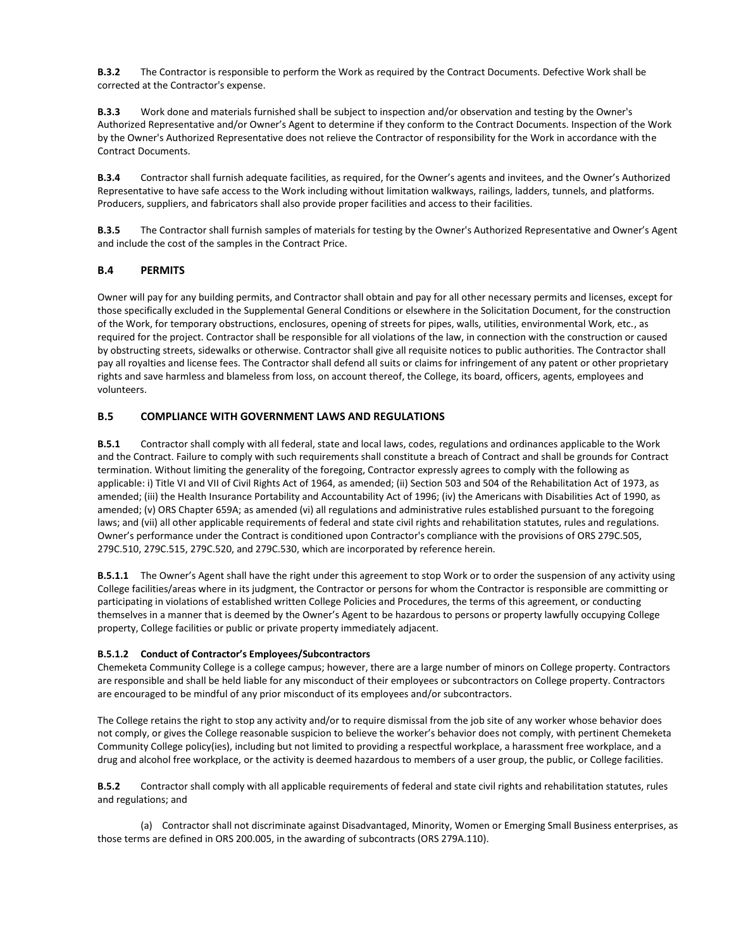**B.3.2** The Contractor is responsible to perform the Work as required by the Contract Documents. Defective Work shall be corrected at the Contractor's expense.

**B.3.3** Work done and materials furnished shall be subject to inspection and/or observation and testing by the Owner's Authorized Representative and/or Owner's Agent to determine if they conform to the Contract Documents. Inspection of the Work by the Owner's Authorized Representative does not relieve the Contractor of responsibility for the Work in accordance with the Contract Documents.

**B.3.4** Contractor shall furnish adequate facilities, as required, for the Owner's agents and invitees, and the Owner's Authorized Representative to have safe access to the Work including without limitation walkways, railings, ladders, tunnels, and platforms. Producers, suppliers, and fabricators shall also provide proper facilities and access to their facilities.

**B.3.5** The Contractor shall furnish samples of materials for testing by the Owner's Authorized Representative and Owner's Agent and include the cost of the samples in the Contract Price.

# **B.4 PERMITS**

Owner will pay for any building permits, and Contractor shall obtain and pay for all other necessary permits and licenses, except for those specifically excluded in the Supplemental General Conditions or elsewhere in the Solicitation Document, for the construction of the Work, for temporary obstructions, enclosures, opening of streets for pipes, walls, utilities, environmental Work, etc., as required for the project. Contractor shall be responsible for all violations of the law, in connection with the construction or caused by obstructing streets, sidewalks or otherwise. Contractor shall give all requisite notices to public authorities. The Contractor shall pay all royalties and license fees. The Contractor shall defend all suits or claims for infringement of any patent or other proprietary rights and save harmless and blameless from loss, on account thereof, the College, its board, officers, agents, employees and volunteers.

## **B.5 COMPLIANCE WITH GOVERNMENT LAWS AND REGULATIONS**

**B.5.1** Contractor shall comply with all federal, state and local laws, codes, regulations and ordinances applicable to the Work and the Contract. Failure to comply with such requirements shall constitute a breach of Contract and shall be grounds for Contract termination. Without limiting the generality of the foregoing, Contractor expressly agrees to comply with the following as applicable: i) Title VI and VII of Civil Rights Act of 1964, as amended; (ii) Section 503 and 504 of the Rehabilitation Act of 1973, as amended; (iii) the Health Insurance Portability and Accountability Act of 1996; (iv) the Americans with Disabilities Act of 1990, as amended; (v) ORS Chapter 659A; as amended (vi) all regulations and administrative rules established pursuant to the foregoing laws; and (vii) all other applicable requirements of federal and state civil rights and rehabilitation statutes, rules and regulations. Owner's performance under the Contract is conditioned upon Contractor's compliance with the provisions of ORS 279C.505, 279C.510, 279C.515, 279C.520, and 279C.530, which are incorporated by reference herein.

**B.5.1.1** The Owner's Agent shall have the right under this agreement to stop Work or to order the suspension of any activity using College facilities/areas where in its judgment, the Contractor or persons for whom the Contractor is responsible are committing or participating in violations of established written College Policies and Procedures, the terms of this agreement, or conducting themselves in a manner that is deemed by the Owner's Agent to be hazardous to persons or property lawfully occupying College property, College facilities or public or private property immediately adjacent.

#### **B.5.1.2 Conduct of Contractor's Employees/Subcontractors**

Chemeketa Community College is a college campus; however, there are a large number of minors on College property. Contractors are responsible and shall be held liable for any misconduct of their employees or subcontractors on College property. Contractors are encouraged to be mindful of any prior misconduct of its employees and/or subcontractors.

The College retains the right to stop any activity and/or to require dismissal from the job site of any worker whose behavior does not comply, or gives the College reasonable suspicion to believe the worker's behavior does not comply, with pertinent Chemeketa Community College policy(ies), including but not limited to providing a respectful workplace, a harassment free workplace, and a drug and alcohol free workplace, or the activity is deemed hazardous to members of a user group, the public, or College facilities.

**B.5.2** Contractor shall comply with all applicable requirements of federal and state civil rights and rehabilitation statutes, rules and regulations; and

(a) Contractor shall not discriminate against Disadvantaged, Minority, Women or Emerging Small Business enterprises, as those terms are defined in ORS 200.005, in the awarding of subcontracts (ORS 279A.110).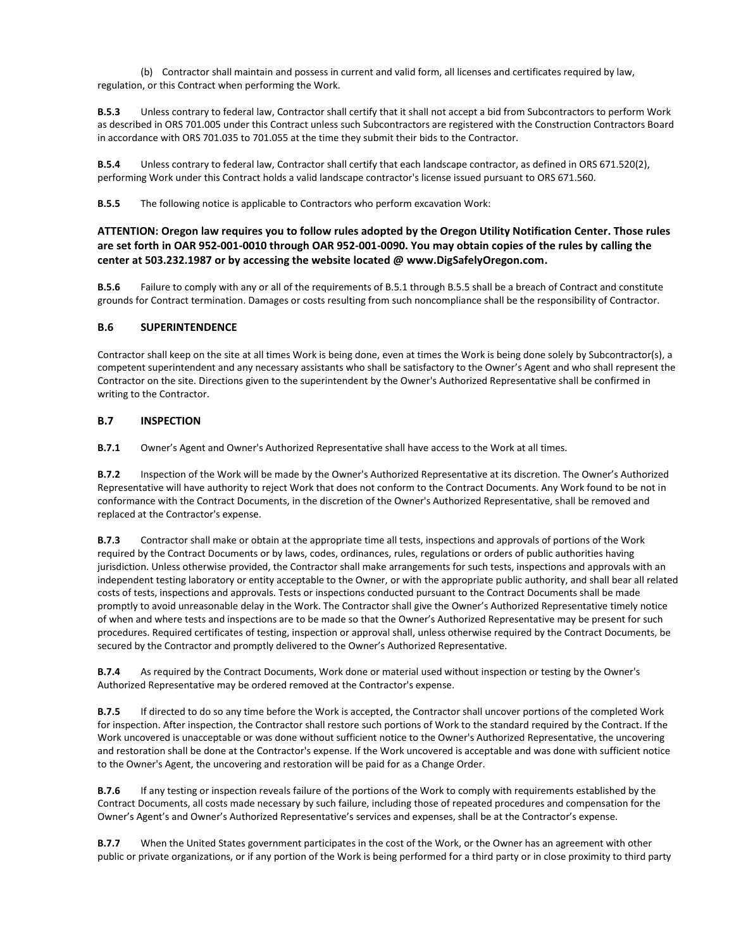(b) Contractor shall maintain and possess in current and valid form, all licenses and certificates required by law, regulation, or this Contract when performing the Work.

**B.5.3** Unless contrary to federal law, Contractor shall certify that it shall not accept a bid from Subcontractors to perform Work as described in ORS 701.005 under this Contract unless such Subcontractors are registered with the Construction Contractors Board in accordance with ORS 701.035 to 701.055 at the time they submit their bids to the Contractor.

**B.5.4** Unless contrary to federal law, Contractor shall certify that each landscape contractor, as defined in ORS 671.520(2), performing Work under this Contract holds a valid landscape contractor's license issued pursuant to ORS 671.560.

**B.5.5** The following notice is applicable to Contractors who perform excavation Work:

**ATTENTION: Oregon law requires you to follow rules adopted by the Oregon Utility Notification Center. Those rules are set forth in OAR 952-001-0010 through OAR 952-001-0090. You may obtain copies of the rules by calling the center at 503.232.1987 or by accessing the website located @ www.DigSafelyOregon.com.** 

**B.5.6** Failure to comply with any or all of the requirements of B.5.1 through B.5.5 shall be a breach of Contract and constitute grounds for Contract termination. Damages or costs resulting from such noncompliance shall be the responsibility of Contractor.

#### **B.6 SUPERINTENDENCE**

Contractor shall keep on the site at all times Work is being done, even at times the Work is being done solely by Subcontractor(s), a competent superintendent and any necessary assistants who shall be satisfactory to the Owner's Agent and who shall represent the Contractor on the site. Directions given to the superintendent by the Owner's Authorized Representative shall be confirmed in writing to the Contractor.

#### **B.7 INSPECTION**

**B.7.1** Owner's Agent and Owner's Authorized Representative shall have access to the Work at all times.

**B.7.2** Inspection of the Work will be made by the Owner's Authorized Representative at its discretion. The Owner's Authorized Representative will have authority to reject Work that does not conform to the Contract Documents. Any Work found to be not in conformance with the Contract Documents, in the discretion of the Owner's Authorized Representative, shall be removed and replaced at the Contractor's expense.

**B.7.3** Contractor shall make or obtain at the appropriate time all tests, inspections and approvals of portions of the Work required by the Contract Documents or by laws, codes, ordinances, rules, regulations or orders of public authorities having jurisdiction. Unless otherwise provided, the Contractor shall make arrangements for such tests, inspections and approvals with an independent testing laboratory or entity acceptable to the Owner, or with the appropriate public authority, and shall bear all related costs of tests, inspections and approvals. Tests or inspections conducted pursuant to the Contract Documents shall be made promptly to avoid unreasonable delay in the Work. The Contractor shall give the Owner's Authorized Representative timely notice of when and where tests and inspections are to be made so that the Owner's Authorized Representative may be present for such procedures. Required certificates of testing, inspection or approval shall, unless otherwise required by the Contract Documents, be secured by the Contractor and promptly delivered to the Owner's Authorized Representative.

**B.7.4** As required by the Contract Documents, Work done or material used without inspection or testing by the Owner's Authorized Representative may be ordered removed at the Contractor's expense.

**B.7.5** If directed to do so any time before the Work is accepted, the Contractor shall uncover portions of the completed Work for inspection. After inspection, the Contractor shall restore such portions of Work to the standard required by the Contract. If the Work uncovered is unacceptable or was done without sufficient notice to the Owner's Authorized Representative, the uncovering and restoration shall be done at the Contractor's expense. If the Work uncovered is acceptable and was done with sufficient notice to the Owner's Agent, the uncovering and restoration will be paid for as a Change Order.

**B.7.6** If any testing or inspection reveals failure of the portions of the Work to comply with requirements established by the Contract Documents, all costs made necessary by such failure, including those of repeated procedures and compensation for the Owner's Agent's and Owner's Authorized Representative's services and expenses, shall be at the Contractor's expense.

**B.7.7** When the United States government participates in the cost of the Work, or the Owner has an agreement with other public or private organizations, or if any portion of the Work is being performed for a third party or in close proximity to third party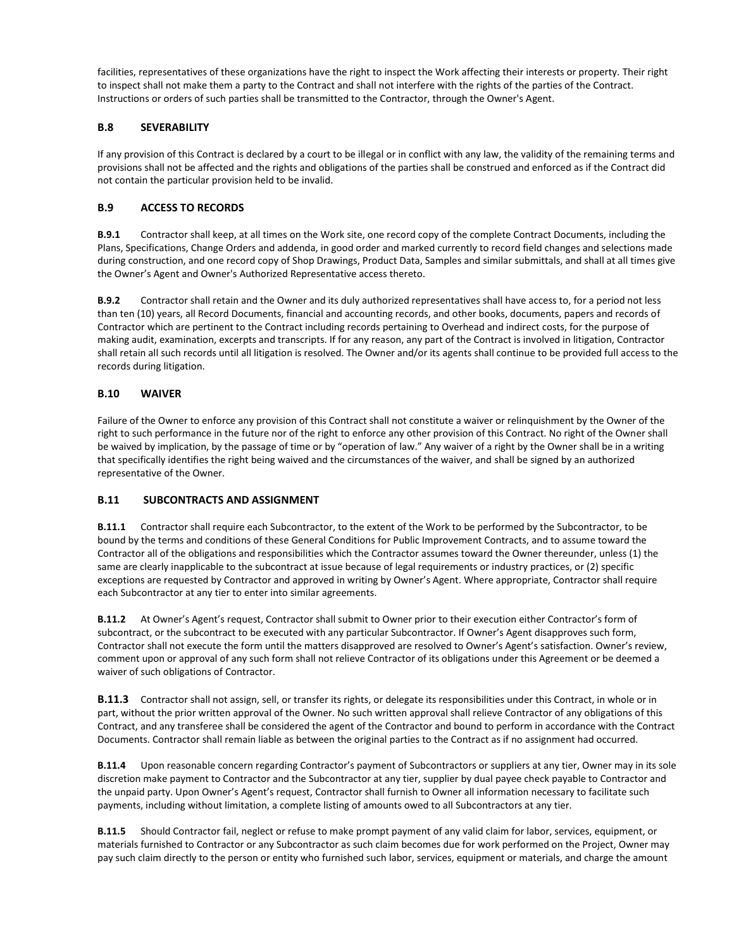facilities, representatives of these organizations have the right to inspect the Work affecting their interests or property. Their right to inspect shall not make them a party to the Contract and shall not interfere with the rights of the parties of the Contract. Instructions or orders of such parties shall be transmitted to the Contractor, through the Owner's Agent.

## **B.8 SEVERABILITY**

If any provision of this Contract is declared by a court to be illegal or in conflict with any law, the validity of the remaining terms and provisions shall not be affected and the rights and obligations of the parties shall be construed and enforced as if the Contract did not contain the particular provision held to be invalid.

# **B.9 ACCESS TO RECORDS**

**B.9.1** Contractor shall keep, at all times on the Work site, one record copy of the complete Contract Documents, including the Plans, Specifications, Change Orders and addenda, in good order and marked currently to record field changes and selections made during construction, and one record copy of Shop Drawings, Product Data, Samples and similar submittals, and shall at all times give the Owner's Agent and Owner's Authorized Representative access thereto.

**B.9.2** Contractor shall retain and the Owner and its duly authorized representatives shall have access to, for a period not less than ten (10) years, all Record Documents, financial and accounting records, and other books, documents, papers and records of Contractor which are pertinent to the Contract including records pertaining to Overhead and indirect costs, for the purpose of making audit, examination, excerpts and transcripts. If for any reason, any part of the Contract is involved in litigation, Contractor shall retain all such records until all litigation is resolved. The Owner and/or its agents shall continue to be provided full access to the records during litigation.

# **B.10 WAIVER**

Failure of the Owner to enforce any provision of this Contract shall not constitute a waiver or relinquishment by the Owner of the right to such performance in the future nor of the right to enforce any other provision of this Contract. No right of the Owner shall be waived by implication, by the passage of time or by "operation of law." Any waiver of a right by the Owner shall be in a writing that specifically identifies the right being waived and the circumstances of the waiver, and shall be signed by an authorized representative of the Owner.

#### **B.11 SUBCONTRACTS AND ASSIGNMENT**

**B.11.1** Contractor shall require each Subcontractor, to the extent of the Work to be performed by the Subcontractor, to be bound by the terms and conditions of these General Conditions for Public Improvement Contracts, and to assume toward the Contractor all of the obligations and responsibilities which the Contractor assumes toward the Owner thereunder, unless (1) the same are clearly inapplicable to the subcontract at issue because of legal requirements or industry practices, or (2) specific exceptions are requested by Contractor and approved in writing by Owner's Agent. Where appropriate, Contractor shall require each Subcontractor at any tier to enter into similar agreements.

**B.11.2** At Owner's Agent's request, Contractor shall submit to Owner prior to their execution either Contractor's form of subcontract, or the subcontract to be executed with any particular Subcontractor. If Owner's Agent disapproves such form, Contractor shall not execute the form until the matters disapproved are resolved to Owner's Agent's satisfaction. Owner's review, comment upon or approval of any such form shall not relieve Contractor of its obligations under this Agreement or be deemed a waiver of such obligations of Contractor.

**B.11.3** Contractor shall not assign, sell, or transfer its rights, or delegate its responsibilities under this Contract, in whole or in part, without the prior written approval of the Owner. No such written approval shall relieve Contractor of any obligations of this Contract, and any transferee shall be considered the agent of the Contractor and bound to perform in accordance with the Contract Documents. Contractor shall remain liable as between the original parties to the Contract as if no assignment had occurred.

**B.11.4** Upon reasonable concern regarding Contractor's payment of Subcontractors or suppliers at any tier, Owner may in its sole discretion make payment to Contractor and the Subcontractor at any tier, supplier by dual payee check payable to Contractor and the unpaid party. Upon Owner's Agent's request, Contractor shall furnish to Owner all information necessary to facilitate such payments, including without limitation, a complete listing of amounts owed to all Subcontractors at any tier.

**B.11.5** Should Contractor fail, neglect or refuse to make prompt payment of any valid claim for labor, services, equipment, or materials furnished to Contractor or any Subcontractor as such claim becomes due for work performed on the Project, Owner may pay such claim directly to the person or entity who furnished such labor, services, equipment or materials, and charge the amount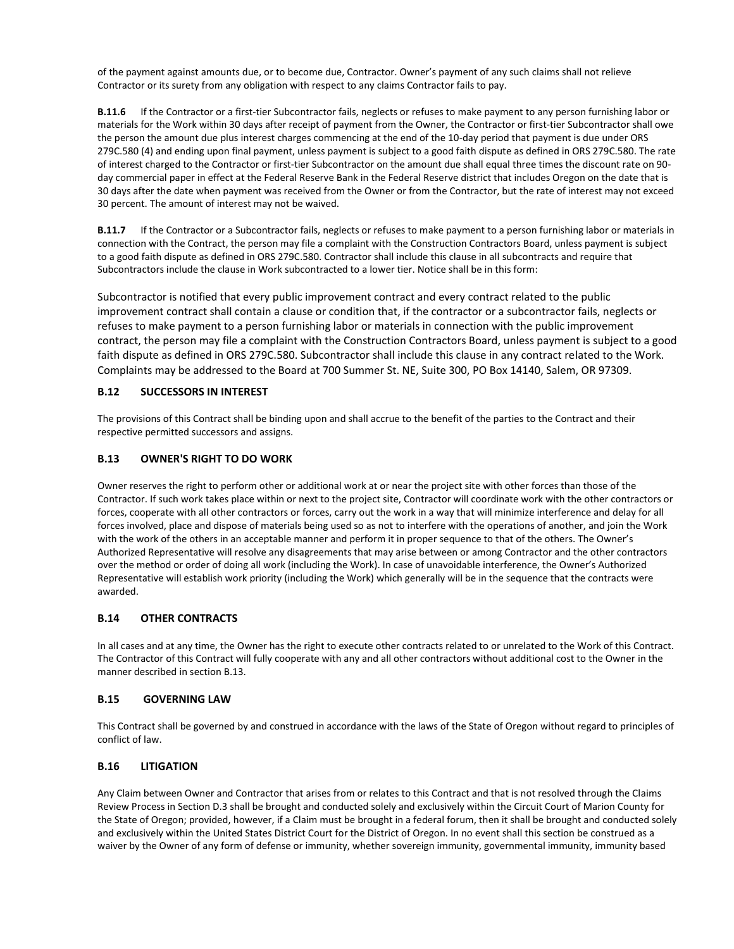of the payment against amounts due, or to become due, Contractor. Owner's payment of any such claims shall not relieve Contractor or its surety from any obligation with respect to any claims Contractor fails to pay.

**B.11.6** If the Contractor or a first-tier Subcontractor fails, neglects or refuses to make payment to any person furnishing labor or materials for the Work within 30 days after receipt of payment from the Owner, the Contractor or first-tier Subcontractor shall owe the person the amount due plus interest charges commencing at the end of the 10-day period that payment is due under ORS 279C.580 (4) and ending upon final payment, unless payment is subject to a good faith dispute as defined in ORS 279C.580. The rate of interest charged to the Contractor or first-tier Subcontractor on the amount due shall equal three times the discount rate on 90 day commercial paper in effect at the Federal Reserve Bank in the Federal Reserve district that includes Oregon on the date that is 30 days after the date when payment was received from the Owner or from the Contractor, but the rate of interest may not exceed 30 percent. The amount of interest may not be waived.

**B.11.7** If the Contractor or a Subcontractor fails, neglects or refuses to make payment to a person furnishing labor or materials in connection with the Contract, the person may file a complaint with the Construction Contractors Board, unless payment is subject to a good faith dispute as defined in ORS 279C.580. Contractor shall include this clause in all subcontracts and require that Subcontractors include the clause in Work subcontracted to a lower tier. Notice shall be in this form:

Subcontractor is notified that every public improvement contract and every contract related to the public improvement contract shall contain a clause or condition that, if the contractor or a subcontractor fails, neglects or refuses to make payment to a person furnishing labor or materials in connection with the public improvement contract, the person may file a complaint with the Construction Contractors Board, unless payment is subject to a good faith dispute as defined in ORS 279C.580. Subcontractor shall include this clause in any contract related to the Work. Complaints may be addressed to the Board at 700 Summer St. NE, Suite 300, PO Box 14140, Salem, OR 97309.

## **B.12 SUCCESSORS IN INTEREST**

The provisions of this Contract shall be binding upon and shall accrue to the benefit of the parties to the Contract and their respective permitted successors and assigns.

## **B.13 OWNER'S RIGHT TO DO WORK**

Owner reserves the right to perform other or additional work at or near the project site with other forces than those of the Contractor. If such work takes place within or next to the project site, Contractor will coordinate work with the other contractors or forces, cooperate with all other contractors or forces, carry out the work in a way that will minimize interference and delay for all forces involved, place and dispose of materials being used so as not to interfere with the operations of another, and join the Work with the work of the others in an acceptable manner and perform it in proper sequence to that of the others. The Owner's Authorized Representative will resolve any disagreements that may arise between or among Contractor and the other contractors over the method or order of doing all work (including the Work). In case of unavoidable interference, the Owner's Authorized Representative will establish work priority (including the Work) which generally will be in the sequence that the contracts were awarded.

### **B.14 OTHER CONTRACTS**

In all cases and at any time, the Owner has the right to execute other contracts related to or unrelated to the Work of this Contract. The Contractor of this Contract will fully cooperate with any and all other contractors without additional cost to the Owner in the manner described in section B.13.

#### **B.15 GOVERNING LAW**

This Contract shall be governed by and construed in accordance with the laws of the State of Oregon without regard to principles of conflict of law.

## **B.16 LITIGATION**

Any Claim between Owner and Contractor that arises from or relates to this Contract and that is not resolved through the Claims Review Process in Section D.3 shall be brought and conducted solely and exclusively within the Circuit Court of Marion County for the State of Oregon; provided, however, if a Claim must be brought in a federal forum, then it shall be brought and conducted solely and exclusively within the United States District Court for the District of Oregon. In no event shall this section be construed as a waiver by the Owner of any form of defense or immunity, whether sovereign immunity, governmental immunity, immunity based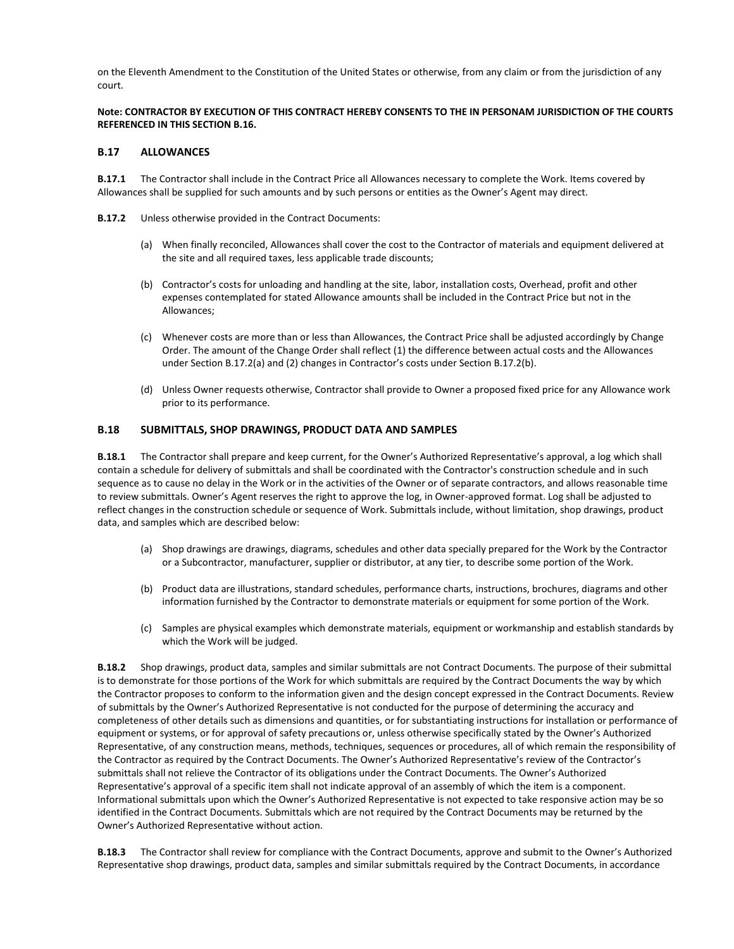on the Eleventh Amendment to the Constitution of the United States or otherwise, from any claim or from the jurisdiction of any court.

#### **Note: CONTRACTOR BY EXECUTION OF THIS CONTRACT HEREBY CONSENTS TO THE IN PERSONAM JURISDICTION OF THE COURTS REFERENCED IN THIS SECTION B.16.**

#### **B.17 ALLOWANCES**

**B.17.1** The Contractor shall include in the Contract Price all Allowances necessary to complete the Work. Items covered by Allowances shall be supplied for such amounts and by such persons or entities as the Owner's Agent may direct.

- **B.17.2** Unless otherwise provided in the Contract Documents:
	- (a) When finally reconciled, Allowances shall cover the cost to the Contractor of materials and equipment delivered at the site and all required taxes, less applicable trade discounts;
	- (b) Contractor's costs for unloading and handling at the site, labor, installation costs, Overhead, profit and other expenses contemplated for stated Allowance amounts shall be included in the Contract Price but not in the Allowances;
	- (c) Whenever costs are more than or less than Allowances, the Contract Price shall be adjusted accordingly by Change Order. The amount of the Change Order shall reflect (1) the difference between actual costs and the Allowances under Section B.17.2(a) and (2) changes in Contractor's costs under Section B.17.2(b).
	- (d) Unless Owner requests otherwise, Contractor shall provide to Owner a proposed fixed price for any Allowance work prior to its performance.

#### **B.18 SUBMITTALS, SHOP DRAWINGS, PRODUCT DATA AND SAMPLES**

**B.18.1** The Contractor shall prepare and keep current, for the Owner's Authorized Representative's approval, a log which shall contain a schedule for delivery of submittals and shall be coordinated with the Contractor's construction schedule and in such sequence as to cause no delay in the Work or in the activities of the Owner or of separate contractors, and allows reasonable time to review submittals. Owner's Agent reserves the right to approve the log, in Owner-approved format. Log shall be adjusted to reflect changes in the construction schedule or sequence of Work. Submittals include, without limitation, shop drawings, product data, and samples which are described below:

- (a) Shop drawings are drawings, diagrams, schedules and other data specially prepared for the Work by the Contractor or a Subcontractor, manufacturer, supplier or distributor, at any tier, to describe some portion of the Work.
- (b) Product data are illustrations, standard schedules, performance charts, instructions, brochures, diagrams and other information furnished by the Contractor to demonstrate materials or equipment for some portion of the Work.
- (c) Samples are physical examples which demonstrate materials, equipment or workmanship and establish standards by which the Work will be judged.

**B.18.2** Shop drawings, product data, samples and similar submittals are not Contract Documents. The purpose of their submittal is to demonstrate for those portions of the Work for which submittals are required by the Contract Documents the way by which the Contractor proposes to conform to the information given and the design concept expressed in the Contract Documents. Review of submittals by the Owner's Authorized Representative is not conducted for the purpose of determining the accuracy and completeness of other details such as dimensions and quantities, or for substantiating instructions for installation or performance of equipment or systems, or for approval of safety precautions or, unless otherwise specifically stated by the Owner's Authorized Representative, of any construction means, methods, techniques, sequences or procedures, all of which remain the responsibility of the Contractor as required by the Contract Documents. The Owner's Authorized Representative's review of the Contractor's submittals shall not relieve the Contractor of its obligations under the Contract Documents. The Owner's Authorized Representative's approval of a specific item shall not indicate approval of an assembly of which the item is a component. Informational submittals upon which the Owner's Authorized Representative is not expected to take responsive action may be so identified in the Contract Documents. Submittals which are not required by the Contract Documents may be returned by the Owner's Authorized Representative without action.

**B.18.3** The Contractor shall review for compliance with the Contract Documents, approve and submit to the Owner's Authorized Representative shop drawings, product data, samples and similar submittals required by the Contract Documents, in accordance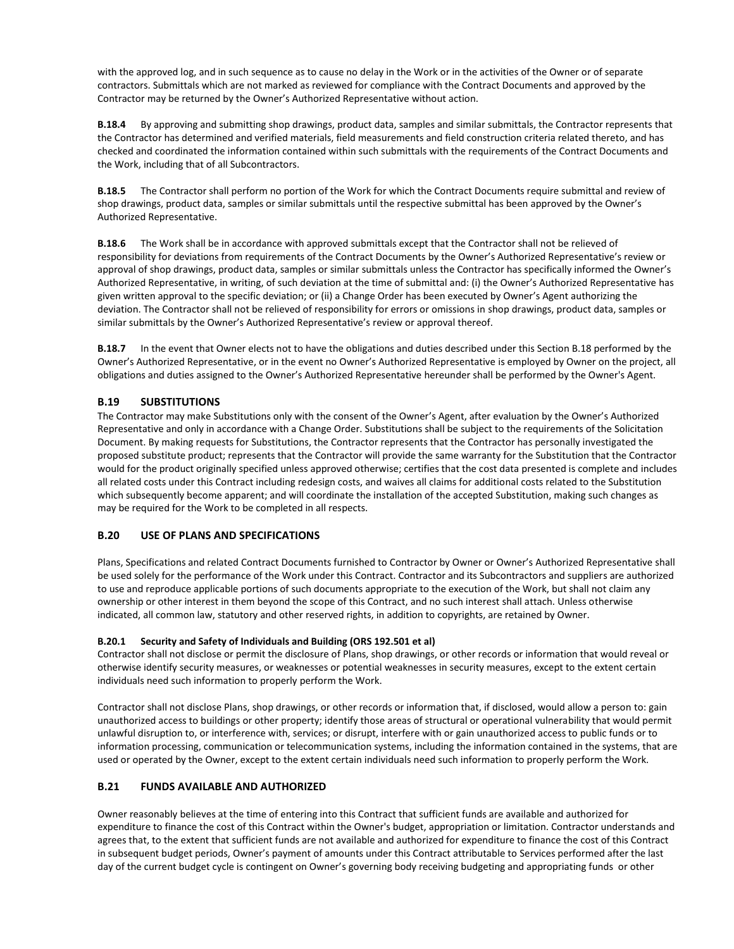with the approved log, and in such sequence as to cause no delay in the Work or in the activities of the Owner or of separate contractors. Submittals which are not marked as reviewed for compliance with the Contract Documents and approved by the Contractor may be returned by the Owner's Authorized Representative without action.

**B.18.4** By approving and submitting shop drawings, product data, samples and similar submittals, the Contractor represents that the Contractor has determined and verified materials, field measurements and field construction criteria related thereto, and has checked and coordinated the information contained within such submittals with the requirements of the Contract Documents and the Work, including that of all Subcontractors.

**B.18.5** The Contractor shall perform no portion of the Work for which the Contract Documents require submittal and review of shop drawings, product data, samples or similar submittals until the respective submittal has been approved by the Owner's Authorized Representative.

**B.18.6** The Work shall be in accordance with approved submittals except that the Contractor shall not be relieved of responsibility for deviations from requirements of the Contract Documents by the Owner's Authorized Representative's review or approval of shop drawings, product data, samples or similar submittals unless the Contractor has specifically informed the Owner's Authorized Representative, in writing, of such deviation at the time of submittal and: (i) the Owner's Authorized Representative has given written approval to the specific deviation; or (ii) a Change Order has been executed by Owner's Agent authorizing the deviation. The Contractor shall not be relieved of responsibility for errors or omissions in shop drawings, product data, samples or similar submittals by the Owner's Authorized Representative's review or approval thereof.

**B.18.7** In the event that Owner elects not to have the obligations and duties described under this Section B.18 performed by the Owner's Authorized Representative, or in the event no Owner's Authorized Representative is employed by Owner on the project, all obligations and duties assigned to the Owner's Authorized Representative hereunder shall be performed by the Owner's Agent.

# **B.19 SUBSTITUTIONS**

The Contractor may make Substitutions only with the consent of the Owner's Agent, after evaluation by the Owner's Authorized Representative and only in accordance with a Change Order. Substitutions shall be subject to the requirements of the Solicitation Document. By making requests for Substitutions, the Contractor represents that the Contractor has personally investigated the proposed substitute product; represents that the Contractor will provide the same warranty for the Substitution that the Contractor would for the product originally specified unless approved otherwise; certifies that the cost data presented is complete and includes all related costs under this Contract including redesign costs, and waives all claims for additional costs related to the Substitution which subsequently become apparent; and will coordinate the installation of the accepted Substitution, making such changes as may be required for the Work to be completed in all respects.

# **B.20 USE OF PLANS AND SPECIFICATIONS**

Plans, Specifications and related Contract Documents furnished to Contractor by Owner or Owner's Authorized Representative shall be used solely for the performance of the Work under this Contract. Contractor and its Subcontractors and suppliers are authorized to use and reproduce applicable portions of such documents appropriate to the execution of the Work, but shall not claim any ownership or other interest in them beyond the scope of this Contract, and no such interest shall attach. Unless otherwise indicated, all common law, statutory and other reserved rights, in addition to copyrights, are retained by Owner.

#### **B.20.1 Security and Safety of Individuals and Building (ORS 192.501 et al)**

Contractor shall not disclose or permit the disclosure of Plans, shop drawings, or other records or information that would reveal or otherwise identify security measures, or weaknesses or potential weaknesses in security measures, except to the extent certain individuals need such information to properly perform the Work.

Contractor shall not disclose Plans, shop drawings, or other records or information that, if disclosed, would allow a person to: gain unauthorized access to buildings or other property; identify those areas of structural or operational vulnerability that would permit unlawful disruption to, or interference with, services; or disrupt, interfere with or gain unauthorized access to public funds or to information processing, communication or telecommunication systems, including the information contained in the systems, that are used or operated by the Owner, except to the extent certain individuals need such information to properly perform the Work.

# **B.21 FUNDS AVAILABLE AND AUTHORIZED**

Owner reasonably believes at the time of entering into this Contract that sufficient funds are available and authorized for expenditure to finance the cost of this Contract within the Owner's budget, appropriation or limitation. Contractor understands and agrees that, to the extent that sufficient funds are not available and authorized for expenditure to finance the cost of this Contract in subsequent budget periods, Owner's payment of amounts under this Contract attributable to Services performed after the last day of the current budget cycle is contingent on Owner's governing body receiving budgeting and appropriating funds or other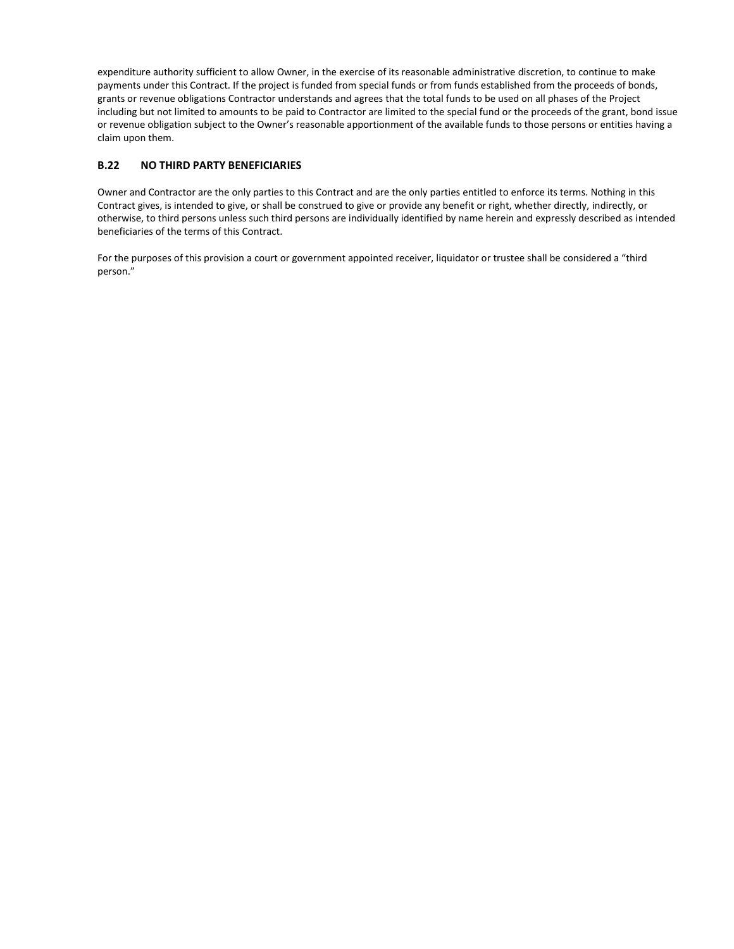expenditure authority sufficient to allow Owner, in the exercise of its reasonable administrative discretion, to continue to make payments under this Contract. If the project is funded from special funds or from funds established from the proceeds of bonds, grants or revenue obligations Contractor understands and agrees that the total funds to be used on all phases of the Project including but not limited to amounts to be paid to Contractor are limited to the special fund or the proceeds of the grant, bond issue or revenue obligation subject to the Owner's reasonable apportionment of the available funds to those persons or entities having a claim upon them.

# **B.22 NO THIRD PARTY BENEFICIARIES**

Owner and Contractor are the only parties to this Contract and are the only parties entitled to enforce its terms. Nothing in this Contract gives, is intended to give, or shall be construed to give or provide any benefit or right, whether directly, indirectly, or otherwise, to third persons unless such third persons are individually identified by name herein and expressly described as intended beneficiaries of the terms of this Contract.

For the purposes of this provision a court or government appointed receiver, liquidator or trustee shall be considered a "third person."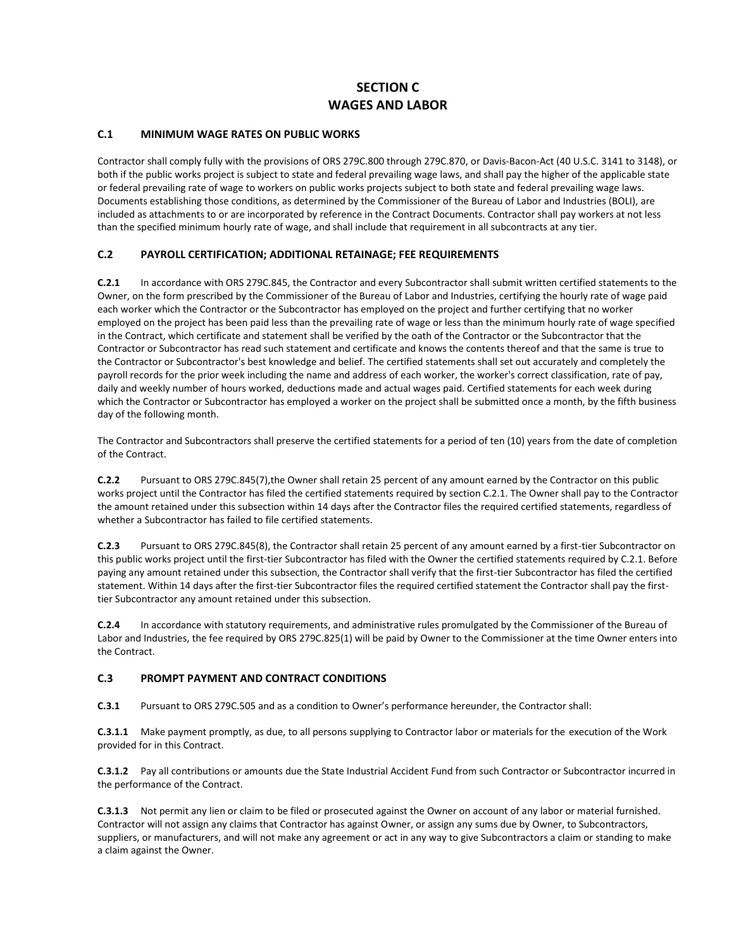# **SECTION C WAGES AND LABOR**

## **C.1 MINIMUM WAGE RATES ON PUBLIC WORKS**

Contractor shall comply fully with the provisions of ORS 279C.800 through 279C.870, or Davis-Bacon-Act (40 U.S.C. 3141 to 3148), or both if the public works project is subject to state and federal prevailing wage laws, and shall pay the higher of the applicable state or federal prevailing rate of wage to workers on public works projects subject to both state and federal prevailing wage laws. Documents establishing those conditions, as determined by the Commissioner of the Bureau of Labor and Industries (BOLI), are included as attachments to or are incorporated by reference in the Contract Documents. Contractor shall pay workers at not less than the specified minimum hourly rate of wage, and shall include that requirement in all subcontracts at any tier.

## **C.2 PAYROLL CERTIFICATION; ADDITIONAL RETAINAGE; FEE REQUIREMENTS**

**C.2.1** In accordance with ORS 279C.845, the Contractor and every Subcontractor shall submit written certified statements to the Owner, on the form prescribed by the Commissioner of the Bureau of Labor and Industries, certifying the hourly rate of wage paid each worker which the Contractor or the Subcontractor has employed on the project and further certifying that no worker employed on the project has been paid less than the prevailing rate of wage or less than the minimum hourly rate of wage specified in the Contract, which certificate and statement shall be verified by the oath of the Contractor or the Subcontractor that the Contractor or Subcontractor has read such statement and certificate and knows the contents thereof and that the same is true to the Contractor or Subcontractor's best knowledge and belief. The certified statements shall set out accurately and completely the payroll records for the prior week including the name and address of each worker, the worker's correct classification, rate of pay, daily and weekly number of hours worked, deductions made and actual wages paid. Certified statements for each week during which the Contractor or Subcontractor has employed a worker on the project shall be submitted once a month, by the fifth business day of the following month.

The Contractor and Subcontractors shall preserve the certified statements for a period of ten (10) years from the date of completion of the Contract.

**C.2.2** Pursuant to ORS 279C.845(7),the Owner shall retain 25 percent of any amount earned by the Contractor on this public works project until the Contractor has filed the certified statements required by section C.2.1. The Owner shall pay to the Contractor the amount retained under this subsection within 14 days after the Contractor files the required certified statements, regardless of whether a Subcontractor has failed to file certified statements.

**C.2.3** Pursuant to ORS 279C.845(8), the Contractor shall retain 25 percent of any amount earned by a first-tier Subcontractor on this public works project until the first-tier Subcontractor has filed with the Owner the certified statements required by C.2.1. Before paying any amount retained under this subsection, the Contractor shall verify that the first-tier Subcontractor has filed the certified statement. Within 14 days after the first-tier Subcontractor files the required certified statement the Contractor shall pay the firsttier Subcontractor any amount retained under this subsection.

**C.2.4** In accordance with statutory requirements, and administrative rules promulgated by the Commissioner of the Bureau of Labor and Industries, the fee required by ORS 279C.825(1) will be paid by Owner to the Commissioner at the time Owner enters into the Contract.

## **C.3 PROMPT PAYMENT AND CONTRACT CONDITIONS**

**C.3.1** Pursuant to ORS 279C.505 and as a condition to Owner's performance hereunder, the Contractor shall:

**C.3.1.1** Make payment promptly, as due, to all persons supplying to Contractor labor or materials for the execution of the Work provided for in this Contract.

**C.3.1.2** Pay all contributions or amounts due the State Industrial Accident Fund from such Contractor or Subcontractor incurred in the performance of the Contract.

**C.3.1.3** Not permit any lien or claim to be filed or prosecuted against the Owner on account of any labor or material furnished. Contractor will not assign any claims that Contractor has against Owner, or assign any sums due by Owner, to Subcontractors, suppliers, or manufacturers, and will not make any agreement or act in any way to give Subcontractors a claim or standing to make a claim against the Owner.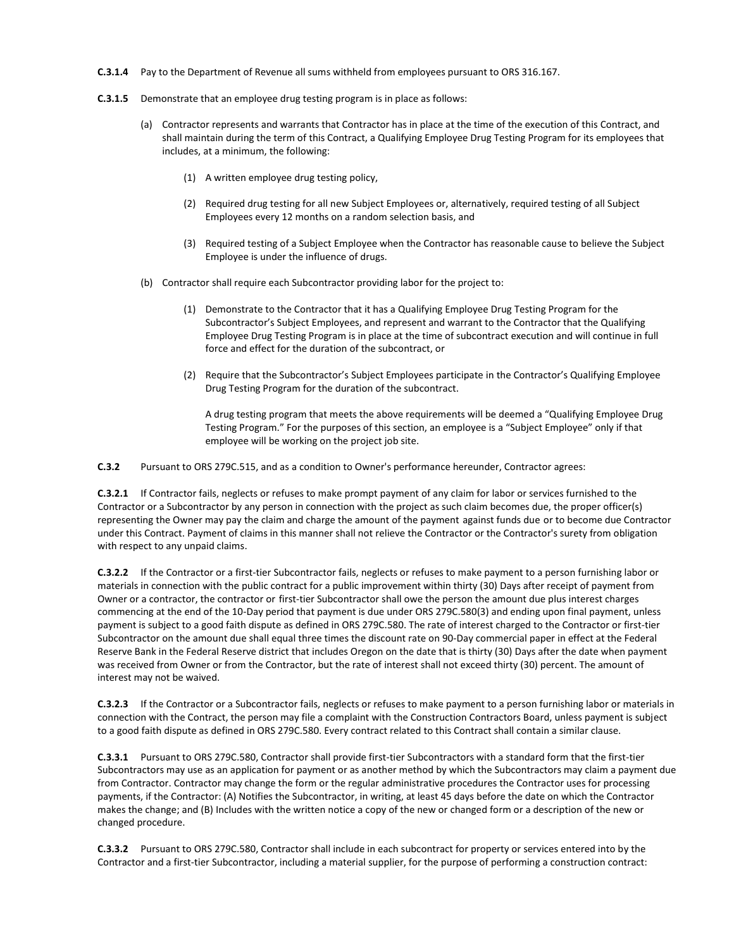- **C.3.1.4** Pay to the Department of Revenue all sums withheld from employees pursuant to ORS 316.167.
- **C.3.1.5** Demonstrate that an employee drug testing program is in place as follows:
	- (a) Contractor represents and warrants that Contractor has in place at the time of the execution of this Contract, and shall maintain during the term of this Contract, a Qualifying Employee Drug Testing Program for its employees that includes, at a minimum, the following:
		- (1) A written employee drug testing policy,
		- (2) Required drug testing for all new Subject Employees or, alternatively, required testing of all Subject Employees every 12 months on a random selection basis, and
		- (3) Required testing of a Subject Employee when the Contractor has reasonable cause to believe the Subject Employee is under the influence of drugs.
	- (b) Contractor shall require each Subcontractor providing labor for the project to:
		- (1) Demonstrate to the Contractor that it has a Qualifying Employee Drug Testing Program for the Subcontractor's Subject Employees, and represent and warrant to the Contractor that the Qualifying Employee Drug Testing Program is in place at the time of subcontract execution and will continue in full force and effect for the duration of the subcontract, or
		- (2) Require that the Subcontractor's Subject Employees participate in the Contractor's Qualifying Employee Drug Testing Program for the duration of the subcontract.

A drug testing program that meets the above requirements will be deemed a "Qualifying Employee Drug Testing Program." For the purposes of this section, an employee is a "Subject Employee" only if that employee will be working on the project job site.

**C.3.2** Pursuant to ORS 279C.515, and as a condition to Owner's performance hereunder, Contractor agrees:

**C.3.2.1** If Contractor fails, neglects or refuses to make prompt payment of any claim for labor or services furnished to the Contractor or a Subcontractor by any person in connection with the project as such claim becomes due, the proper officer(s) representing the Owner may pay the claim and charge the amount of the payment against funds due or to become due Contractor under this Contract. Payment of claims in this manner shall not relieve the Contractor or the Contractor's surety from obligation with respect to any unpaid claims.

**C.3.2.2** If the Contractor or a first-tier Subcontractor fails, neglects or refuses to make payment to a person furnishing labor or materials in connection with the public contract for a public improvement within thirty (30) Days after receipt of payment from Owner or a contractor, the contractor or first-tier Subcontractor shall owe the person the amount due plus interest charges commencing at the end of the 10-Day period that payment is due under ORS 279C.580(3) and ending upon final payment, unless payment is subject to a good faith dispute as defined in ORS 279C.580. The rate of interest charged to the Contractor or first-tier Subcontractor on the amount due shall equal three times the discount rate on 90-Day commercial paper in effect at the Federal Reserve Bank in the Federal Reserve district that includes Oregon on the date that is thirty (30) Days after the date when payment was received from Owner or from the Contractor, but the rate of interest shall not exceed thirty (30) percent. The amount of interest may not be waived.

**C.3.2.3** If the Contractor or a Subcontractor fails, neglects or refuses to make payment to a person furnishing labor or materials in connection with the Contract, the person may file a complaint with the Construction Contractors Board, unless payment is subject to a good faith dispute as defined in ORS 279C.580. Every contract related to this Contract shall contain a similar clause.

**C.3.3.1** Pursuant to ORS 279C.580, Contractor shall provide first-tier Subcontractors with a standard form that the first-tier Subcontractors may use as an application for payment or as another method by which the Subcontractors may claim a payment due from Contractor. Contractor may change the form or the regular administrative procedures the Contractor uses for processing payments, if the Contractor: (A) Notifies the Subcontractor, in writing, at least 45 days before the date on which the Contractor makes the change; and (B) Includes with the written notice a copy of the new or changed form or a description of the new or changed procedure.

**C.3.3.2** Pursuant to ORS 279C.580, Contractor shall include in each subcontract for property or services entered into by the Contractor and a first-tier Subcontractor, including a material supplier, for the purpose of performing a construction contract: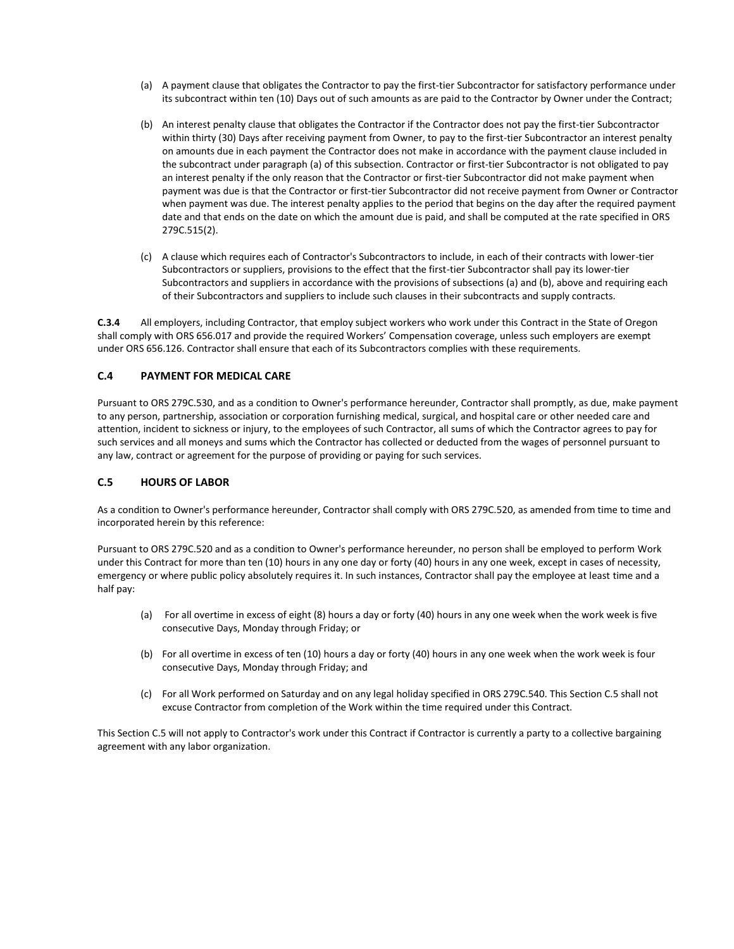- (a) A payment clause that obligates the Contractor to pay the first-tier Subcontractor for satisfactory performance under its subcontract within ten (10) Days out of such amounts as are paid to the Contractor by Owner under the Contract;
- (b) An interest penalty clause that obligates the Contractor if the Contractor does not pay the first-tier Subcontractor within thirty (30) Days after receiving payment from Owner, to pay to the first-tier Subcontractor an interest penalty on amounts due in each payment the Contractor does not make in accordance with the payment clause included in the subcontract under paragraph (a) of this subsection. Contractor or first-tier Subcontractor is not obligated to pay an interest penalty if the only reason that the Contractor or first-tier Subcontractor did not make payment when payment was due is that the Contractor or first-tier Subcontractor did not receive payment from Owner or Contractor when payment was due. The interest penalty applies to the period that begins on the day after the required payment date and that ends on the date on which the amount due is paid, and shall be computed at the rate specified in ORS 279C.515(2).
- (c) A clause which requires each of Contractor's Subcontractors to include, in each of their contracts with lower-tier Subcontractors or suppliers, provisions to the effect that the first-tier Subcontractor shall pay its lower-tier Subcontractors and suppliers in accordance with the provisions of subsections (a) and (b), above and requiring each of their Subcontractors and suppliers to include such clauses in their subcontracts and supply contracts.

**C.3.4** All employers, including Contractor, that employ subject workers who work under this Contract in the State of Oregon shall comply with ORS 656.017 and provide the required Workers' Compensation coverage, unless such employers are exempt under ORS 656.126. Contractor shall ensure that each of its Subcontractors complies with these requirements.

## **C.4 PAYMENT FOR MEDICAL CARE**

Pursuant to ORS 279C.530, and as a condition to Owner's performance hereunder, Contractor shall promptly, as due, make payment to any person, partnership, association or corporation furnishing medical, surgical, and hospital care or other needed care and attention, incident to sickness or injury, to the employees of such Contractor, all sums of which the Contractor agrees to pay for such services and all moneys and sums which the Contractor has collected or deducted from the wages of personnel pursuant to any law, contract or agreement for the purpose of providing or paying for such services.

#### **C.5 HOURS OF LABOR**

As a condition to Owner's performance hereunder, Contractor shall comply with ORS 279C.520, as amended from time to time and incorporated herein by this reference:

Pursuant to ORS 279C.520 and as a condition to Owner's performance hereunder, no person shall be employed to perform Work under this Contract for more than ten (10) hours in any one day or forty (40) hours in any one week, except in cases of necessity, emergency or where public policy absolutely requires it. In such instances, Contractor shall pay the employee at least time and a half pay:

- (a) For all overtime in excess of eight (8) hours a day or forty (40) hours in any one week when the work week is five consecutive Days, Monday through Friday; or
- (b) For all overtime in excess of ten (10) hours a day or forty (40) hours in any one week when the work week is four consecutive Days, Monday through Friday; and
- (c) For all Work performed on Saturday and on any legal holiday specified in ORS 279C.540. This Section C.5 shall not excuse Contractor from completion of the Work within the time required under this Contract.

This Section C.5 will not apply to Contractor's work under this Contract if Contractor is currently a party to a collective bargaining agreement with any labor organization.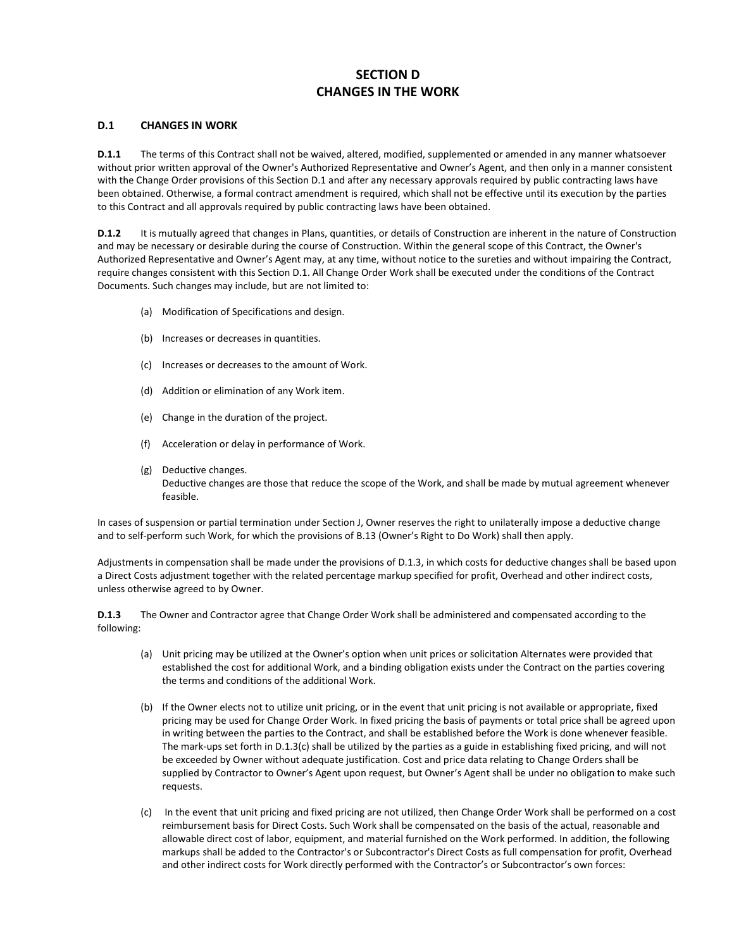# **SECTION D CHANGES IN THE WORK**

## **D.1 CHANGES IN WORK**

**D.1.1** The terms of this Contract shall not be waived, altered, modified, supplemented or amended in any manner whatsoever without prior written approval of the Owner's Authorized Representative and Owner's Agent, and then only in a manner consistent with the Change Order provisions of this Section D.1 and after any necessary approvals required by public contracting laws have been obtained. Otherwise, a formal contract amendment is required, which shall not be effective until its execution by the parties to this Contract and all approvals required by public contracting laws have been obtained.

**D.1.2** It is mutually agreed that changes in Plans, quantities, or details of Construction are inherent in the nature of Construction and may be necessary or desirable during the course of Construction. Within the general scope of this Contract, the Owner's Authorized Representative and Owner's Agent may, at any time, without notice to the sureties and without impairing the Contract, require changes consistent with this Section D.1. All Change Order Work shall be executed under the conditions of the Contract Documents. Such changes may include, but are not limited to:

- (a) Modification of Specifications and design.
- (b) Increases or decreases in quantities.
- (c) Increases or decreases to the amount of Work.
- (d) Addition or elimination of any Work item.
- (e) Change in the duration of the project.
- (f) Acceleration or delay in performance of Work.
- (g) Deductive changes. Deductive changes are those that reduce the scope of the Work, and shall be made by mutual agreement whenever feasible.

In cases of suspension or partial termination under Section J, Owner reserves the right to unilaterally impose a deductive change and to self-perform such Work, for which the provisions of B.13 (Owner's Right to Do Work) shall then apply.

Adjustments in compensation shall be made under the provisions of D.1.3, in which costs for deductive changes shall be based upon a Direct Costs adjustment together with the related percentage markup specified for profit, Overhead and other indirect costs, unless otherwise agreed to by Owner.

**D.1.3** The Owner and Contractor agree that Change Order Work shall be administered and compensated according to the following:

- (a) Unit pricing may be utilized at the Owner's option when unit prices or solicitation Alternates were provided that established the cost for additional Work, and a binding obligation exists under the Contract on the parties covering the terms and conditions of the additional Work.
- (b) If the Owner elects not to utilize unit pricing, or in the event that unit pricing is not available or appropriate, fixed pricing may be used for Change Order Work. In fixed pricing the basis of payments or total price shall be agreed upon in writing between the parties to the Contract, and shall be established before the Work is done whenever feasible. The mark-ups set forth in D.1.3(c) shall be utilized by the parties as a guide in establishing fixed pricing, and will not be exceeded by Owner without adequate justification. Cost and price data relating to Change Orders shall be supplied by Contractor to Owner's Agent upon request, but Owner's Agent shall be under no obligation to make such requests.
- (c) In the event that unit pricing and fixed pricing are not utilized, then Change Order Work shall be performed on a cost reimbursement basis for Direct Costs. Such Work shall be compensated on the basis of the actual, reasonable and allowable direct cost of labor, equipment, and material furnished on the Work performed. In addition, the following markups shall be added to the Contractor's or Subcontractor's Direct Costs as full compensation for profit, Overhead and other indirect costs for Work directly performed with the Contractor's or Subcontractor's own forces: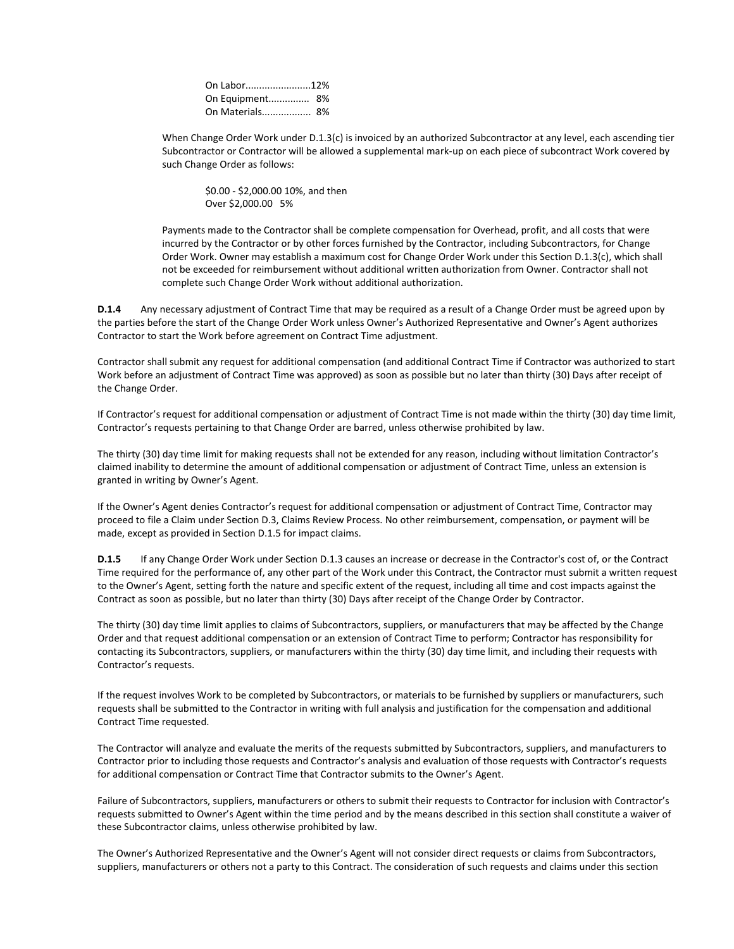| On Labor12%     |
|-----------------|
| On Equipment 8% |
| On Materials 8% |
|                 |

When Change Order Work under D.1.3(c) is invoiced by an authorized Subcontractor at any level, each ascending tier Subcontractor or Contractor will be allowed a supplemental mark-up on each piece of subcontract Work covered by such Change Order as follows:

\$0.00 - \$2,000.00 10%, and then Over \$2,000.00 5%

Payments made to the Contractor shall be complete compensation for Overhead, profit, and all costs that were incurred by the Contractor or by other forces furnished by the Contractor, including Subcontractors, for Change Order Work. Owner may establish a maximum cost for Change Order Work under this Section D.1.3(c), which shall not be exceeded for reimbursement without additional written authorization from Owner. Contractor shall not complete such Change Order Work without additional authorization.

**D.1.4** Any necessary adjustment of Contract Time that may be required as a result of a Change Order must be agreed upon by the parties before the start of the Change Order Work unless Owner's Authorized Representative and Owner's Agent authorizes Contractor to start the Work before agreement on Contract Time adjustment.

Contractor shall submit any request for additional compensation (and additional Contract Time if Contractor was authorized to start Work before an adjustment of Contract Time was approved) as soon as possible but no later than thirty (30) Days after receipt of the Change Order.

If Contractor's request for additional compensation or adjustment of Contract Time is not made within the thirty (30) day time limit, Contractor's requests pertaining to that Change Order are barred, unless otherwise prohibited by law.

The thirty (30) day time limit for making requests shall not be extended for any reason, including without limitation Contractor's claimed inability to determine the amount of additional compensation or adjustment of Contract Time, unless an extension is granted in writing by Owner's Agent.

If the Owner's Agent denies Contractor's request for additional compensation or adjustment of Contract Time, Contractor may proceed to file a Claim under Section D.3, Claims Review Process. No other reimbursement, compensation, or payment will be made, except as provided in Section D.1.5 for impact claims.

**D.1.5** If any Change Order Work under Section D.1.3 causes an increase or decrease in the Contractor's cost of, or the Contract Time required for the performance of, any other part of the Work under this Contract, the Contractor must submit a written request to the Owner's Agent, setting forth the nature and specific extent of the request, including all time and cost impacts against the Contract as soon as possible, but no later than thirty (30) Days after receipt of the Change Order by Contractor.

The thirty (30) day time limit applies to claims of Subcontractors, suppliers, or manufacturers that may be affected by the Change Order and that request additional compensation or an extension of Contract Time to perform; Contractor has responsibility for contacting its Subcontractors, suppliers, or manufacturers within the thirty (30) day time limit, and including their requests with Contractor's requests.

If the request involves Work to be completed by Subcontractors, or materials to be furnished by suppliers or manufacturers, such requests shall be submitted to the Contractor in writing with full analysis and justification for the compensation and additional Contract Time requested.

The Contractor will analyze and evaluate the merits of the requests submitted by Subcontractors, suppliers, and manufacturers to Contractor prior to including those requests and Contractor's analysis and evaluation of those requests with Contractor's requests for additional compensation or Contract Time that Contractor submits to the Owner's Agent.

Failure of Subcontractors, suppliers, manufacturers or others to submit their requests to Contractor for inclusion with Contractor's requests submitted to Owner's Agent within the time period and by the means described in this section shall constitute a waiver of these Subcontractor claims, unless otherwise prohibited by law.

The Owner's Authorized Representative and the Owner's Agent will not consider direct requests or claims from Subcontractors, suppliers, manufacturers or others not a party to this Contract. The consideration of such requests and claims under this section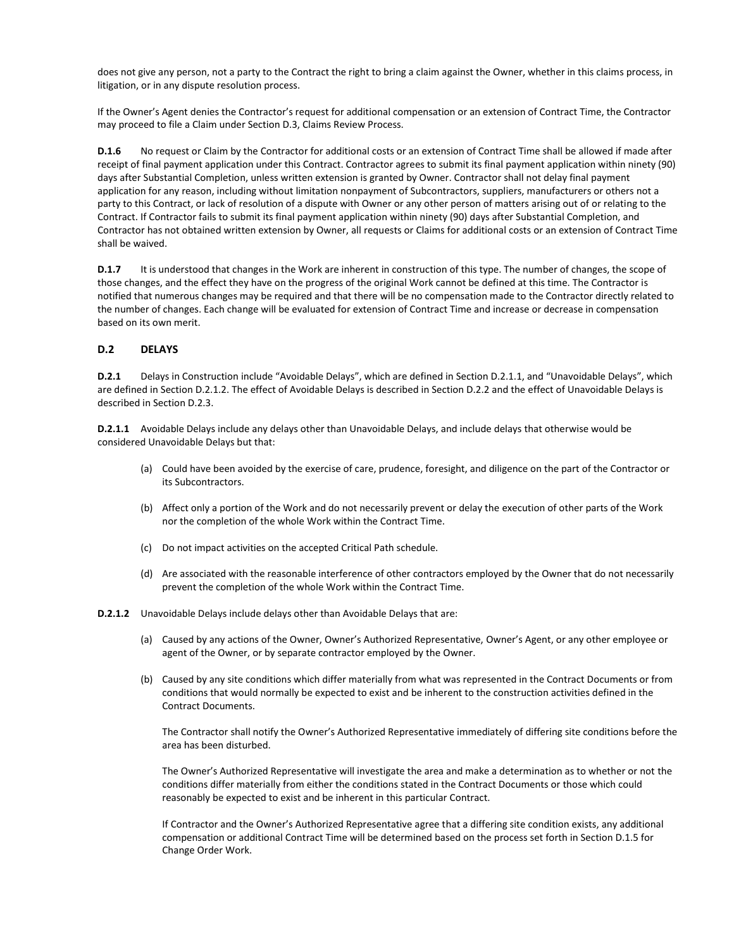does not give any person, not a party to the Contract the right to bring a claim against the Owner, whether in this claims process, in litigation, or in any dispute resolution process.

If the Owner's Agent denies the Contractor's request for additional compensation or an extension of Contract Time, the Contractor may proceed to file a Claim under Section D.3, Claims Review Process.

**D.1.6** No request or Claim by the Contractor for additional costs or an extension of Contract Time shall be allowed if made after receipt of final payment application under this Contract. Contractor agrees to submit its final payment application within ninety (90) days after Substantial Completion, unless written extension is granted by Owner. Contractor shall not delay final payment application for any reason, including without limitation nonpayment of Subcontractors, suppliers, manufacturers or others not a party to this Contract, or lack of resolution of a dispute with Owner or any other person of matters arising out of or relating to the Contract. If Contractor fails to submit its final payment application within ninety (90) days after Substantial Completion, and Contractor has not obtained written extension by Owner, all requests or Claims for additional costs or an extension of Contract Time shall be waived.

**D.1.7** It is understood that changes in the Work are inherent in construction of this type. The number of changes, the scope of those changes, and the effect they have on the progress of the original Work cannot be defined at this time. The Contractor is notified that numerous changes may be required and that there will be no compensation made to the Contractor directly related to the number of changes. Each change will be evaluated for extension of Contract Time and increase or decrease in compensation based on its own merit.

## **D.2 DELAYS**

**D.2.1** Delays in Construction include "Avoidable Delays", which are defined in Section D.2.1.1, and "Unavoidable Delays", which are defined in Section D.2.1.2. The effect of Avoidable Delays is described in Section D.2.2 and the effect of Unavoidable Delays is described in Section D.2.3.

**D.2.1.1** Avoidable Delays include any delays other than Unavoidable Delays, and include delays that otherwise would be considered Unavoidable Delays but that:

- (a) Could have been avoided by the exercise of care, prudence, foresight, and diligence on the part of the Contractor or its Subcontractors.
- (b) Affect only a portion of the Work and do not necessarily prevent or delay the execution of other parts of the Work nor the completion of the whole Work within the Contract Time.
- (c) Do not impact activities on the accepted Critical Path schedule.
- (d) Are associated with the reasonable interference of other contractors employed by the Owner that do not necessarily prevent the completion of the whole Work within the Contract Time.
- **D.2.1.2** Unavoidable Delays include delays other than Avoidable Delays that are:
	- (a) Caused by any actions of the Owner, Owner's Authorized Representative, Owner's Agent, or any other employee or agent of the Owner, or by separate contractor employed by the Owner.
	- (b) Caused by any site conditions which differ materially from what was represented in the Contract Documents or from conditions that would normally be expected to exist and be inherent to the construction activities defined in the Contract Documents.

The Contractor shall notify the Owner's Authorized Representative immediately of differing site conditions before the area has been disturbed.

The Owner's Authorized Representative will investigate the area and make a determination as to whether or not the conditions differ materially from either the conditions stated in the Contract Documents or those which could reasonably be expected to exist and be inherent in this particular Contract.

If Contractor and the Owner's Authorized Representative agree that a differing site condition exists, any additional compensation or additional Contract Time will be determined based on the process set forth in Section D.1.5 for Change Order Work.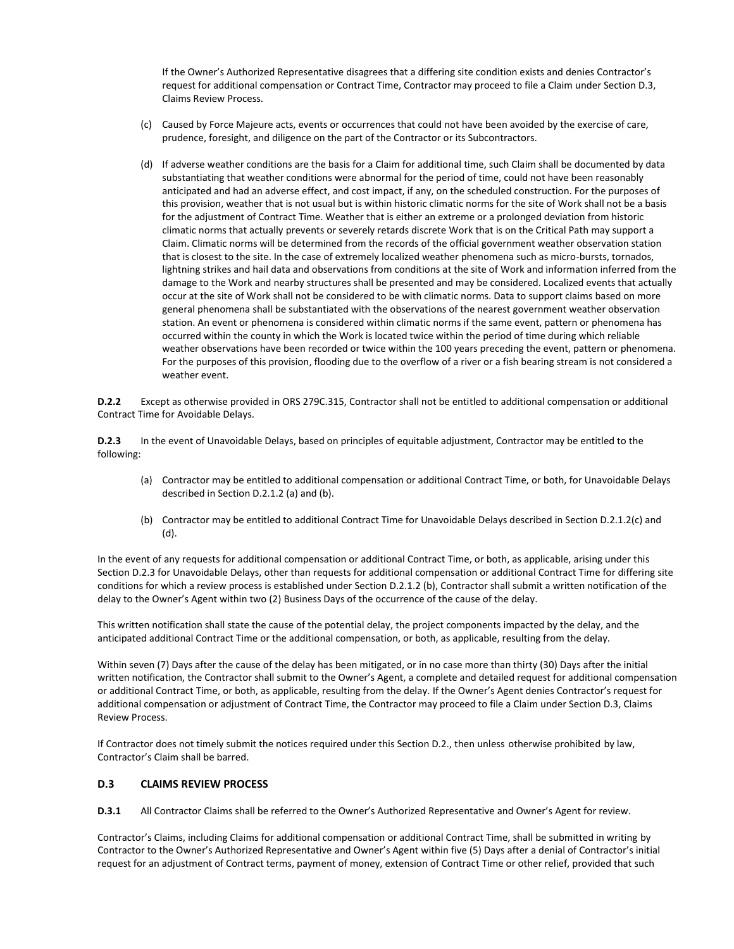If the Owner's Authorized Representative disagrees that a differing site condition exists and denies Contractor's request for additional compensation or Contract Time, Contractor may proceed to file a Claim under Section D.3, Claims Review Process.

- (c) Caused by Force Majeure acts, events or occurrences that could not have been avoided by the exercise of care, prudence, foresight, and diligence on the part of the Contractor or its Subcontractors.
- (d) If adverse weather conditions are the basis for a Claim for additional time, such Claim shall be documented by data substantiating that weather conditions were abnormal for the period of time, could not have been reasonably anticipated and had an adverse effect, and cost impact, if any, on the scheduled construction. For the purposes of this provision, weather that is not usual but is within historic climatic norms for the site of Work shall not be a basis for the adjustment of Contract Time. Weather that is either an extreme or a prolonged deviation from historic climatic norms that actually prevents or severely retards discrete Work that is on the Critical Path may support a Claim. Climatic norms will be determined from the records of the official government weather observation station that is closest to the site. In the case of extremely localized weather phenomena such as micro-bursts, tornados, lightning strikes and hail data and observations from conditions at the site of Work and information inferred from the damage to the Work and nearby structures shall be presented and may be considered. Localized events that actually occur at the site of Work shall not be considered to be with climatic norms. Data to support claims based on more general phenomena shall be substantiated with the observations of the nearest government weather observation station. An event or phenomena is considered within climatic norms if the same event, pattern or phenomena has occurred within the county in which the Work is located twice within the period of time during which reliable weather observations have been recorded or twice within the 100 years preceding the event, pattern or phenomena. For the purposes of this provision, flooding due to the overflow of a river or a fish bearing stream is not considered a weather event.

**D.2.2** Except as otherwise provided in ORS 279C.315, Contractor shall not be entitled to additional compensation or additional Contract Time for Avoidable Delays.

**D.2.3** In the event of Unavoidable Delays, based on principles of equitable adjustment, Contractor may be entitled to the following:

- (a) Contractor may be entitled to additional compensation or additional Contract Time, or both, for Unavoidable Delays described in Section D.2.1.2 (a) and (b).
- (b) Contractor may be entitled to additional Contract Time for Unavoidable Delays described in Section D.2.1.2(c) and (d).

In the event of any requests for additional compensation or additional Contract Time, or both, as applicable, arising under this Section D.2.3 for Unavoidable Delays, other than requests for additional compensation or additional Contract Time for differing site conditions for which a review process is established under Section D.2.1.2 (b), Contractor shall submit a written notification of the delay to the Owner's Agent within two (2) Business Days of the occurrence of the cause of the delay.

This written notification shall state the cause of the potential delay, the project components impacted by the delay, and the anticipated additional Contract Time or the additional compensation, or both, as applicable, resulting from the delay.

Within seven (7) Days after the cause of the delay has been mitigated, or in no case more than thirty (30) Days after the initial written notification, the Contractor shall submit to the Owner's Agent, a complete and detailed request for additional compensation or additional Contract Time, or both, as applicable, resulting from the delay. If the Owner's Agent denies Contractor's request for additional compensation or adjustment of Contract Time, the Contractor may proceed to file a Claim under Section D.3, Claims Review Process.

If Contractor does not timely submit the notices required under this Section D.2., then unless otherwise prohibited by law, Contractor's Claim shall be barred.

#### **D.3 CLAIMS REVIEW PROCESS**

**D.3.1** All Contractor Claims shall be referred to the Owner's Authorized Representative and Owner's Agent for review.

Contractor's Claims, including Claims for additional compensation or additional Contract Time, shall be submitted in writing by Contractor to the Owner's Authorized Representative and Owner's Agent within five (5) Days after a denial of Contractor's initial request for an adjustment of Contract terms, payment of money, extension of Contract Time or other relief, provided that such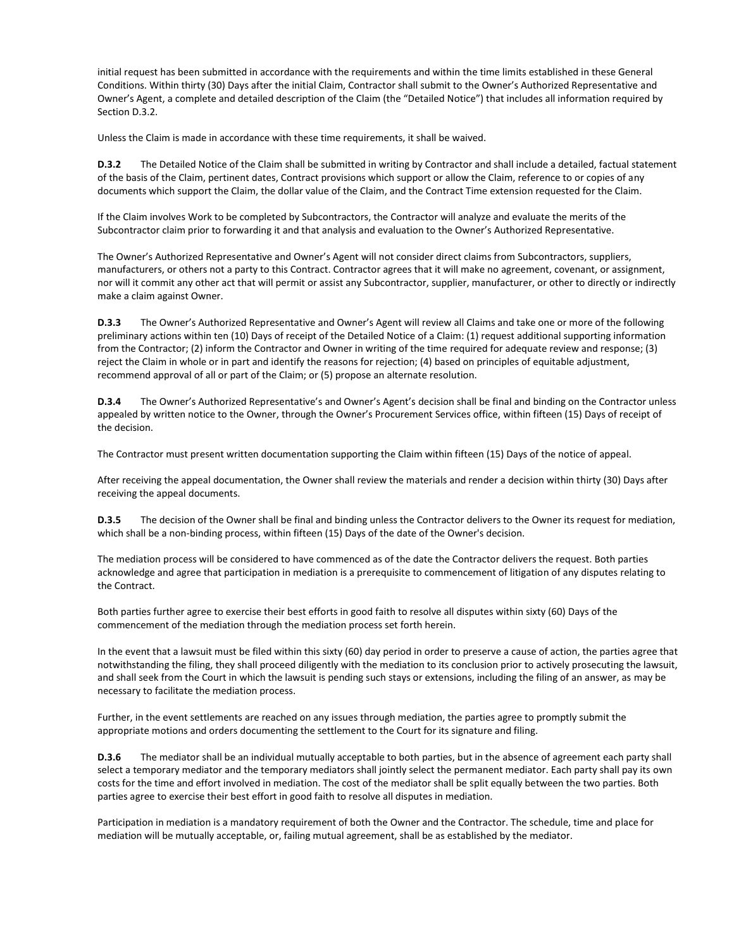initial request has been submitted in accordance with the requirements and within the time limits established in these General Conditions. Within thirty (30) Days after the initial Claim, Contractor shall submit to the Owner's Authorized Representative and Owner's Agent, a complete and detailed description of the Claim (the "Detailed Notice") that includes all information required by Section D.3.2.

Unless the Claim is made in accordance with these time requirements, it shall be waived.

**D.3.2** The Detailed Notice of the Claim shall be submitted in writing by Contractor and shall include a detailed, factual statement of the basis of the Claim, pertinent dates, Contract provisions which support or allow the Claim, reference to or copies of any documents which support the Claim, the dollar value of the Claim, and the Contract Time extension requested for the Claim.

If the Claim involves Work to be completed by Subcontractors, the Contractor will analyze and evaluate the merits of the Subcontractor claim prior to forwarding it and that analysis and evaluation to the Owner's Authorized Representative.

The Owner's Authorized Representative and Owner's Agent will not consider direct claims from Subcontractors, suppliers, manufacturers, or others not a party to this Contract. Contractor agrees that it will make no agreement, covenant, or assignment, nor will it commit any other act that will permit or assist any Subcontractor, supplier, manufacturer, or other to directly or indirectly make a claim against Owner.

**D.3.3** The Owner's Authorized Representative and Owner's Agent will review all Claims and take one or more of the following preliminary actions within ten (10) Days of receipt of the Detailed Notice of a Claim: (1) request additional supporting information from the Contractor; (2) inform the Contractor and Owner in writing of the time required for adequate review and response; (3) reject the Claim in whole or in part and identify the reasons for rejection; (4) based on principles of equitable adjustment, recommend approval of all or part of the Claim; or (5) propose an alternate resolution.

**D.3.4** The Owner's Authorized Representative's and Owner's Agent's decision shall be final and binding on the Contractor unless appealed by written notice to the Owner, through the Owner's Procurement Services office, within fifteen (15) Days of receipt of the decision.

The Contractor must present written documentation supporting the Claim within fifteen (15) Days of the notice of appeal.

After receiving the appeal documentation, the Owner shall review the materials and render a decision within thirty (30) Days after receiving the appeal documents.

**D.3.5** The decision of the Owner shall be final and binding unless the Contractor delivers to the Owner its request for mediation, which shall be a non-binding process, within fifteen (15) Days of the date of the Owner's decision.

The mediation process will be considered to have commenced as of the date the Contractor delivers the request. Both parties acknowledge and agree that participation in mediation is a prerequisite to commencement of litigation of any disputes relating to the Contract.

Both parties further agree to exercise their best efforts in good faith to resolve all disputes within sixty (60) Days of the commencement of the mediation through the mediation process set forth herein.

In the event that a lawsuit must be filed within this sixty (60) day period in order to preserve a cause of action, the parties agree that notwithstanding the filing, they shall proceed diligently with the mediation to its conclusion prior to actively prosecuting the lawsuit, and shall seek from the Court in which the lawsuit is pending such stays or extensions, including the filing of an answer, as may be necessary to facilitate the mediation process.

Further, in the event settlements are reached on any issues through mediation, the parties agree to promptly submit the appropriate motions and orders documenting the settlement to the Court for its signature and filing.

**D.3.6** The mediator shall be an individual mutually acceptable to both parties, but in the absence of agreement each party shall select a temporary mediator and the temporary mediators shall jointly select the permanent mediator. Each party shall pay its own costs for the time and effort involved in mediation. The cost of the mediator shall be split equally between the two parties. Both parties agree to exercise their best effort in good faith to resolve all disputes in mediation.

Participation in mediation is a mandatory requirement of both the Owner and the Contractor. The schedule, time and place for mediation will be mutually acceptable, or, failing mutual agreement, shall be as established by the mediator.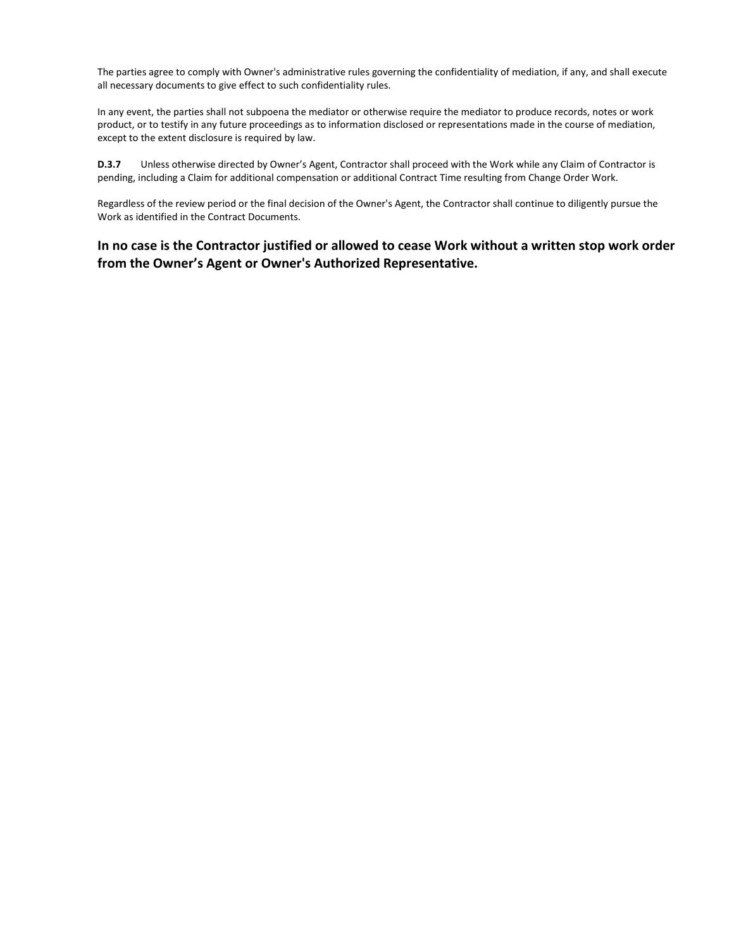The parties agree to comply with Owner's administrative rules governing the confidentiality of mediation, if any, and shall execute all necessary documents to give effect to such confidentiality rules.

In any event, the parties shall not subpoena the mediator or otherwise require the mediator to produce records, notes or work product, or to testify in any future proceedings as to information disclosed or representations made in the course of mediation, except to the extent disclosure is required by law.

**D.3.7** Unless otherwise directed by Owner's Agent, Contractor shall proceed with the Work while any Claim of Contractor is pending, including a Claim for additional compensation or additional Contract Time resulting from Change Order Work.

Regardless of the review period or the final decision of the Owner's Agent, the Contractor shall continue to diligently pursue the Work as identified in the Contract Documents.

# **In no case is the Contractor justified or allowed to cease Work without a written stop work order from the Owner's Agent or Owner's Authorized Representative.**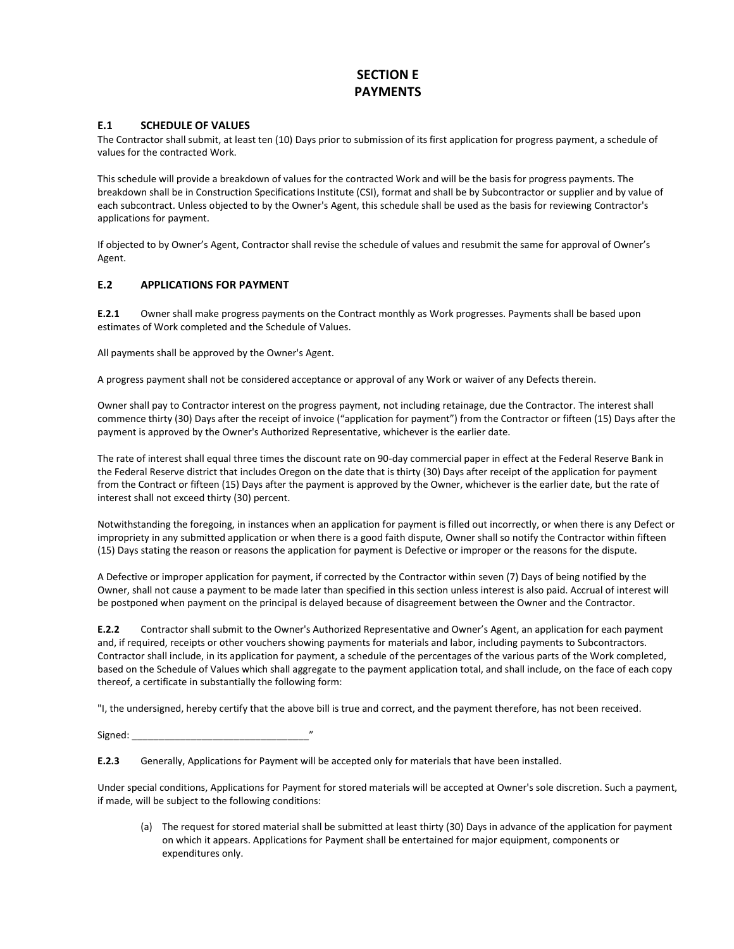# **SECTION E PAYMENTS**

## **E.1 SCHEDULE OF VALUES**

The Contractor shall submit, at least ten (10) Days prior to submission of its first application for progress payment, a schedule of values for the contracted Work.

This schedule will provide a breakdown of values for the contracted Work and will be the basis for progress payments. The breakdown shall be in Construction Specifications Institute (CSI), format and shall be by Subcontractor or supplier and by value of each subcontract. Unless objected to by the Owner's Agent, this schedule shall be used as the basis for reviewing Contractor's applications for payment.

If objected to by Owner's Agent, Contractor shall revise the schedule of values and resubmit the same for approval of Owner's Agent.

## **E.2 APPLICATIONS FOR PAYMENT**

**E.2.1** Owner shall make progress payments on the Contract monthly as Work progresses. Payments shall be based upon estimates of Work completed and the Schedule of Values.

All payments shall be approved by the Owner's Agent.

A progress payment shall not be considered acceptance or approval of any Work or waiver of any Defects therein.

Owner shall pay to Contractor interest on the progress payment, not including retainage, due the Contractor. The interest shall commence thirty (30) Days after the receipt of invoice ("application for payment") from the Contractor or fifteen (15) Days after the payment is approved by the Owner's Authorized Representative, whichever is the earlier date.

The rate of interest shall equal three times the discount rate on 90-day commercial paper in effect at the Federal Reserve Bank in the Federal Reserve district that includes Oregon on the date that is thirty (30) Days after receipt of the application for payment from the Contract or fifteen (15) Days after the payment is approved by the Owner, whichever is the earlier date, but the rate of interest shall not exceed thirty (30) percent.

Notwithstanding the foregoing, in instances when an application for payment is filled out incorrectly, or when there is any Defect or impropriety in any submitted application or when there is a good faith dispute, Owner shall so notify the Contractor within fifteen (15) Days stating the reason or reasons the application for payment is Defective or improper or the reasons for the dispute.

A Defective or improper application for payment, if corrected by the Contractor within seven (7) Days of being notified by the Owner, shall not cause a payment to be made later than specified in this section unless interest is also paid. Accrual of interest will be postponed when payment on the principal is delayed because of disagreement between the Owner and the Contractor.

**E.2.2** Contractor shall submit to the Owner's Authorized Representative and Owner's Agent, an application for each payment and, if required, receipts or other vouchers showing payments for materials and labor, including payments to Subcontractors. Contractor shall include, in its application for payment, a schedule of the percentages of the various parts of the Work completed, based on the Schedule of Values which shall aggregate to the payment application total, and shall include, on the face of each copy thereof, a certificate in substantially the following form:

"I, the undersigned, hereby certify that the above bill is true and correct, and the payment therefore, has not been received.

Signed:

**E.2.3** Generally, Applications for Payment will be accepted only for materials that have been installed.

Under special conditions, Applications for Payment for stored materials will be accepted at Owner's sole discretion. Such a payment, if made, will be subject to the following conditions:

(a) The request for stored material shall be submitted at least thirty (30) Days in advance of the application for payment on which it appears. Applications for Payment shall be entertained for major equipment, components or expenditures only.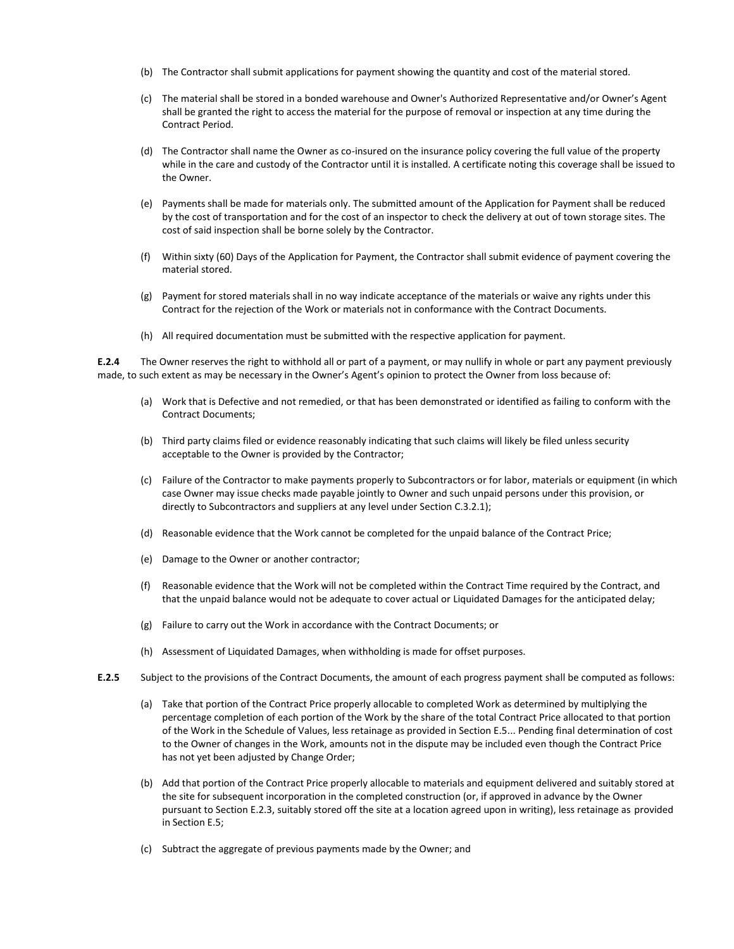- (b) The Contractor shall submit applications for payment showing the quantity and cost of the material stored.
- (c) The material shall be stored in a bonded warehouse and Owner's Authorized Representative and/or Owner's Agent shall be granted the right to access the material for the purpose of removal or inspection at any time during the Contract Period.
- (d) The Contractor shall name the Owner as co-insured on the insurance policy covering the full value of the property while in the care and custody of the Contractor until it is installed. A certificate noting this coverage shall be issued to the Owner.
- (e) Payments shall be made for materials only. The submitted amount of the Application for Payment shall be reduced by the cost of transportation and for the cost of an inspector to check the delivery at out of town storage sites. The cost of said inspection shall be borne solely by the Contractor.
- (f) Within sixty (60) Days of the Application for Payment, the Contractor shall submit evidence of payment covering the material stored.
- (g) Payment for stored materials shall in no way indicate acceptance of the materials or waive any rights under this Contract for the rejection of the Work or materials not in conformance with the Contract Documents.
- (h) All required documentation must be submitted with the respective application for payment.

**E.2.4** The Owner reserves the right to withhold all or part of a payment, or may nullify in whole or part any payment previously made, to such extent as may be necessary in the Owner's Agent's opinion to protect the Owner from loss because of:

- (a) Work that is Defective and not remedied, or that has been demonstrated or identified as failing to conform with the Contract Documents;
- (b) Third party claims filed or evidence reasonably indicating that such claims will likely be filed unless security acceptable to the Owner is provided by the Contractor;
- (c) Failure of the Contractor to make payments properly to Subcontractors or for labor, materials or equipment (in which case Owner may issue checks made payable jointly to Owner and such unpaid persons under this provision, or directly to Subcontractors and suppliers at any level under Section C.3.2.1);
- (d) Reasonable evidence that the Work cannot be completed for the unpaid balance of the Contract Price;
- (e) Damage to the Owner or another contractor;
- (f) Reasonable evidence that the Work will not be completed within the Contract Time required by the Contract, and that the unpaid balance would not be adequate to cover actual or Liquidated Damages for the anticipated delay;
- (g) Failure to carry out the Work in accordance with the Contract Documents; or
- (h) Assessment of Liquidated Damages, when withholding is made for offset purposes.
- **E.2.5** Subject to the provisions of the Contract Documents, the amount of each progress payment shall be computed as follows:
	- (a) Take that portion of the Contract Price properly allocable to completed Work as determined by multiplying the percentage completion of each portion of the Work by the share of the total Contract Price allocated to that portion of the Work in the Schedule of Values, less retainage as provided in Section E.5... Pending final determination of cost to the Owner of changes in the Work, amounts not in the dispute may be included even though the Contract Price has not yet been adjusted by Change Order;
	- (b) Add that portion of the Contract Price properly allocable to materials and equipment delivered and suitably stored at the site for subsequent incorporation in the completed construction (or, if approved in advance by the Owner pursuant to Section E.2.3, suitably stored off the site at a location agreed upon in writing), less retainage as provided in Section E.5;
	- (c) Subtract the aggregate of previous payments made by the Owner; and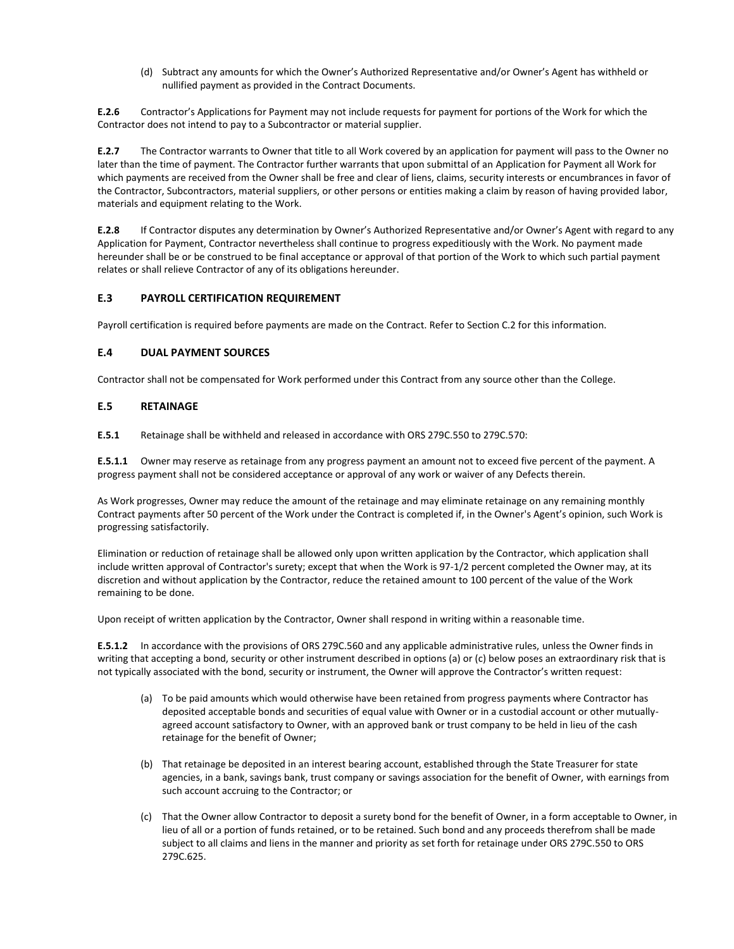(d) Subtract any amounts for which the Owner's Authorized Representative and/or Owner's Agent has withheld or nullified payment as provided in the Contract Documents.

**E.2.6** Contractor's Applications for Payment may not include requests for payment for portions of the Work for which the Contractor does not intend to pay to a Subcontractor or material supplier.

**E.2.7** The Contractor warrants to Owner that title to all Work covered by an application for payment will pass to the Owner no later than the time of payment. The Contractor further warrants that upon submittal of an Application for Payment all Work for which payments are received from the Owner shall be free and clear of liens, claims, security interests or encumbrances in favor of the Contractor, Subcontractors, material suppliers, or other persons or entities making a claim by reason of having provided labor, materials and equipment relating to the Work.

**E.2.8** If Contractor disputes any determination by Owner's Authorized Representative and/or Owner's Agent with regard to any Application for Payment, Contractor nevertheless shall continue to progress expeditiously with the Work. No payment made hereunder shall be or be construed to be final acceptance or approval of that portion of the Work to which such partial payment relates or shall relieve Contractor of any of its obligations hereunder.

## **E.3 PAYROLL CERTIFICATION REQUIREMENT**

Payroll certification is required before payments are made on the Contract. Refer to Section C.2 for this information.

## **E.4 DUAL PAYMENT SOURCES**

Contractor shall not be compensated for Work performed under this Contract from any source other than the College.

#### **E.5 RETAINAGE**

**E.5.1** Retainage shall be withheld and released in accordance with ORS 279C.550 to 279C.570:

**E.5.1.1** Owner may reserve as retainage from any progress payment an amount not to exceed five percent of the payment. A progress payment shall not be considered acceptance or approval of any work or waiver of any Defects therein.

As Work progresses, Owner may reduce the amount of the retainage and may eliminate retainage on any remaining monthly Contract payments after 50 percent of the Work under the Contract is completed if, in the Owner's Agent's opinion, such Work is progressing satisfactorily.

Elimination or reduction of retainage shall be allowed only upon written application by the Contractor, which application shall include written approval of Contractor's surety; except that when the Work is 97-1/2 percent completed the Owner may, at its discretion and without application by the Contractor, reduce the retained amount to 100 percent of the value of the Work remaining to be done.

Upon receipt of written application by the Contractor, Owner shall respond in writing within a reasonable time.

**E.5.1.2** In accordance with the provisions of ORS 279C.560 and any applicable administrative rules, unless the Owner finds in writing that accepting a bond, security or other instrument described in options (a) or (c) below poses an extraordinary risk that is not typically associated with the bond, security or instrument, the Owner will approve the Contractor's written request:

- (a) To be paid amounts which would otherwise have been retained from progress payments where Contractor has deposited acceptable bonds and securities of equal value with Owner or in a custodial account or other mutuallyagreed account satisfactory to Owner, with an approved bank or trust company to be held in lieu of the cash retainage for the benefit of Owner;
- (b) That retainage be deposited in an interest bearing account, established through the State Treasurer for state agencies, in a bank, savings bank, trust company or savings association for the benefit of Owner, with earnings from such account accruing to the Contractor; or
- (c) That the Owner allow Contractor to deposit a surety bond for the benefit of Owner, in a form acceptable to Owner, in lieu of all or a portion of funds retained, or to be retained. Such bond and any proceeds therefrom shall be made subject to all claims and liens in the manner and priority as set forth for retainage under ORS 279C.550 to ORS 279C.625.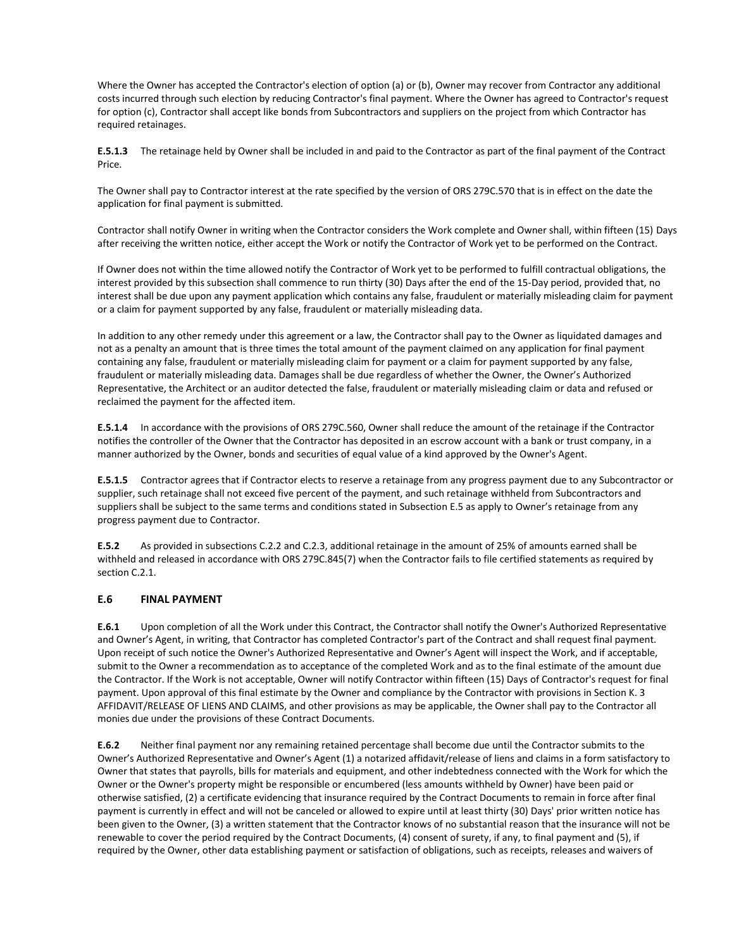Where the Owner has accepted the Contractor's election of option (a) or (b), Owner may recover from Contractor any additional costs incurred through such election by reducing Contractor's final payment. Where the Owner has agreed to Contractor's request for option (c), Contractor shall accept like bonds from Subcontractors and suppliers on the project from which Contractor has required retainages.

**E.5.1.3** The retainage held by Owner shall be included in and paid to the Contractor as part of the final payment of the Contract Price.

The Owner shall pay to Contractor interest at the rate specified by the version of ORS 279C.570 that is in effect on the date the application for final payment is submitted.

Contractor shall notify Owner in writing when the Contractor considers the Work complete and Owner shall, within fifteen (15) Days after receiving the written notice, either accept the Work or notify the Contractor of Work yet to be performed on the Contract.

If Owner does not within the time allowed notify the Contractor of Work yet to be performed to fulfill contractual obligations, the interest provided by this subsection shall commence to run thirty (30) Days after the end of the 15-Day period, provided that, no interest shall be due upon any payment application which contains any false, fraudulent or materially misleading claim for payment or a claim for payment supported by any false, fraudulent or materially misleading data.

In addition to any other remedy under this agreement or a law, the Contractor shall pay to the Owner as liquidated damages and not as a penalty an amount that is three times the total amount of the payment claimed on any application for final payment containing any false, fraudulent or materially misleading claim for payment or a claim for payment supported by any false, fraudulent or materially misleading data. Damages shall be due regardless of whether the Owner, the Owner's Authorized Representative, the Architect or an auditor detected the false, fraudulent or materially misleading claim or data and refused or reclaimed the payment for the affected item.

**E.5.1.4** In accordance with the provisions of ORS 279C.560, Owner shall reduce the amount of the retainage if the Contractor notifies the controller of the Owner that the Contractor has deposited in an escrow account with a bank or trust company, in a manner authorized by the Owner, bonds and securities of equal value of a kind approved by the Owner's Agent.

**E.5.1.5** Contractor agrees that if Contractor elects to reserve a retainage from any progress payment due to any Subcontractor or supplier, such retainage shall not exceed five percent of the payment, and such retainage withheld from Subcontractors and suppliers shall be subject to the same terms and conditions stated in Subsection E.5 as apply to Owner's retainage from any progress payment due to Contractor.

**E.5.2** As provided in subsections C.2.2 and C.2.3, additional retainage in the amount of 25% of amounts earned shall be withheld and released in accordance with ORS 279C.845(7) when the Contractor fails to file certified statements as required by section C.2.1.

## **E.6 FINAL PAYMENT**

**E.6.1** Upon completion of all the Work under this Contract, the Contractor shall notify the Owner's Authorized Representative and Owner's Agent, in writing, that Contractor has completed Contractor's part of the Contract and shall request final payment. Upon receipt of such notice the Owner's Authorized Representative and Owner's Agent will inspect the Work, and if acceptable, submit to the Owner a recommendation as to acceptance of the completed Work and as to the final estimate of the amount due the Contractor. If the Work is not acceptable, Owner will notify Contractor within fifteen (15) Days of Contractor's request for final payment. Upon approval of this final estimate by the Owner and compliance by the Contractor with provisions in Section K. 3 AFFIDAVIT/RELEASE OF LIENS AND CLAIMS, and other provisions as may be applicable, the Owner shall pay to the Contractor all monies due under the provisions of these Contract Documents.

**E.6.2** Neither final payment nor any remaining retained percentage shall become due until the Contractor submits to the Owner's Authorized Representative and Owner's Agent (1) a notarized affidavit/release of liens and claims in a form satisfactory to Owner that states that payrolls, bills for materials and equipment, and other indebtedness connected with the Work for which the Owner or the Owner's property might be responsible or encumbered (less amounts withheld by Owner) have been paid or otherwise satisfied, (2) a certificate evidencing that insurance required by the Contract Documents to remain in force after final payment is currently in effect and will not be canceled or allowed to expire until at least thirty (30) Days' prior written notice has been given to the Owner, (3) a written statement that the Contractor knows of no substantial reason that the insurance will not be renewable to cover the period required by the Contract Documents, (4) consent of surety, if any, to final payment and (5), if required by the Owner, other data establishing payment or satisfaction of obligations, such as receipts, releases and waivers of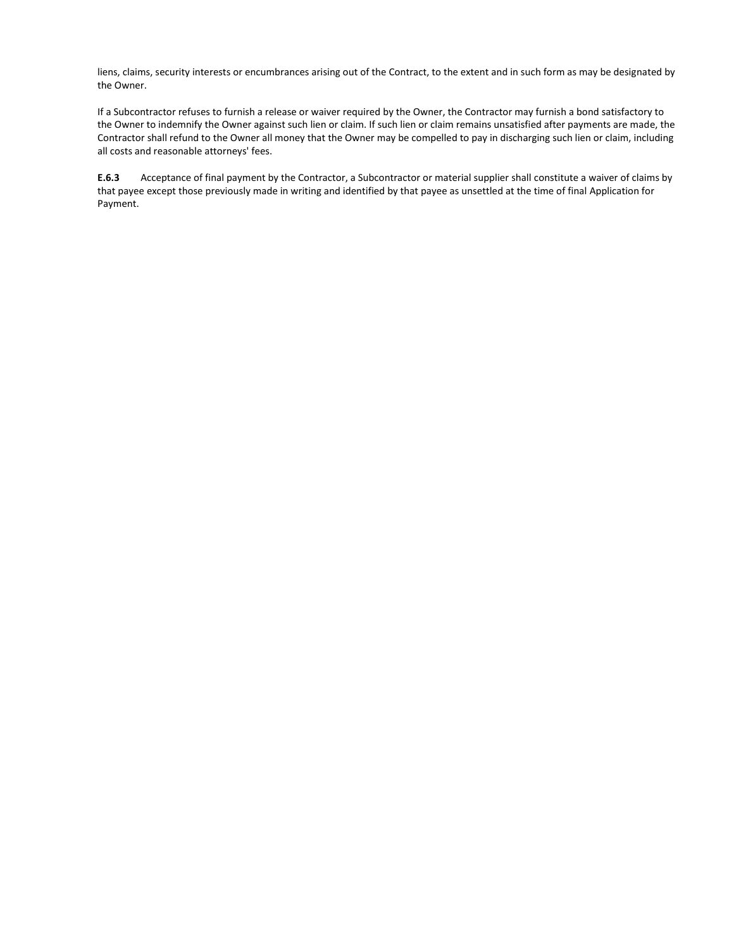liens, claims, security interests or encumbrances arising out of the Contract, to the extent and in such form as may be designated by the Owner.

If a Subcontractor refuses to furnish a release or waiver required by the Owner, the Contractor may furnish a bond satisfactory to the Owner to indemnify the Owner against such lien or claim. If such lien or claim remains unsatisfied after payments are made, the Contractor shall refund to the Owner all money that the Owner may be compelled to pay in discharging such lien or claim, including all costs and reasonable attorneys' fees.

**E.6.3** Acceptance of final payment by the Contractor, a Subcontractor or material supplier shall constitute a waiver of claims by that payee except those previously made in writing and identified by that payee as unsettled at the time of final Application for Payment.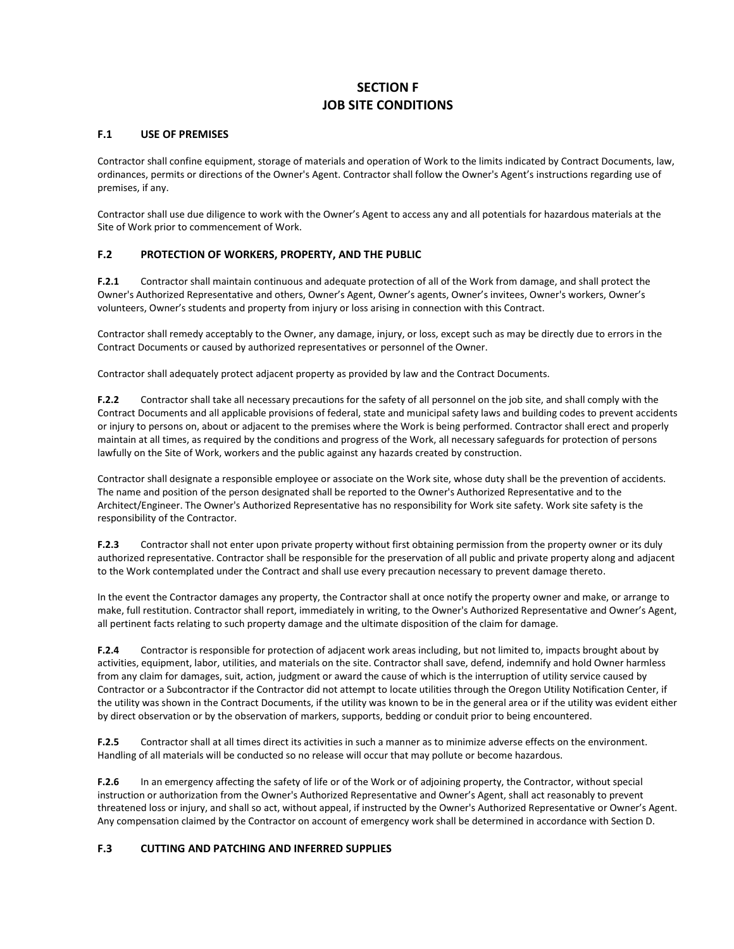# **SECTION F JOB SITE CONDITIONS**

### **F.1 USE OF PREMISES**

Contractor shall confine equipment, storage of materials and operation of Work to the limits indicated by Contract Documents, law, ordinances, permits or directions of the Owner's Agent. Contractor shall follow the Owner's Agent's instructions regarding use of premises, if any.

Contractor shall use due diligence to work with the Owner's Agent to access any and all potentials for hazardous materials at the Site of Work prior to commencement of Work.

# **F.2 PROTECTION OF WORKERS, PROPERTY, AND THE PUBLIC**

**F.2.1** Contractor shall maintain continuous and adequate protection of all of the Work from damage, and shall protect the Owner's Authorized Representative and others, Owner's Agent, Owner's agents, Owner's invitees, Owner's workers, Owner's volunteers, Owner's students and property from injury or loss arising in connection with this Contract.

Contractor shall remedy acceptably to the Owner, any damage, injury, or loss, except such as may be directly due to errors in the Contract Documents or caused by authorized representatives or personnel of the Owner.

Contractor shall adequately protect adjacent property as provided by law and the Contract Documents.

**F.2.2** Contractor shall take all necessary precautions for the safety of all personnel on the job site, and shall comply with the Contract Documents and all applicable provisions of federal, state and municipal safety laws and building codes to prevent accidents or injury to persons on, about or adjacent to the premises where the Work is being performed. Contractor shall erect and properly maintain at all times, as required by the conditions and progress of the Work, all necessary safeguards for protection of persons lawfully on the Site of Work, workers and the public against any hazards created by construction.

Contractor shall designate a responsible employee or associate on the Work site, whose duty shall be the prevention of accidents. The name and position of the person designated shall be reported to the Owner's Authorized Representative and to the Architect/Engineer. The Owner's Authorized Representative has no responsibility for Work site safety. Work site safety is the responsibility of the Contractor.

**F.2.3** Contractor shall not enter upon private property without first obtaining permission from the property owner or its duly authorized representative. Contractor shall be responsible for the preservation of all public and private property along and adjacent to the Work contemplated under the Contract and shall use every precaution necessary to prevent damage thereto.

In the event the Contractor damages any property, the Contractor shall at once notify the property owner and make, or arrange to make, full restitution. Contractor shall report, immediately in writing, to the Owner's Authorized Representative and Owner's Agent, all pertinent facts relating to such property damage and the ultimate disposition of the claim for damage.

**F.2.4** Contractor is responsible for protection of adjacent work areas including, but not limited to, impacts brought about by activities, equipment, labor, utilities, and materials on the site. Contractor shall save, defend, indemnify and hold Owner harmless from any claim for damages, suit, action, judgment or award the cause of which is the interruption of utility service caused by Contractor or a Subcontractor if the Contractor did not attempt to locate utilities through the Oregon Utility Notification Center, if the utility was shown in the Contract Documents, if the utility was known to be in the general area or if the utility was evident either by direct observation or by the observation of markers, supports, bedding or conduit prior to being encountered.

**F.2.5** Contractor shall at all times direct its activities in such a manner as to minimize adverse effects on the environment. Handling of all materials will be conducted so no release will occur that may pollute or become hazardous.

**F.2.6** In an emergency affecting the safety of life or of the Work or of adjoining property, the Contractor, without special instruction or authorization from the Owner's Authorized Representative and Owner's Agent, shall act reasonably to prevent threatened loss or injury, and shall so act, without appeal, if instructed by the Owner's Authorized Representative or Owner's Agent. Any compensation claimed by the Contractor on account of emergency work shall be determined in accordance with Section D.

# **F.3 CUTTING AND PATCHING AND INFERRED SUPPLIES**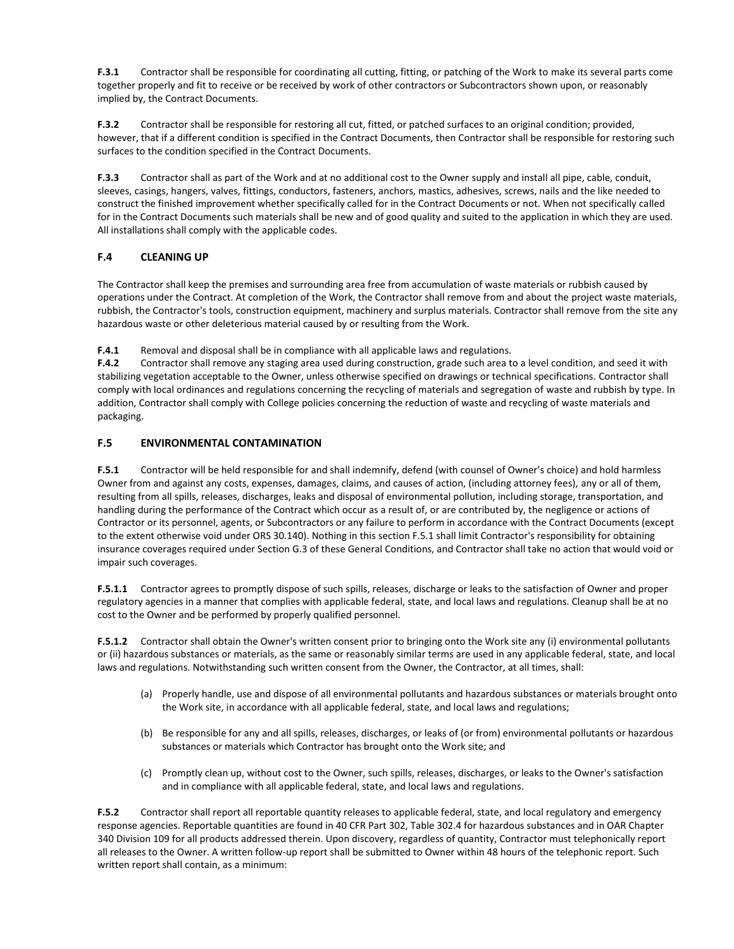**F.3.1** Contractor shall be responsible for coordinating all cutting, fitting, or patching of the Work to make its several parts come together properly and fit to receive or be received by work of other contractors or Subcontractors shown upon, or reasonably implied by, the Contract Documents.

**F.3.2** Contractor shall be responsible for restoring all cut, fitted, or patched surfaces to an original condition; provided, however, that if a different condition is specified in the Contract Documents, then Contractor shall be responsible for restoring such surfaces to the condition specified in the Contract Documents.

**F.3.3** Contractor shall as part of the Work and at no additional cost to the Owner supply and install all pipe, cable, conduit, sleeves, casings, hangers, valves, fittings, conductors, fasteners, anchors, mastics, adhesives, screws, nails and the like needed to construct the finished improvement whether specifically called for in the Contract Documents or not. When not specifically called for in the Contract Documents such materials shall be new and of good quality and suited to the application in which they are used. All installations shall comply with the applicable codes.

# **F.4 CLEANING UP**

The Contractor shall keep the premises and surrounding area free from accumulation of waste materials or rubbish caused by operations under the Contract. At completion of the Work, the Contractor shall remove from and about the project waste materials, rubbish, the Contractor's tools, construction equipment, machinery and surplus materials. Contractor shall remove from the site any hazardous waste or other deleterious material caused by or resulting from the Work.

**F.4.1** Removal and disposal shall be in compliance with all applicable laws and regulations.

**F.4.2** Contractor shall remove any staging area used during construction, grade such area to a level condition, and seed it with stabilizing vegetation acceptable to the Owner, unless otherwise specified on drawings or technical specifications. Contractor shall comply with local ordinances and regulations concerning the recycling of materials and segregation of waste and rubbish by type. In addition, Contractor shall comply with College policies concerning the reduction of waste and recycling of waste materials and packaging.

# **F.5 ENVIRONMENTAL CONTAMINATION**

**F.5.1** Contractor will be held responsible for and shall indemnify, defend (with counsel of Owner's choice) and hold harmless Owner from and against any costs, expenses, damages, claims, and causes of action, (including attorney fees), any or all of them, resulting from all spills, releases, discharges, leaks and disposal of environmental pollution, including storage, transportation, and handling during the performance of the Contract which occur as a result of, or are contributed by, the negligence or actions of Contractor or its personnel, agents, or Subcontractors or any failure to perform in accordance with the Contract Documents (except to the extent otherwise void under ORS 30.140). Nothing in this section F.5.1 shall limit Contractor's responsibility for obtaining insurance coverages required under Section G.3 of these General Conditions, and Contractor shall take no action that would void or impair such coverages.

**F.5.1.1** Contractor agrees to promptly dispose of such spills, releases, discharge or leaks to the satisfaction of Owner and proper regulatory agencies in a manner that complies with applicable federal, state, and local laws and regulations. Cleanup shall be at no cost to the Owner and be performed by properly qualified personnel.

**F.5.1.2** Contractor shall obtain the Owner's written consent prior to bringing onto the Work site any (i) environmental pollutants or (ii) hazardous substances or materials, as the same or reasonably similar terms are used in any applicable federal, state, and local laws and regulations. Notwithstanding such written consent from the Owner, the Contractor, at all times, shall:

- (a) Properly handle, use and dispose of all environmental pollutants and hazardous substances or materials brought onto the Work site, in accordance with all applicable federal, state, and local laws and regulations;
- (b) Be responsible for any and all spills, releases, discharges, or leaks of (or from) environmental pollutants or hazardous substances or materials which Contractor has brought onto the Work site; and
- (c) Promptly clean up, without cost to the Owner, such spills, releases, discharges, or leaks to the Owner's satisfaction and in compliance with all applicable federal, state, and local laws and regulations.

**F.5.2** Contractor shall report all reportable quantity releases to applicable federal, state, and local regulatory and emergency response agencies. Reportable quantities are found in 40 CFR Part 302, Table 302.4 for hazardous substances and in OAR Chapter 340 Division 109 for all products addressed therein. Upon discovery, regardless of quantity, Contractor must telephonically report all releases to the Owner. A written follow-up report shall be submitted to Owner within 48 hours of the telephonic report. Such written report shall contain, as a minimum: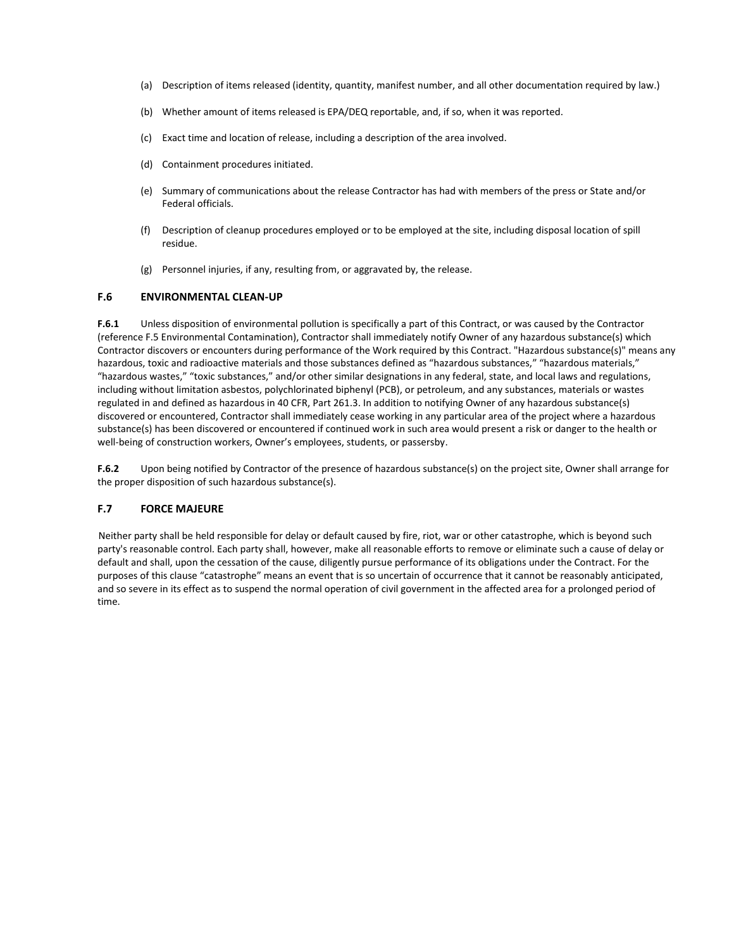- (a) Description of items released (identity, quantity, manifest number, and all other documentation required by law.)
- (b) Whether amount of items released is EPA/DEQ reportable, and, if so, when it was reported.
- (c) Exact time and location of release, including a description of the area involved.
- (d) Containment procedures initiated.
- (e) Summary of communications about the release Contractor has had with members of the press or State and/or Federal officials.
- (f) Description of cleanup procedures employed or to be employed at the site, including disposal location of spill residue.
- (g) Personnel injuries, if any, resulting from, or aggravated by, the release.

#### **F.6 ENVIRONMENTAL CLEAN-UP**

**F.6.1** Unless disposition of environmental pollution is specifically a part of this Contract, or was caused by the Contractor (reference F.5 Environmental Contamination), Contractor shall immediately notify Owner of any hazardous substance(s) which Contractor discovers or encounters during performance of the Work required by this Contract. "Hazardous substance(s)" means any hazardous, toxic and radioactive materials and those substances defined as "hazardous substances," "hazardous materials," "hazardous wastes," "toxic substances," and/or other similar designations in any federal, state, and local laws and regulations, including without limitation asbestos, polychlorinated biphenyl (PCB), or petroleum, and any substances, materials or wastes regulated in and defined as hazardous in 40 CFR, Part 261.3. In addition to notifying Owner of any hazardous substance(s) discovered or encountered, Contractor shall immediately cease working in any particular area of the project where a hazardous substance(s) has been discovered or encountered if continued work in such area would present a risk or danger to the health or well-being of construction workers, Owner's employees, students, or passersby.

**F.6.2** Upon being notified by Contractor of the presence of hazardous substance(s) on the project site, Owner shall arrange for the proper disposition of such hazardous substance(s).

#### **F.7 FORCE MAJEURE**

Neither party shall be held responsible for delay or default caused by fire, riot, war or other catastrophe, which is beyond such party's reasonable control. Each party shall, however, make all reasonable efforts to remove or eliminate such a cause of delay or default and shall, upon the cessation of the cause, diligently pursue performance of its obligations under the Contract. For the purposes of this clause "catastrophe" means an event that is so uncertain of occurrence that it cannot be reasonably anticipated, and so severe in its effect as to suspend the normal operation of civil government in the affected area for a prolonged period of time.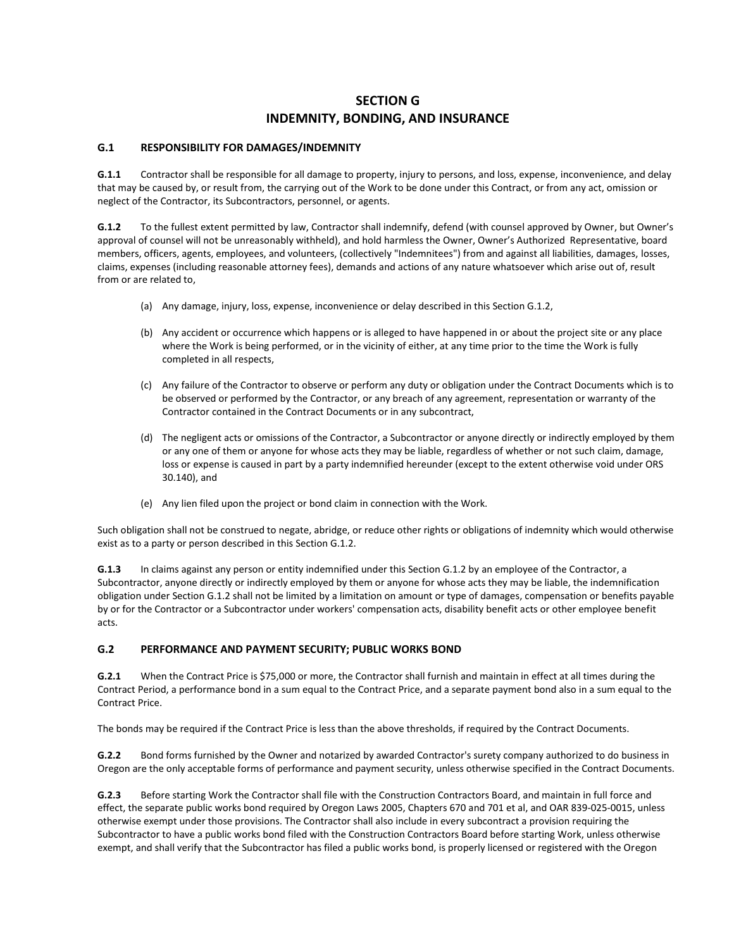# **SECTION G INDEMNITY, BONDING, AND INSURANCE**

### **G.1 RESPONSIBILITY FOR DAMAGES/INDEMNITY**

**G.1.1** Contractor shall be responsible for all damage to property, injury to persons, and loss, expense, inconvenience, and delay that may be caused by, or result from, the carrying out of the Work to be done under this Contract, or from any act, omission or neglect of the Contractor, its Subcontractors, personnel, or agents.

**G.1.2** To the fullest extent permitted by law, Contractor shall indemnify, defend (with counsel approved by Owner, but Owner's approval of counsel will not be unreasonably withheld), and hold harmless the Owner, Owner's Authorized Representative, board members, officers, agents, employees, and volunteers, (collectively "Indemnitees") from and against all liabilities, damages, losses, claims, expenses (including reasonable attorney fees), demands and actions of any nature whatsoever which arise out of, result from or are related to,

- (a) Any damage, injury, loss, expense, inconvenience or delay described in this Section G.1.2,
- (b) Any accident or occurrence which happens or is alleged to have happened in or about the project site or any place where the Work is being performed, or in the vicinity of either, at any time prior to the time the Work is fully completed in all respects,
- (c) Any failure of the Contractor to observe or perform any duty or obligation under the Contract Documents which is to be observed or performed by the Contractor, or any breach of any agreement, representation or warranty of the Contractor contained in the Contract Documents or in any subcontract,
- (d) The negligent acts or omissions of the Contractor, a Subcontractor or anyone directly or indirectly employed by them or any one of them or anyone for whose acts they may be liable, regardless of whether or not such claim, damage, loss or expense is caused in part by a party indemnified hereunder (except to the extent otherwise void under ORS 30.140), and
- (e) Any lien filed upon the project or bond claim in connection with the Work.

Such obligation shall not be construed to negate, abridge, or reduce other rights or obligations of indemnity which would otherwise exist as to a party or person described in this Section G.1.2.

**G.1.3** In claims against any person or entity indemnified under this Section G.1.2 by an employee of the Contractor, a Subcontractor, anyone directly or indirectly employed by them or anyone for whose acts they may be liable, the indemnification obligation under Section G.1.2 shall not be limited by a limitation on amount or type of damages, compensation or benefits payable by or for the Contractor or a Subcontractor under workers' compensation acts, disability benefit acts or other employee benefit acts.

# **G.2 PERFORMANCE AND PAYMENT SECURITY; PUBLIC WORKS BOND**

**G.2.1** When the Contract Price is \$75,000 or more, the Contractor shall furnish and maintain in effect at all times during the Contract Period, a performance bond in a sum equal to the Contract Price, and a separate payment bond also in a sum equal to the Contract Price.

The bonds may be required if the Contract Price is less than the above thresholds, if required by the Contract Documents.

**G.2.2** Bond forms furnished by the Owner and notarized by awarded Contractor's surety company authorized to do business in Oregon are the only acceptable forms of performance and payment security, unless otherwise specified in the Contract Documents.

**G.2.3** Before starting Work the Contractor shall file with the Construction Contractors Board, and maintain in full force and effect, the separate public works bond required by Oregon Laws 2005, Chapters 670 and 701 et al, and OAR 839-025-0015, unless otherwise exempt under those provisions. The Contractor shall also include in every subcontract a provision requiring the Subcontractor to have a public works bond filed with the Construction Contractors Board before starting Work, unless otherwise exempt, and shall verify that the Subcontractor has filed a public works bond, is properly licensed or registered with the Oregon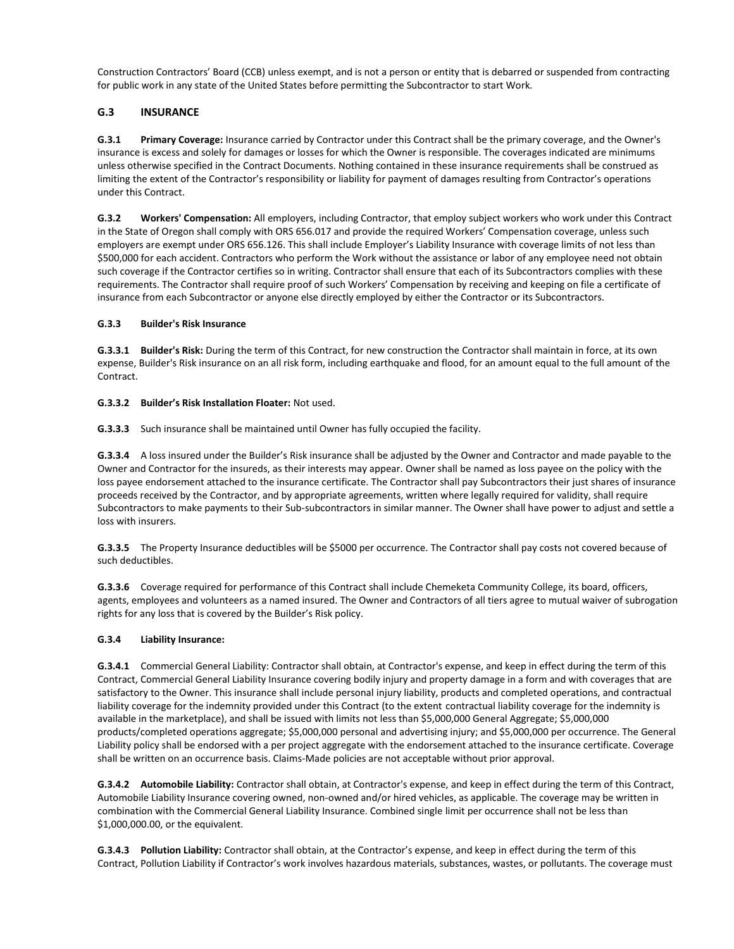Construction Contractors' Board (CCB) unless exempt, and is not a person or entity that is debarred or suspended from contracting for public work in any state of the United States before permitting the Subcontractor to start Work.

# **G.3 INSURANCE**

**G.3.1 Primary Coverage:** Insurance carried by Contractor under this Contract shall be the primary coverage, and the Owner's insurance is excess and solely for damages or losses for which the Owner is responsible. The coverages indicated are minimums unless otherwise specified in the Contract Documents. Nothing contained in these insurance requirements shall be construed as limiting the extent of the Contractor's responsibility or liability for payment of damages resulting from Contractor's operations under this Contract.

**G.3.2 Workers' Compensation:** All employers, including Contractor, that employ subject workers who work under this Contract in the State of Oregon shall comply with ORS 656.017 and provide the required Workers' Compensation coverage, unless such employers are exempt under ORS 656.126. This shall include Employer's Liability Insurance with coverage limits of not less than \$500,000 for each accident. Contractors who perform the Work without the assistance or labor of any employee need not obtain such coverage if the Contractor certifies so in writing. Contractor shall ensure that each of its Subcontractors complies with these requirements. The Contractor shall require proof of such Workers' Compensation by receiving and keeping on file a certificate of insurance from each Subcontractor or anyone else directly employed by either the Contractor or its Subcontractors.

## **G.3.3 Builder's Risk Insurance**

**G.3.3.1 Builder's Risk:** During the term of this Contract, for new construction the Contractor shall maintain in force, at its own expense, Builder's Risk insurance on an all risk form, including earthquake and flood, for an amount equal to the full amount of the Contract.

## **G.3.3.2 Builder's Risk Installation Floater:** Not used.

**G.3.3.3** Such insurance shall be maintained until Owner has fully occupied the facility.

**G.3.3.4** A loss insured under the Builder's Risk insurance shall be adjusted by the Owner and Contractor and made payable to the Owner and Contractor for the insureds, as their interests may appear. Owner shall be named as loss payee on the policy with the loss payee endorsement attached to the insurance certificate. The Contractor shall pay Subcontractors their just shares of insurance proceeds received by the Contractor, and by appropriate agreements, written where legally required for validity, shall require Subcontractors to make payments to their Sub-subcontractors in similar manner. The Owner shall have power to adjust and settle a loss with insurers.

**G.3.3.5** The Property Insurance deductibles will be \$5000 per occurrence. The Contractor shall pay costs not covered because of such deductibles.

**G.3.3.6** Coverage required for performance of this Contract shall include Chemeketa Community College, its board, officers, agents, employees and volunteers as a named insured. The Owner and Contractors of all tiers agree to mutual waiver of subrogation rights for any loss that is covered by the Builder's Risk policy.

#### **G.3.4 Liability Insurance:**

**G.3.4.1** Commercial General Liability: Contractor shall obtain, at Contractor's expense, and keep in effect during the term of this Contract, Commercial General Liability Insurance covering bodily injury and property damage in a form and with coverages that are satisfactory to the Owner. This insurance shall include personal injury liability, products and completed operations, and contractual liability coverage for the indemnity provided under this Contract (to the extent contractual liability coverage for the indemnity is available in the marketplace), and shall be issued with limits not less than \$5,000,000 General Aggregate; \$5,000,000 products/completed operations aggregate; \$5,000,000 personal and advertising injury; and \$5,000,000 per occurrence. The General Liability policy shall be endorsed with a per project aggregate with the endorsement attached to the insurance certificate. Coverage shall be written on an occurrence basis. Claims-Made policies are not acceptable without prior approval.

**G.3.4.2 Automobile Liability:** Contractor shall obtain, at Contractor's expense, and keep in effect during the term of this Contract, Automobile Liability Insurance covering owned, non-owned and/or hired vehicles, as applicable. The coverage may be written in combination with the Commercial General Liability Insurance. Combined single limit per occurrence shall not be less than \$1,000,000.00, or the equivalent.

**G.3.4.3 Pollution Liability:** Contractor shall obtain, at the Contractor's expense, and keep in effect during the term of this Contract, Pollution Liability if Contractor's work involves hazardous materials, substances, wastes, or pollutants. The coverage must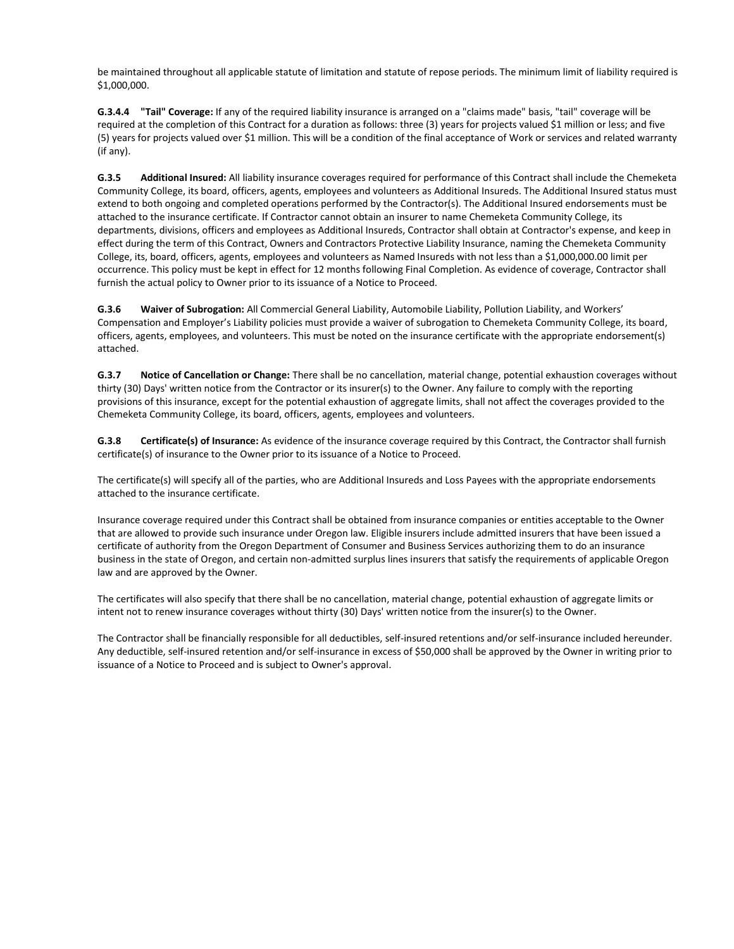be maintained throughout all applicable statute of limitation and statute of repose periods. The minimum limit of liability required is \$1,000,000.

**G.3.4.4 "Tail" Coverage:** If any of the required liability insurance is arranged on a "claims made" basis, "tail" coverage will be required at the completion of this Contract for a duration as follows: three (3) years for projects valued \$1 million or less; and five (5) years for projects valued over \$1 million. This will be a condition of the final acceptance of Work or services and related warranty (if any).

**G.3.5 Additional Insured:** All liability insurance coverages required for performance of this Contract shall include the Chemeketa Community College, its board, officers, agents, employees and volunteers as Additional Insureds. The Additional Insured status must extend to both ongoing and completed operations performed by the Contractor(s). The Additional Insured endorsements must be attached to the insurance certificate. If Contractor cannot obtain an insurer to name Chemeketa Community College, its departments, divisions, officers and employees as Additional Insureds, Contractor shall obtain at Contractor's expense, and keep in effect during the term of this Contract, Owners and Contractors Protective Liability Insurance, naming the Chemeketa Community College, its, board, officers, agents, employees and volunteers as Named Insureds with not less than a \$1,000,000.00 limit per occurrence. This policy must be kept in effect for 12 months following Final Completion. As evidence of coverage, Contractor shall furnish the actual policy to Owner prior to its issuance of a Notice to Proceed.

**G.3.6 Waiver of Subrogation:** All Commercial General Liability, Automobile Liability, Pollution Liability, and Workers' Compensation and Employer's Liability policies must provide a waiver of subrogation to Chemeketa Community College, its board, officers, agents, employees, and volunteers. This must be noted on the insurance certificate with the appropriate endorsement(s) attached.

**G.3.7 Notice of Cancellation or Change:** There shall be no cancellation, material change, potential exhaustion coverages without thirty (30) Days' written notice from the Contractor or its insurer(s) to the Owner. Any failure to comply with the reporting provisions of this insurance, except for the potential exhaustion of aggregate limits, shall not affect the coverages provided to the Chemeketa Community College, its board, officers, agents, employees and volunteers.

**G.3.8 Certificate(s) of Insurance:** As evidence of the insurance coverage required by this Contract, the Contractor shall furnish certificate(s) of insurance to the Owner prior to its issuance of a Notice to Proceed.

The certificate(s) will specify all of the parties, who are Additional Insureds and Loss Payees with the appropriate endorsements attached to the insurance certificate.

Insurance coverage required under this Contract shall be obtained from insurance companies or entities acceptable to the Owner that are allowed to provide such insurance under Oregon law. Eligible insurers include admitted insurers that have been issued a certificate of authority from the Oregon Department of Consumer and Business Services authorizing them to do an insurance business in the state of Oregon, and certain non-admitted surplus lines insurers that satisfy the requirements of applicable Oregon law and are approved by the Owner.

The certificates will also specify that there shall be no cancellation, material change, potential exhaustion of aggregate limits or intent not to renew insurance coverages without thirty (30) Days' written notice from the insurer(s) to the Owner.

The Contractor shall be financially responsible for all deductibles, self-insured retentions and/or self-insurance included hereunder. Any deductible, self-insured retention and/or self-insurance in excess of \$50,000 shall be approved by the Owner in writing prior to issuance of a Notice to Proceed and is subject to Owner's approval.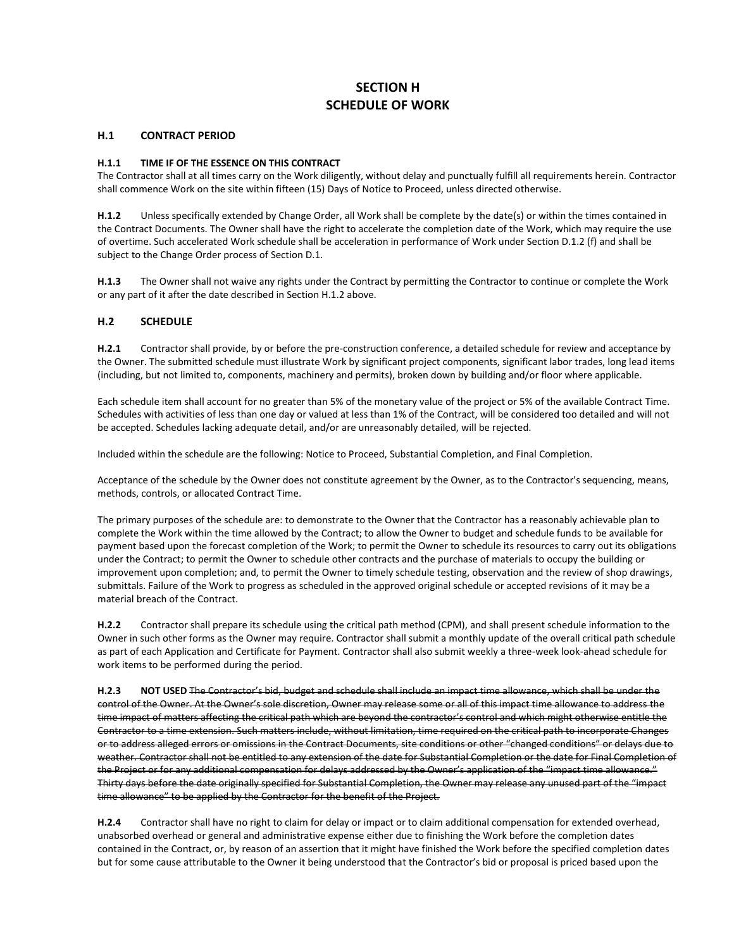# **SECTION H SCHEDULE OF WORK**

#### **H.1 CONTRACT PERIOD**

### **H.1.1 TIME IF OF THE ESSENCE ON THIS CONTRACT**

The Contractor shall at all times carry on the Work diligently, without delay and punctually fulfill all requirements herein. Contractor shall commence Work on the site within fifteen (15) Days of Notice to Proceed, unless directed otherwise.

**H.1.2** Unless specifically extended by Change Order, all Work shall be complete by the date(s) or within the times contained in the Contract Documents. The Owner shall have the right to accelerate the completion date of the Work, which may require the use of overtime. Such accelerated Work schedule shall be acceleration in performance of Work under Section D.1.2 (f) and shall be subject to the Change Order process of Section D.1.

**H.1.3** The Owner shall not waive any rights under the Contract by permitting the Contractor to continue or complete the Work or any part of it after the date described in Section H.1.2 above.

## **H.2 SCHEDULE**

**H.2.1** Contractor shall provide, by or before the pre-construction conference, a detailed schedule for review and acceptance by the Owner. The submitted schedule must illustrate Work by significant project components, significant labor trades, long lead items (including, but not limited to, components, machinery and permits), broken down by building and/or floor where applicable.

Each schedule item shall account for no greater than 5% of the monetary value of the project or 5% of the available Contract Time. Schedules with activities of less than one day or valued at less than 1% of the Contract, will be considered too detailed and will not be accepted. Schedules lacking adequate detail, and/or are unreasonably detailed, will be rejected.

Included within the schedule are the following: Notice to Proceed, Substantial Completion, and Final Completion.

Acceptance of the schedule by the Owner does not constitute agreement by the Owner, as to the Contractor's sequencing, means, methods, controls, or allocated Contract Time.

The primary purposes of the schedule are: to demonstrate to the Owner that the Contractor has a reasonably achievable plan to complete the Work within the time allowed by the Contract; to allow the Owner to budget and schedule funds to be available for payment based upon the forecast completion of the Work; to permit the Owner to schedule its resources to carry out its obligations under the Contract; to permit the Owner to schedule other contracts and the purchase of materials to occupy the building or improvement upon completion; and, to permit the Owner to timely schedule testing, observation and the review of shop drawings, submittals. Failure of the Work to progress as scheduled in the approved original schedule or accepted revisions of it may be a material breach of the Contract.

**H.2.2** Contractor shall prepare its schedule using the critical path method (CPM), and shall present schedule information to the Owner in such other forms as the Owner may require. Contractor shall submit a monthly update of the overall critical path schedule as part of each Application and Certificate for Payment. Contractor shall also submit weekly a three-week look-ahead schedule for work items to be performed during the period.

**H.2.3 NOT USED** The Contractor's bid, budget and schedule shall include an impact time allowance, which shall be under the control of the Owner. At the Owner's sole discretion, Owner may release some or all of this impact time allowance to address the time impact of matters affecting the critical path which are beyond the contractor's control and which might otherwise entitle the Contractor to a time extension. Such matters include, without limitation, time required on the critical path to incorporate Changes or to address alleged errors or omissions in the Contract Documents, site conditions or other "changed conditions" or delays due to weather. Contractor shall not be entitled to any extension of the date for Substantial Completion or the date for Final Completion of the Project or for any additional compensation for delays addressed by the Owner's application of the "impact time allowance." Thirty days before the date originally specified for Substantial Completion, the Owner may release any unused part of the "impact time allowance" to be applied by the Contractor for the benefit of the Project.

**H.2.4** Contractor shall have no right to claim for delay or impact or to claim additional compensation for extended overhead, unabsorbed overhead or general and administrative expense either due to finishing the Work before the completion dates contained in the Contract, or, by reason of an assertion that it might have finished the Work before the specified completion dates but for some cause attributable to the Owner it being understood that the Contractor's bid or proposal is priced based upon the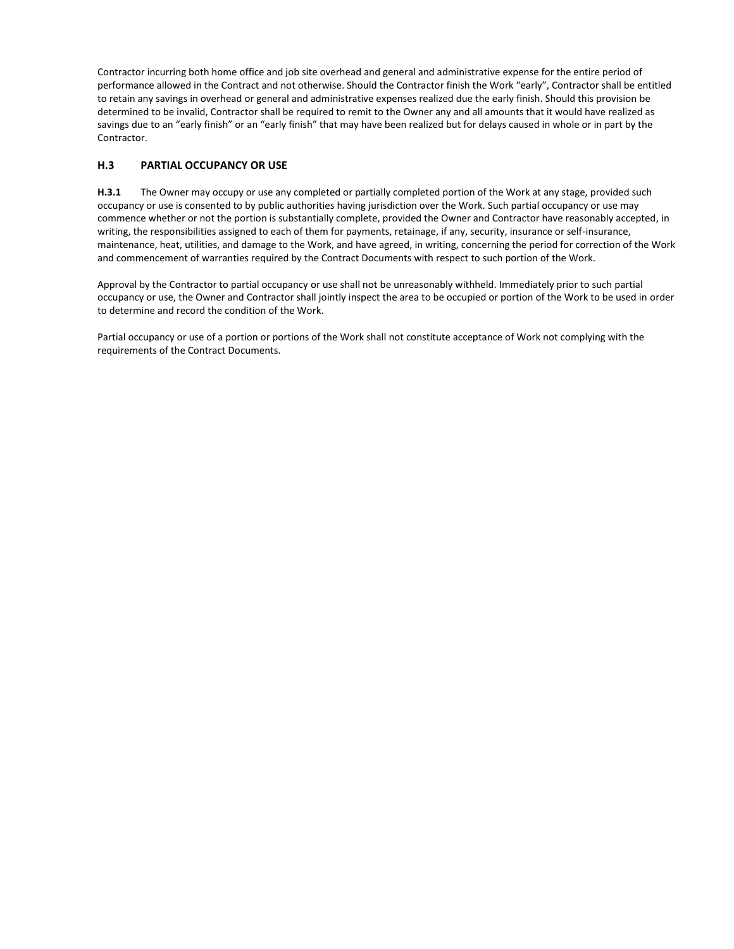Contractor incurring both home office and job site overhead and general and administrative expense for the entire period of performance allowed in the Contract and not otherwise. Should the Contractor finish the Work "early", Contractor shall be entitled to retain any savings in overhead or general and administrative expenses realized due the early finish. Should this provision be determined to be invalid, Contractor shall be required to remit to the Owner any and all amounts that it would have realized as savings due to an "early finish" or an "early finish" that may have been realized but for delays caused in whole or in part by the Contractor.

# **H.3 PARTIAL OCCUPANCY OR USE**

**H.3.1** The Owner may occupy or use any completed or partially completed portion of the Work at any stage, provided such occupancy or use is consented to by public authorities having jurisdiction over the Work. Such partial occupancy or use may commence whether or not the portion is substantially complete, provided the Owner and Contractor have reasonably accepted, in writing, the responsibilities assigned to each of them for payments, retainage, if any, security, insurance or self-insurance, maintenance, heat, utilities, and damage to the Work, and have agreed, in writing, concerning the period for correction of the Work and commencement of warranties required by the Contract Documents with respect to such portion of the Work.

Approval by the Contractor to partial occupancy or use shall not be unreasonably withheld. Immediately prior to such partial occupancy or use, the Owner and Contractor shall jointly inspect the area to be occupied or portion of the Work to be used in order to determine and record the condition of the Work.

Partial occupancy or use of a portion or portions of the Work shall not constitute acceptance of Work not complying with the requirements of the Contract Documents.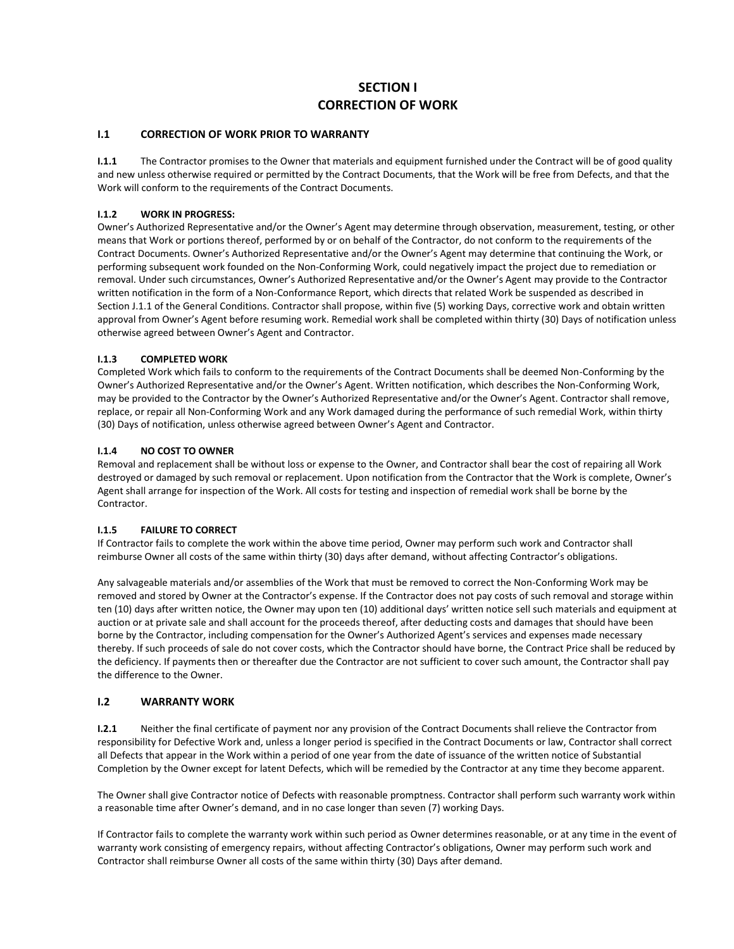# **SECTION I CORRECTION OF WORK**

## **I.1 CORRECTION OF WORK PRIOR TO WARRANTY**

**I.1.1** The Contractor promises to the Owner that materials and equipment furnished under the Contract will be of good quality and new unless otherwise required or permitted by the Contract Documents, that the Work will be free from Defects, and that the Work will conform to the requirements of the Contract Documents.

## **I.1.2 WORK IN PROGRESS:**

Owner's Authorized Representative and/or the Owner's Agent may determine through observation, measurement, testing, or other means that Work or portions thereof, performed by or on behalf of the Contractor, do not conform to the requirements of the Contract Documents. Owner's Authorized Representative and/or the Owner's Agent may determine that continuing the Work, or performing subsequent work founded on the Non-Conforming Work, could negatively impact the project due to remediation or removal. Under such circumstances, Owner's Authorized Representative and/or the Owner's Agent may provide to the Contractor written notification in the form of a Non-Conformance Report, which directs that related Work be suspended as described in Section J.1.1 of the General Conditions. Contractor shall propose, within five (5) working Days, corrective work and obtain written approval from Owner's Agent before resuming work. Remedial work shall be completed within thirty (30) Days of notification unless otherwise agreed between Owner's Agent and Contractor.

## **I.1.3 COMPLETED WORK**

Completed Work which fails to conform to the requirements of the Contract Documents shall be deemed Non-Conforming by the Owner's Authorized Representative and/or the Owner's Agent. Written notification, which describes the Non-Conforming Work, may be provided to the Contractor by the Owner's Authorized Representative and/or the Owner's Agent. Contractor shall remove, replace, or repair all Non-Conforming Work and any Work damaged during the performance of such remedial Work, within thirty (30) Days of notification, unless otherwise agreed between Owner's Agent and Contractor.

## **I.1.4 NO COST TO OWNER**

Removal and replacement shall be without loss or expense to the Owner, and Contractor shall bear the cost of repairing all Work destroyed or damaged by such removal or replacement. Upon notification from the Contractor that the Work is complete, Owner's Agent shall arrange for inspection of the Work. All costs for testing and inspection of remedial work shall be borne by the Contractor.

#### **I.1.5 FAILURE TO CORRECT**

If Contractor fails to complete the work within the above time period, Owner may perform such work and Contractor shall reimburse Owner all costs of the same within thirty (30) days after demand, without affecting Contractor's obligations.

Any salvageable materials and/or assemblies of the Work that must be removed to correct the Non-Conforming Work may be removed and stored by Owner at the Contractor's expense. If the Contractor does not pay costs of such removal and storage within ten (10) days after written notice, the Owner may upon ten (10) additional days' written notice sell such materials and equipment at auction or at private sale and shall account for the proceeds thereof, after deducting costs and damages that should have been borne by the Contractor, including compensation for the Owner's Authorized Agent's services and expenses made necessary thereby. If such proceeds of sale do not cover costs, which the Contractor should have borne, the Contract Price shall be reduced by the deficiency. If payments then or thereafter due the Contractor are not sufficient to cover such amount, the Contractor shall pay the difference to the Owner.

#### **I.2 WARRANTY WORK**

**I.2.1** Neither the final certificate of payment nor any provision of the Contract Documents shall relieve the Contractor from responsibility for Defective Work and, unless a longer period is specified in the Contract Documents or law, Contractor shall correct all Defects that appear in the Work within a period of one year from the date of issuance of the written notice of Substantial Completion by the Owner except for latent Defects, which will be remedied by the Contractor at any time they become apparent.

The Owner shall give Contractor notice of Defects with reasonable promptness. Contractor shall perform such warranty work within a reasonable time after Owner's demand, and in no case longer than seven (7) working Days.

If Contractor fails to complete the warranty work within such period as Owner determines reasonable, or at any time in the event of warranty work consisting of emergency repairs, without affecting Contractor's obligations, Owner may perform such work and Contractor shall reimburse Owner all costs of the same within thirty (30) Days after demand.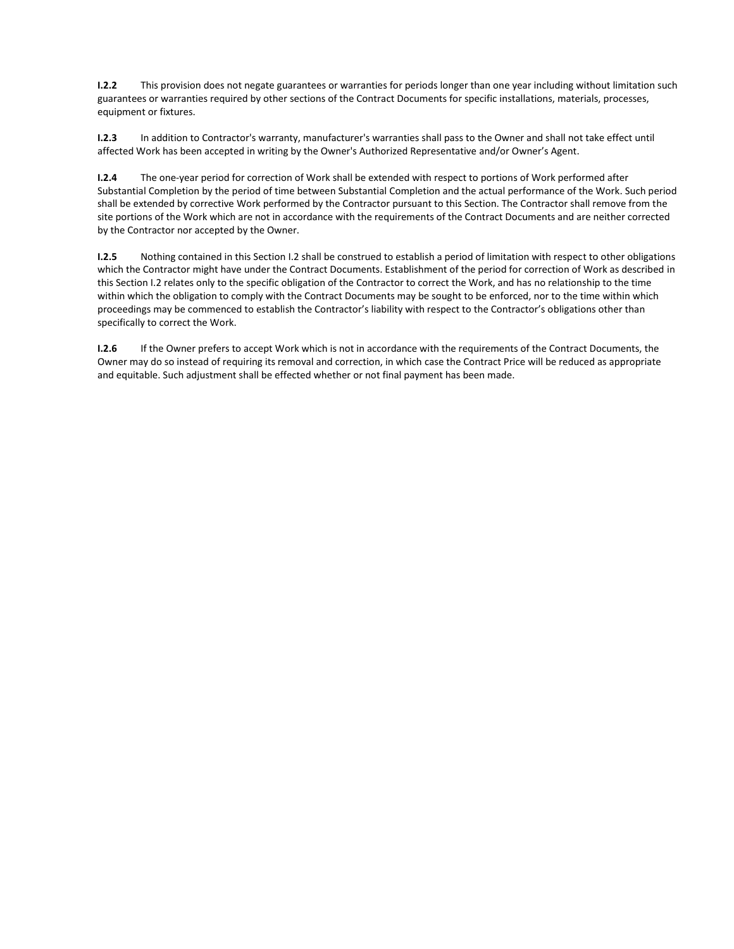**I.2.2** This provision does not negate guarantees or warranties for periods longer than one year including without limitation such guarantees or warranties required by other sections of the Contract Documents for specific installations, materials, processes, equipment or fixtures.

**I.2.3** In addition to Contractor's warranty, manufacturer's warranties shall pass to the Owner and shall not take effect until affected Work has been accepted in writing by the Owner's Authorized Representative and/or Owner's Agent.

**I.2.4** The one-year period for correction of Work shall be extended with respect to portions of Work performed after Substantial Completion by the period of time between Substantial Completion and the actual performance of the Work. Such period shall be extended by corrective Work performed by the Contractor pursuant to this Section. The Contractor shall remove from the site portions of the Work which are not in accordance with the requirements of the Contract Documents and are neither corrected by the Contractor nor accepted by the Owner.

**I.2.5** Nothing contained in this Section I.2 shall be construed to establish a period of limitation with respect to other obligations which the Contractor might have under the Contract Documents. Establishment of the period for correction of Work as described in this Section I.2 relates only to the specific obligation of the Contractor to correct the Work, and has no relationship to the time within which the obligation to comply with the Contract Documents may be sought to be enforced, nor to the time within which proceedings may be commenced to establish the Contractor's liability with respect to the Contractor's obligations other than specifically to correct the Work.

**I.2.6** If the Owner prefers to accept Work which is not in accordance with the requirements of the Contract Documents, the Owner may do so instead of requiring its removal and correction, in which case the Contract Price will be reduced as appropriate and equitable. Such adjustment shall be effected whether or not final payment has been made.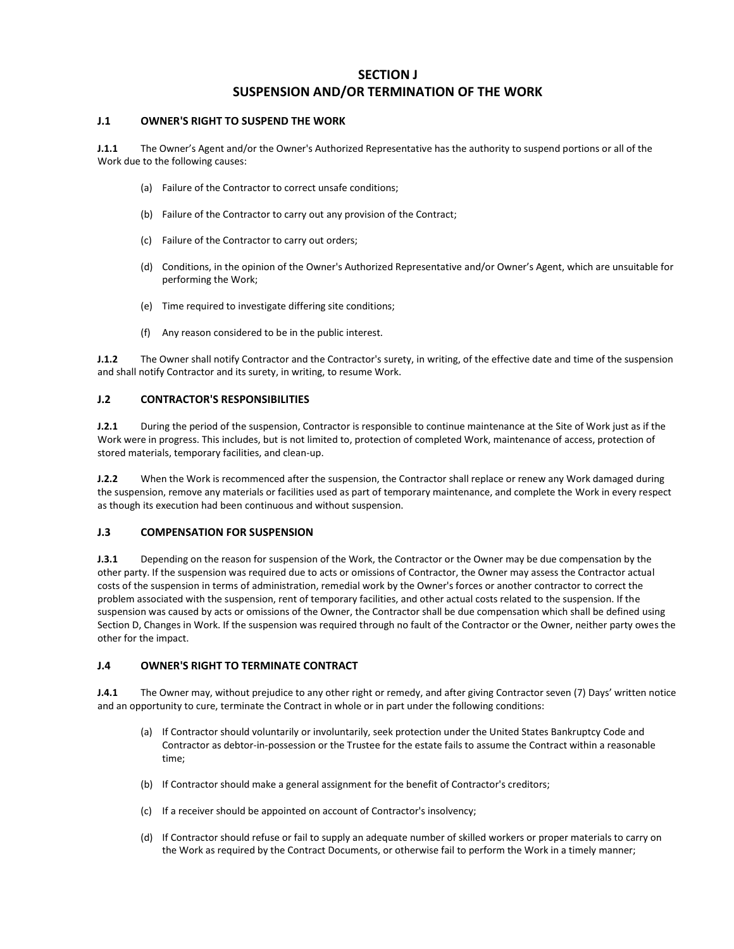# **SECTION J**

# **SUSPENSION AND/OR TERMINATION OF THE WORK**

### **J.1 OWNER'S RIGHT TO SUSPEND THE WORK**

**J.1.1** The Owner's Agent and/or the Owner's Authorized Representative has the authority to suspend portions or all of the Work due to the following causes:

- (a) Failure of the Contractor to correct unsafe conditions;
- (b) Failure of the Contractor to carry out any provision of the Contract;
- (c) Failure of the Contractor to carry out orders;
- (d) Conditions, in the opinion of the Owner's Authorized Representative and/or Owner's Agent, which are unsuitable for performing the Work;
- (e) Time required to investigate differing site conditions;
- (f) Any reason considered to be in the public interest.

**J.1.2** The Owner shall notify Contractor and the Contractor's surety, in writing, of the effective date and time of the suspension and shall notify Contractor and its surety, in writing, to resume Work.

#### **J.2 CONTRACTOR'S RESPONSIBILITIES**

**J.2.1** During the period of the suspension, Contractor is responsible to continue maintenance at the Site of Work just as if the Work were in progress. This includes, but is not limited to, protection of completed Work, maintenance of access, protection of stored materials, temporary facilities, and clean-up.

**J.2.2** When the Work is recommenced after the suspension, the Contractor shall replace or renew any Work damaged during the suspension, remove any materials or facilities used as part of temporary maintenance, and complete the Work in every respect as though its execution had been continuous and without suspension.

### **J.3 COMPENSATION FOR SUSPENSION**

**J.3.1** Depending on the reason for suspension of the Work, the Contractor or the Owner may be due compensation by the other party. If the suspension was required due to acts or omissions of Contractor, the Owner may assess the Contractor actual costs of the suspension in terms of administration, remedial work by the Owner's forces or another contractor to correct the problem associated with the suspension, rent of temporary facilities, and other actual costs related to the suspension. If the suspension was caused by acts or omissions of the Owner, the Contractor shall be due compensation which shall be defined using Section D, Changes in Work. If the suspension was required through no fault of the Contractor or the Owner, neither party owes the other for the impact.

## **J.4 OWNER'S RIGHT TO TERMINATE CONTRACT**

**J.4.1** The Owner may, without prejudice to any other right or remedy, and after giving Contractor seven (7) Days' written notice and an opportunity to cure, terminate the Contract in whole or in part under the following conditions:

- (a) If Contractor should voluntarily or involuntarily, seek protection under the United States Bankruptcy Code and Contractor as debtor-in-possession or the Trustee for the estate fails to assume the Contract within a reasonable time;
- (b) If Contractor should make a general assignment for the benefit of Contractor's creditors;
- (c) If a receiver should be appointed on account of Contractor's insolvency;
- (d) If Contractor should refuse or fail to supply an adequate number of skilled workers or proper materials to carry on the Work as required by the Contract Documents, or otherwise fail to perform the Work in a timely manner;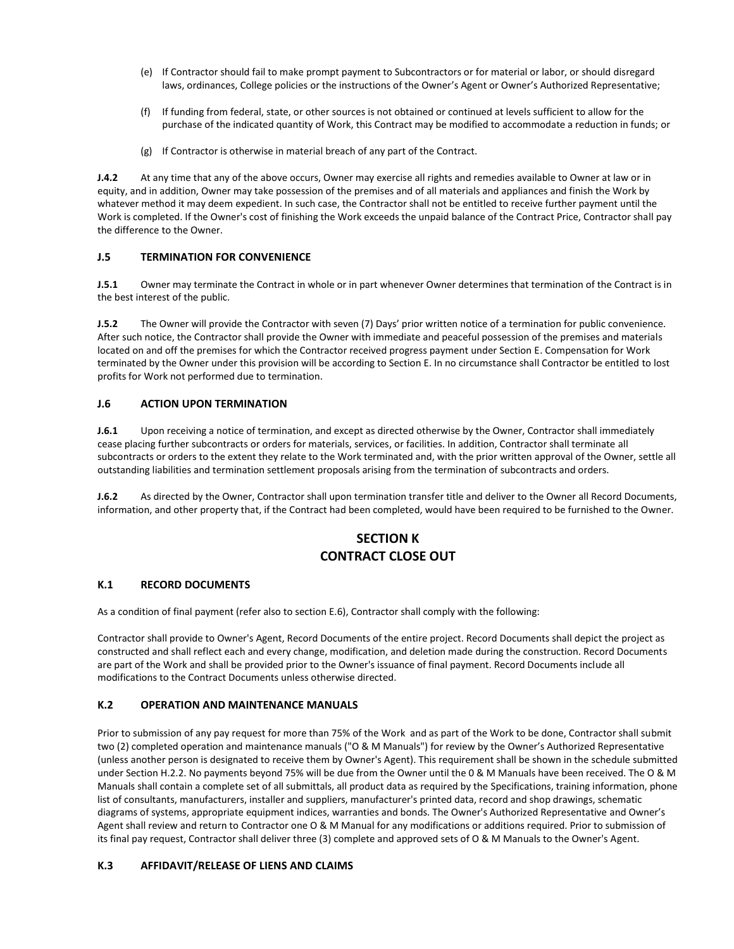- (e) If Contractor should fail to make prompt payment to Subcontractors or for material or labor, or should disregard laws, ordinances, College policies or the instructions of the Owner's Agent or Owner's Authorized Representative;
- (f) If funding from federal, state, or other sources is not obtained or continued at levels sufficient to allow for the purchase of the indicated quantity of Work, this Contract may be modified to accommodate a reduction in funds; or
- (g) If Contractor is otherwise in material breach of any part of the Contract.

**J.4.2** At any time that any of the above occurs, Owner may exercise all rights and remedies available to Owner at law or in equity, and in addition, Owner may take possession of the premises and of all materials and appliances and finish the Work by whatever method it may deem expedient. In such case, the Contractor shall not be entitled to receive further payment until the Work is completed. If the Owner's cost of finishing the Work exceeds the unpaid balance of the Contract Price, Contractor shall pay the difference to the Owner.

## **J.5 TERMINATION FOR CONVENIENCE**

**J.5.1** Owner may terminate the Contract in whole or in part whenever Owner determines that termination of the Contract is in the best interest of the public.

**J.5.2** The Owner will provide the Contractor with seven (7) Days' prior written notice of a termination for public convenience. After such notice, the Contractor shall provide the Owner with immediate and peaceful possession of the premises and materials located on and off the premises for which the Contractor received progress payment under Section E. Compensation for Work terminated by the Owner under this provision will be according to Section E. In no circumstance shall Contractor be entitled to lost profits for Work not performed due to termination.

#### **J.6 ACTION UPON TERMINATION**

**J.6.1** Upon receiving a notice of termination, and except as directed otherwise by the Owner, Contractor shall immediately cease placing further subcontracts or orders for materials, services, or facilities. In addition, Contractor shall terminate all subcontracts or orders to the extent they relate to the Work terminated and, with the prior written approval of the Owner, settle all outstanding liabilities and termination settlement proposals arising from the termination of subcontracts and orders.

**J.6.2** As directed by the Owner, Contractor shall upon termination transfer title and deliver to the Owner all Record Documents, information, and other property that, if the Contract had been completed, would have been required to be furnished to the Owner.

# **SECTION K CONTRACT CLOSE OUT**

#### **K.1 RECORD DOCUMENTS**

As a condition of final payment (refer also to section E.6), Contractor shall comply with the following:

Contractor shall provide to Owner's Agent, Record Documents of the entire project. Record Documents shall depict the project as constructed and shall reflect each and every change, modification, and deletion made during the construction. Record Documents are part of the Work and shall be provided prior to the Owner's issuance of final payment. Record Documents include all modifications to the Contract Documents unless otherwise directed.

#### **K.2 OPERATION AND MAINTENANCE MANUALS**

Prior to submission of any pay request for more than 75% of the Work and as part of the Work to be done, Contractor shall submit two (2) completed operation and maintenance manuals ("O & M Manuals") for review by the Owner's Authorized Representative (unless another person is designated to receive them by Owner's Agent). This requirement shall be shown in the schedule submitted under Section H.2.2. No payments beyond 75% will be due from the Owner until the 0 & M Manuals have been received. The O & M Manuals shall contain a complete set of all submittals, all product data as required by the Specifications, training information, phone list of consultants, manufacturers, installer and suppliers, manufacturer's printed data, record and shop drawings, schematic diagrams of systems, appropriate equipment indices, warranties and bonds. The Owner's Authorized Representative and Owner's Agent shall review and return to Contractor one O & M Manual for any modifications or additions required. Prior to submission of its final pay request, Contractor shall deliver three (3) complete and approved sets of O & M Manuals to the Owner's Agent.

#### **K.3 AFFIDAVIT/RELEASE OF LIENS AND CLAIMS**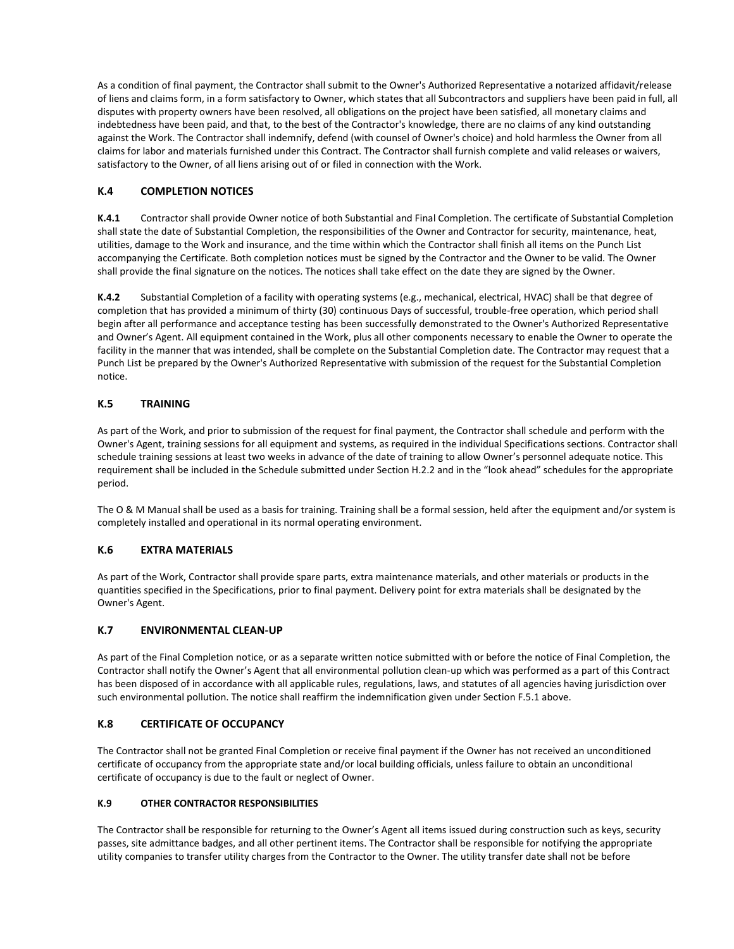As a condition of final payment, the Contractor shall submit to the Owner's Authorized Representative a notarized affidavit/release of liens and claims form, in a form satisfactory to Owner, which states that all Subcontractors and suppliers have been paid in full, all disputes with property owners have been resolved, all obligations on the project have been satisfied, all monetary claims and indebtedness have been paid, and that, to the best of the Contractor's knowledge, there are no claims of any kind outstanding against the Work. The Contractor shall indemnify, defend (with counsel of Owner's choice) and hold harmless the Owner from all claims for labor and materials furnished under this Contract. The Contractor shall furnish complete and valid releases or waivers, satisfactory to the Owner, of all liens arising out of or filed in connection with the Work.

# **K.4 COMPLETION NOTICES**

**K.4.1** Contractor shall provide Owner notice of both Substantial and Final Completion. The certificate of Substantial Completion shall state the date of Substantial Completion, the responsibilities of the Owner and Contractor for security, maintenance, heat, utilities, damage to the Work and insurance, and the time within which the Contractor shall finish all items on the Punch List accompanying the Certificate. Both completion notices must be signed by the Contractor and the Owner to be valid. The Owner shall provide the final signature on the notices. The notices shall take effect on the date they are signed by the Owner.

**K.4.2** Substantial Completion of a facility with operating systems (e.g., mechanical, electrical, HVAC) shall be that degree of completion that has provided a minimum of thirty (30) continuous Days of successful, trouble-free operation, which period shall begin after all performance and acceptance testing has been successfully demonstrated to the Owner's Authorized Representative and Owner's Agent. All equipment contained in the Work, plus all other components necessary to enable the Owner to operate the facility in the manner that was intended, shall be complete on the Substantial Completion date. The Contractor may request that a Punch List be prepared by the Owner's Authorized Representative with submission of the request for the Substantial Completion notice.

# **K.5 TRAINING**

As part of the Work, and prior to submission of the request for final payment, the Contractor shall schedule and perform with the Owner's Agent, training sessions for all equipment and systems, as required in the individual Specifications sections. Contractor shall schedule training sessions at least two weeks in advance of the date of training to allow Owner's personnel adequate notice. This requirement shall be included in the Schedule submitted under Section H.2.2 and in the "look ahead" schedules for the appropriate period.

The O & M Manual shall be used as a basis for training. Training shall be a formal session, held after the equipment and/or system is completely installed and operational in its normal operating environment.

# **K.6 EXTRA MATERIALS**

As part of the Work, Contractor shall provide spare parts, extra maintenance materials, and other materials or products in the quantities specified in the Specifications, prior to final payment. Delivery point for extra materials shall be designated by the Owner's Agent.

# **K.7 ENVIRONMENTAL CLEAN-UP**

As part of the Final Completion notice, or as a separate written notice submitted with or before the notice of Final Completion, the Contractor shall notify the Owner's Agent that all environmental pollution clean-up which was performed as a part of this Contract has been disposed of in accordance with all applicable rules, regulations, laws, and statutes of all agencies having jurisdiction over such environmental pollution. The notice shall reaffirm the indemnification given under Section F.5.1 above.

#### **K.8 CERTIFICATE OF OCCUPANCY**

The Contractor shall not be granted Final Completion or receive final payment if the Owner has not received an unconditioned certificate of occupancy from the appropriate state and/or local building officials, unless failure to obtain an unconditional certificate of occupancy is due to the fault or neglect of Owner.

#### **K.9 OTHER CONTRACTOR RESPONSIBILITIES**

The Contractor shall be responsible for returning to the Owner's Agent all items issued during construction such as keys, security passes, site admittance badges, and all other pertinent items. The Contractor shall be responsible for notifying the appropriate utility companies to transfer utility charges from the Contractor to the Owner. The utility transfer date shall not be before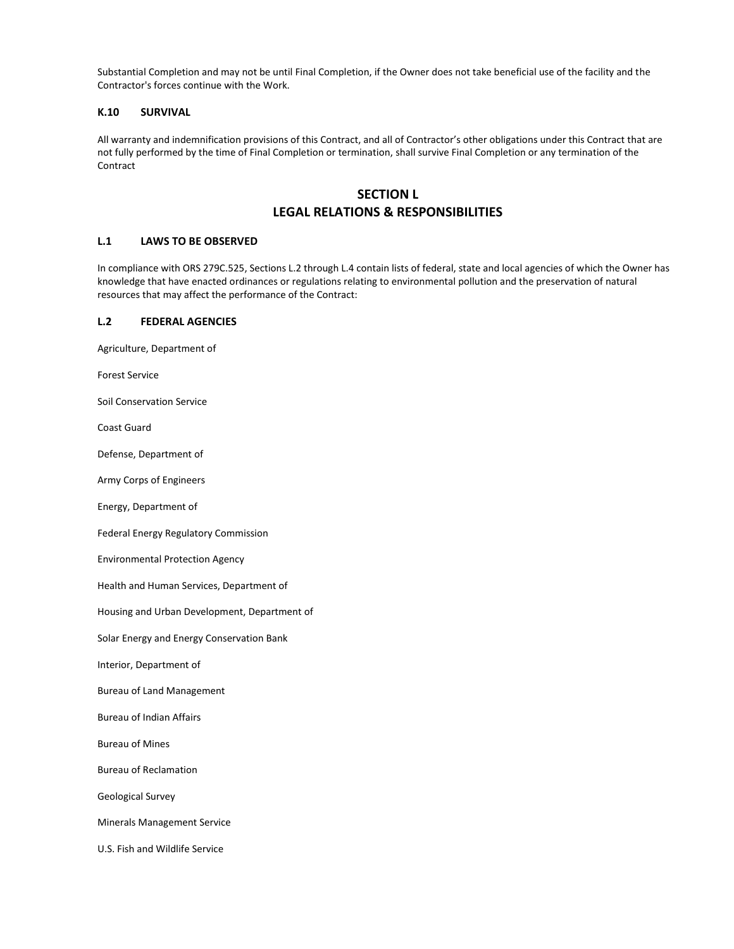Substantial Completion and may not be until Final Completion, if the Owner does not take beneficial use of the facility and the Contractor's forces continue with the Work.

## **K.10 SURVIVAL**

All warranty and indemnification provisions of this Contract, and all of Contractor's other obligations under this Contract that are not fully performed by the time of Final Completion or termination, shall survive Final Completion or any termination of the Contract

# **SECTION L LEGAL RELATIONS & RESPONSIBILITIES**

## **L.1 LAWS TO BE OBSERVED**

In compliance with ORS 279C.525, Sections L.2 through L.4 contain lists of federal, state and local agencies of which the Owner has knowledge that have enacted ordinances or regulations relating to environmental pollution and the preservation of natural resources that may affect the performance of the Contract:

#### **L.2 FEDERAL AGENCIES**

Agriculture, Department of

Forest Service

Soil Conservation Service

Coast Guard

Defense, Department of

Army Corps of Engineers

Energy, Department of

Federal Energy Regulatory Commission

Environmental Protection Agency

Health and Human Services, Department of

Housing and Urban Development, Department of

Solar Energy and Energy Conservation Bank

Interior, Department of

Bureau of Land Management

Bureau of Indian Affairs

Bureau of Mines

Bureau of Reclamation

Geological Survey

Minerals Management Service

U.S. Fish and Wildlife Service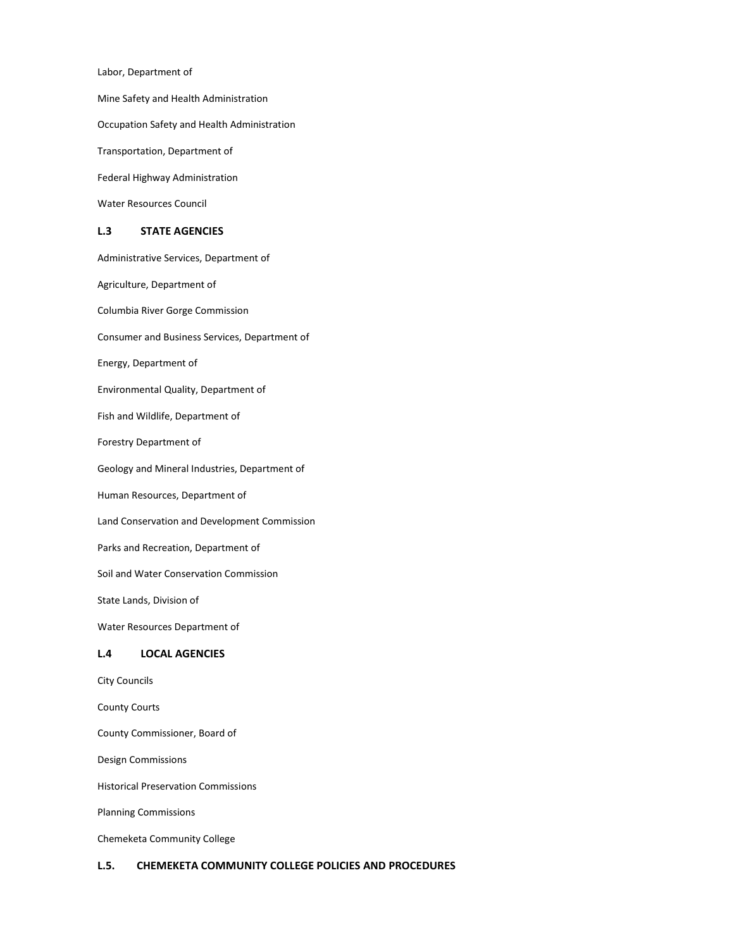Labor, Department of

Mine Safety and Health Administration

Occupation Safety and Health Administration

Transportation, Department of

Federal Highway Administration

Water Resources Council

#### **L.3 STATE AGENCIES**

Administrative Services, Department of

Agriculture, Department of

Columbia River Gorge Commission

Consumer and Business Services, Department of

Energy, Department of

Environmental Quality, Department of

Fish and Wildlife, Department of

Forestry Department of

Geology and Mineral Industries, Department of

Human Resources, Department of

Land Conservation and Development Commission

Parks and Recreation, Department of

Soil and Water Conservation Commission

State Lands, Division of

Water Resources Department of

#### **L.4 LOCAL AGENCIES**

City Councils

County Courts

County Commissioner, Board of

Design Commissions

Historical Preservation Commissions

Planning Commissions

Chemeketa Community College

#### **L.5. CHEMEKETA COMMUNITY COLLEGE POLICIES AND PROCEDURES**